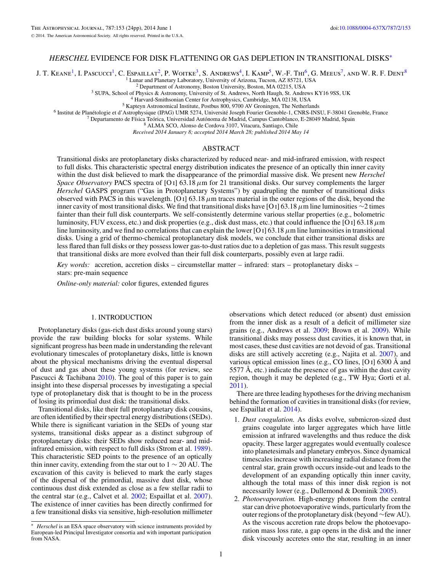# *HERSCHEL* EVIDENCE FOR DISK FLATTENING OR GAS DEPLETION IN TRANSITIONAL DISKS<sup>∗</sup>

J. T. KEANE<sup>1</sup>, I. PASCUCCI<sup>1</sup>, C. ESPAILLAT<sup>2</sup>, P. WOITKE<sup>3</sup>, S. ANDREWS<sup>4</sup>, I. KAMP<sup>5</sup>, W.-F. THI<sup>6</sup>, G. MEEUS<sup>7</sup>, AND W. R. F. DENT<sup>8</sup>

<sup>2</sup> Department of Astronomy, Boston University, Boston, MA 02215, USA<br><sup>3</sup> SUPA, School of Physics & Astronomy, University of St. Andrews, North Haugh, St. Andrews KY16 9SS, UK<br><sup>4</sup> Harvard-Smithsonian Center for Astrophysi

*Received 2014 January 8; accepted 2014 March 28; published 2014 May 14*

## ABSTRACT

Transitional disks are protoplanetary disks characterized by reduced near- and mid-infrared emission, with respect to full disks. This characteristic spectral energy distribution indicates the presence of an optically thin inner cavity within the dust disk believed to mark the disappearance of the primordial massive disk. We present new *Herschel Space Observatory* PACS spectra of [O i] 63.18 μm for 21 transitional disks. Our survey complements the larger *Herschel* GASPS program ("Gas in Protoplanetary Systems") by quadrupling the number of transitional disks observed with PACS in this wavelength. [O<sub>I</sub>] 63.18  $\mu$ m traces material in the outer regions of the disk, beyond the inner cavity of most transitional disks. We find that transitional disks have [O i] 63.18*μ*m line luminosities ∼2 times fainter than their full disk counterparts. We self-consistently determine various stellar properties (e.g., bolometric luminosity, FUV excess, etc.) and disk properties (e.g., disk dust mass, etc.) that could influence the [O i] 63.18*μ*m line luminosity, and we find no correlations that can explain the lower [O i] 63.18*μ*m line luminosities in transitional disks. Using a grid of thermo-chemical protoplanetary disk models, we conclude that either transitional disks are less flared than full disks or they possess lower gas-to-dust ratios due to a depletion of gas mass. This result suggests that transitional disks are more evolved than their full disk counterparts, possibly even at large radii.

*Key words:* accretion, accretion disks – circumstellar matter – infrared: stars – protoplanetary disks – stars: pre-main sequence

*Online-only material: color figures, extended figures* 

## 1. INTRODUCTION

Protoplanetary disks (gas-rich dust disks around young stars) provide the raw building blocks for solar systems. While significant progress has been made in understanding the relevant evolutionary timescales of protoplanetary disks, little is known about the physical mechanisms driving the eventual dispersal of dust and gas about these young systems (for review, see Pascucci & Tachibana [2010\)](#page-22-0). The goal of this paper is to gain insight into these dispersal processes by investigating a special type of protoplanetary disk that is thought to be in the process of losing its primordial dust disk: the transitional disks.

Transitional disks, like their full protoplanetary disk cousins, are often identified by their spectral energy distributions (SEDs). While there is significant variation in the SEDs of young star systems, transitional disks appear as a distinct subgroup of protoplanetary disks: their SEDs show reduced near- and midinfrared emission, with respect to full disks (Strom et al. [1989\)](#page-23-0). This characteristic SED points to the presence of an optically thin inner cavity, extending from the star out to  $1 \sim 20$  AU. The excavation of this cavity is believed to mark the early stages of the dispersal of the primordial, massive dust disk, whose continuous dust disk extended as close as a few stellar radii to the central star (e.g., Calvet et al. [2002;](#page-22-0) Espaillat et al. [2007\)](#page-22-0). The existence of inner cavities has been directly confirmed for a few transitional disks via sensitive, high-resolution millimeter

observations which detect reduced (or absent) dust emission from the inner disk as a result of a deficit of millimeter size grains (e.g., Andrews et al. [2009;](#page-22-0) Brown et al. [2009\)](#page-22-0). While transitional disks may possess dust cavities, it is known that, in most cases, these dust cavities are not devoid of gas. Transitional disks are still actively accreting (e.g., Najita et al. [2007\)](#page-22-0), and various optical emission lines (e.g., CO lines, [O i] 6300 Å and 5577 Å, etc.) indicate the presence of gas within the dust cavity region, though it may be depleted (e.g., TW Hya; Gorti et al. [2011\)](#page-22-0).

There are three leading hypotheses for the driving mechanism behind the formation of cavities in transitional disks (for review, see Espaillat et al. [2014\)](#page-22-0).

- 1. *Dust coagulation.* As disks evolve, submicron-sized dust grains coagulate into larger aggregates which have little emission at infrared wavelengths and thus reduce the disk opacity. These larger aggregates would eventually coalesce into planetesimals and planetary embryos. Since dynamical timescales increase with increasing radial distance from the central star, grain growth occurs inside-out and leads to the development of an expanding optically thin inner cavity, although the total mass of this inner disk region is not necessarily lower (e.g., Dullemond & Dominik [2005\)](#page-22-0).
- 2. *Photoevaporation.* High-energy photons from the central star can drive photoevaporative winds, particularly from the outer regions of the protoplanetary disk (beyond ∼few AU). As the viscous accretion rate drops below the photoevaporation mass loss rate, a gap opens in the disk and the inner disk viscously accretes onto the star, resulting in an inner

<sup>∗</sup> *Herschel* is an ESA space observatory with science instruments provided by European-led Principal Investigator consortia and with important participation from NASA.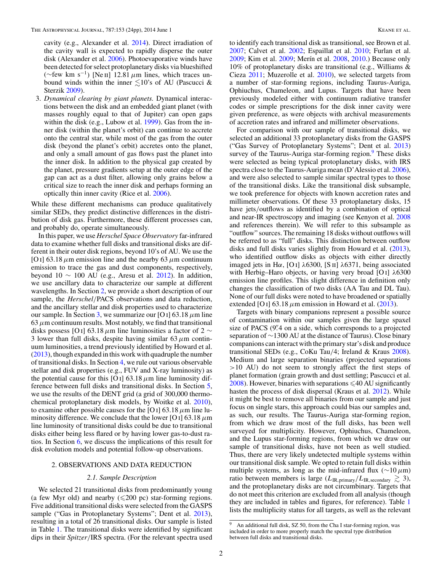<span id="page-1-0"></span>cavity (e.g., Alexander et al. [2014\)](#page-22-0). Direct irradiation of the cavity wall is expected to rapidly disperse the outer disk (Alexander et al. [2006\)](#page-21-0). Photoevaporative winds have been detected for select protoplanetary disks via blueshifted (∼few km s−1) [Ne ii] 12.81*μ*m lines, which traces unbound winds within the inner  $\lesssim$ 10's of AU (Pascucci & Sterzik [2009\)](#page-22-0).

3. *Dynamical clearing by giant planets.* Dynamical interactions between the disk and an embedded giant planet (with masses roughly equal to that of Jupiter) can open gaps within the disk (e.g., Lubow et al. [1999\)](#page-22-0). Gas from the inner disk (within the planet's orbit) can continue to accrete onto the central star, while most of the gas from the outer disk (beyond the planet's orbit) accretes onto the planet, and only a small amount of gas flows past the planet into the inner disk. In addition to the physical gap created by the planet, pressure gradients setup at the outer edge of the gap can act as a dust filter, allowing only grains below a critical size to reach the inner disk and perhaps forming an optically thin inner cavity (Rice et al. [2006\)](#page-22-0).

While these different mechanisms can produce qualitatively similar SEDs, they predict distinctive differences in the distribution of disk gas. Furthermore, these different processes can, and probably do, operate simultaneously.

In this paper, we use *Herschel Space Observatory* far-infrared data to examine whether full disks and transitional disks are different in their outer disk regions, beyond 10's of AU. We use the [O i] 63.18*μ*m emission line and the nearby 63*μ*m continuum emission to trace the gas and dust components, respectively, beyond 10  $\sim$  100 AU (e.g., Aresu et al. [2012\)](#page-22-0). In addition, we use ancillary data to characterize our sample at different wavelengths. In Section 2, we provide a short description of our sample, the *Herschel/*PACS observations and data reduction, and the ancillary stellar and disk properties used to characterize our sample. In Section [3,](#page-8-0) we summarize our [O i] 63.18  $\mu$ m line  $63 \mu$ m continuum results. Most notably, we find that transitional disks possess [O i] 63.18  $\mu$ m line luminosities a factor of 2  $\sim$ 3 lower than full disks, despite having similar  $63 \mu$ m continuum luminosities, a trend previously identified by Howard et al. [\(2013\)](#page-22-0), though expanded in this work with quadruple the number of transitional disks. In Section [4,](#page-13-0) we rule out various observable stellar and disk properties (e.g., FUV and X-ray luminosity) as the potential cause for this [O I] 63.18  $\mu$ m line luminosity difference between full disks and transitional disks. In Section [5,](#page-14-0) we use the results of the DENT grid (a grid of 300,000 thermochemical protoplanetary disk models, by Woitke et al. [2010\)](#page-23-0), to examine other possible causes for the [O i] 63.18  $\mu$ m line luminosity difference. We conclude that the lower [O i] 63.18*μ*m line luminosity of transitional disks could be due to transitional disks either being less flared or by having lower gas-to-dust ratios. In Section [6,](#page-18-0) we discuss the implications of this result for disk evolution models and potential follow-up observations.

#### 2. OBSERVATIONS AND DATA REDUCTION

#### *2.1. Sample Description*

We selected 21 transitional disks from predominantly young (a few Myr old) and nearby  $(\leq 200 \text{ pc})$  star-forming regions. Five additional transitional disks were selected from the GASPS sample ("Gas in Protoplanetary Systems"; Dent et al. [2013\)](#page-22-0), resulting in a total of 26 transitional disks. Our sample is listed in Table [1.](#page-2-0) The transitional disks were identified by significant dips in their *Spitzer/*IRS spectra. (For the relevant spectra used

to identify each transitional disk as transitional, see Brown et al. [2007;](#page-22-0) Calvet et al. [2002;](#page-22-0) Espaillat et al. [2010;](#page-22-0) Furlan et al. [2009;](#page-22-0) Kim et al. 2009; Merín et al. [2008,](#page-22-0) [2010.](#page-22-0)) Because only 10% of protoplanetary disks are transitional (e.g., Williams & Cieza [2011;](#page-23-0) Muzerolle et al. [2010\)](#page-22-0), we selected targets from a number of star-forming regions, including Taurus-Auriga, Ophiuchus, Chameleon, and Lupus. Targets that have been previously modeled either with continuum radiative transfer codes or simple prescriptions for the disk inner cavity were given preference, as were objects with archival measurements of accretion rates and infrared and millimeter observations.

For comparison with our sample of transitional disks, we selected an additional 33 protoplanetary disks from the GASPS ("Gas Survey of Protoplanetary Systems"; Dent et al. [2013\)](#page-22-0) survey of the Taurus-Auriga star-forming region.<sup>9</sup> These disks were selected as being typical protoplanetary disks, with IRS spectra close to the Taurus-Auriga mean (D'Alessio et al. [2006\)](#page-22-0), and were also selected to sample similar spectral types to those of the transitional disks. Like the transitional disk subsample, we took preference for objects with known accretion rates and millimeter observations. Of these 33 protoplanetary disks, 15 have jets*/*outflows as identified by a combination of optical and near-IR spectroscopy and imaging (see Kenyon et al. [2008](#page-22-0) and references therein). We will refer to this subsample as "outflow" sources. The remaining 18 disks without outflows will be referred to as "full" disks. This distinction between outflow disks and full disks varies slightly from Howard et al. [\(2013\)](#page-22-0), who identified outflow disks as objects with either directly imaged jets in H*α*, [O i] *λ*6300, [S ii] *λ*6371, being associated with Herbig–Haro objects, or having very broad [O i] *λ*6300 emission line profiles. This slight difference in definition only changes the classification of two disks (AA Tau and DL Tau). None of our full disks were noted to have broadened or spatially extended [O i] 63.18  $\mu$ m emission in Howard et al. [\(2013\)](#page-22-0).

Targets with binary companions represent a possible source of contamination within our samples given the large spaxel size of PACS (9*.* 4 on a side, which corresponds to a projected separation of ∼1300 AU at the distance of Taurus). Close binary companions can interact with the primary star's disk and produce transitional SEDs (e.g., CoKu Tau*/*4; Ireland & Kraus [2008\)](#page-22-0). Medium and large separation binaries (projected separations *>*10 AU) do not seem to strongly affect the first steps of planet formation (grain growth and dust settling; Pascucci et al. [2008\)](#page-22-0). However, binaries with separations  $\leq 40$  AU significantly hasten the process of disk dispersal (Kraus et al. [2012\)](#page-22-0). While it might be best to remove all binaries from our sample and just focus on single stars, this approach could bias our samples and, as such, our results. The Taurus-Auriga star-forming region, from which we draw most of the full disks, has been well surveyed for multiplicity. However, Ophiuchus, Chameleon, and the Lupus star-forming regions, from which we draw our sample of transitional disks, have not been as well studied. Thus, there are very likely undetected multiple systems within our transitional disk sample. We opted to retain full disks within multiple systems, as long as the mid-infrared flux (∼10*μ*m) ratio between members is large  $(L_{\text{IR,primary}}/L_{\text{IR, secondary}} \geq 3)$ , and the protoplanetary disks are not circumbinary. Targets that do not meet this criterion are excluded from all analysis (though they are included in tables and figures, for reference). Table [1](#page-2-0) lists the multiplicity status for all targets, as well as the relevant

<sup>9</sup> An additional full disk, SZ 50, from the Cha I star-forming region, was included in order to more properly match the spectral type distribution between full disks and transitional disks.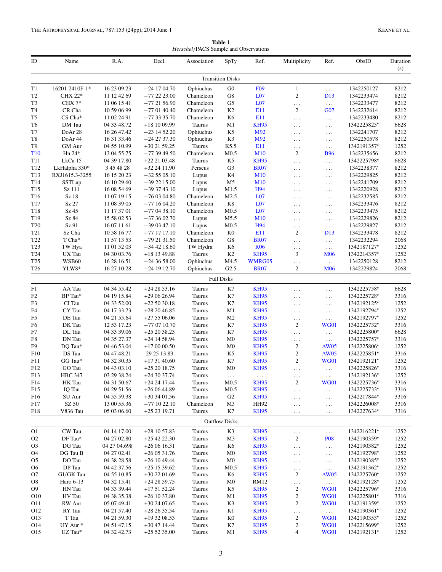**Table 1** *Herschel/*PACS Sample and Observations

<span id="page-2-0"></span>

| ID              | Name                                      | R.A.         | Decl.          | Association | SpTy                    | Ref.            | Multiplicity   | Ref.            | ObsID       | Duration<br>(s) |
|-----------------|-------------------------------------------|--------------|----------------|-------------|-------------------------|-----------------|----------------|-----------------|-------------|-----------------|
|                 |                                           |              |                |             | <b>Transition Disks</b> |                 |                |                 |             |                 |
| T1              | 16201-2410F-1*                            | 16 23 09.23  | $-24$ 17 04.70 | Ophiuchus   | G <sub>0</sub>          | <b>F09</b>      | $\mathbf{1}$   | $\ldots$        | 1342250127  | 8212            |
| T <sub>2</sub>  | CHX 22*                                   | 11 12 42 69  | $-772223.00$   | Chameleon   | ${\rm G}8$              | L <sub>07</sub> | $\mathfrak{2}$ | D <sub>13</sub> | 1342233474  | 8212            |
| T <sub>3</sub>  | CHX $7*$                                  | 11 06 15 41  | $-772156.90$   | Chameleon   | G <sub>5</sub>          | L <sub>07</sub> | $\ddotsc$      | $\ddotsc$       | 1342233477  | 8212            |
| T <sub>4</sub>  | CR Cha                                    | 10 59 06 99  | $-770140.40$   | Chameleon   | K2                      | <b>E11</b>      | $\overline{c}$ | G07             | 1342232614  | 8212            |
| T <sub>5</sub>  | CS Cha*                                   | 11 02 24 91  | $-7733335.70$  | Chameleon   | K <sub>6</sub>          | E11             | $\ldots$       | $\ldots$        | 1342233480  | 8212            |
| T <sub>6</sub>  | DM Tau                                    | 04 33 48.72  | +18 10 09.99   | Taurus      | M1                      | <b>KH95</b>     | $\cdots$       | $\ldots$        | 1342225825* | 6628            |
| T7              | DoAr 28                                   | 16 26 47.42  | $-231452.20$   | Ophiuchus   | K <sub>5</sub>          | M92             | $\ddotsc$      | $\ldots$        | 1342241707  | 8212            |
| T8              | DoAr 44                                   | 16 31 33.46  | $-242737.30$   | Ophiuchus   | K3                      | M92             | $\ddotsc$      | $\ldots$        | 1342250578  | 8212            |
| T <sub>9</sub>  | <b>GM</b> Aur                             | 04 55 10.99  | +30 21 59.25   | Taurus      | K5.5                    | E11             | $\ddotsc$      | $\ldots$        | 1342191357* | 1252            |
| <b>T10</b>      | Hn 24*                                    | 13 04 55 75  | $-77$ 39 49.50 | Chameleon   | M0.5                    | <b>M10</b>      | $\overline{c}$ | <b>B96</b>      | 1342235656  | 8212            |
| T11             | LkCa 15                                   | 04 39 17.80  | +22 21 03.48   | Taurus      | K <sub>5</sub>          | <b>KH95</b>     | $\ldots$       | $\ldots$        | 1342225798* | 6628            |
| T12             | LkHalpha 330*                             | 3 45 48 28   | +32 24 11.90   | Perseus     | G <sub>3</sub>          | <b>BR07</b>     | $\ddotsc$      | $\ldots$        | 1342238377  | 8212            |
| T13             | RXJ1615.3-3255                            | 16 15 20 23  | $-32505.10$    | Lupus       | K4                      | M10             | $\ddotsc$      | $\ldots$        | 1342229825  | 8212            |
| T14             | SSTLup                                    | 16 10 29.60  | $-392215.00$   | Lupus       | M <sub>5</sub>          | M10             | $\ddotsc$      | $\ldots$        | 1342241709  | 8212            |
| T <sub>15</sub> | Sz 111                                    | 16 08 54 69  | $-393743.10$   | Lupus       | M1.5                    | <b>H94</b>      | $\ddotsc$      | $\ldots$        | 1342220928  | 8212            |
| T16             | Sz 18                                     | 11 07 19 15  | $-760304.80$   | Chameleon   | M2.5                    | L <sub>07</sub> | $\ddotsc$      | $\ddotsc$       | 1342232585  | 8212            |
| T17             | Sz 27                                     | 11 08 39 05  | $-771604.20$   | Chameleon   | $\rm K8$                | L <sub>07</sub> | $\ddotsc$      | $\ldots$        | 1342233476  | 8212            |
| T18             | Sz 45                                     | 11 17 37 01  | $-770438.10$   | Chameleon   | M0.5                    | L <sub>07</sub> | $\ddotsc$      | $\ldots$        | 1342233475  | 8212            |
| T19             | Sz 84                                     | 15 58 02 53  | $-373602.70$   | Lupus       | M5.5                    | M10             | $\cdots$       | $\ldots$        | 1342229826  | 8212            |
| T20             | Sz 91                                     | 16 07 11 61  | $-390347.10$   | Lupus       | M0.5                    | <b>H94</b>      | $\cdots$       | $\ldots$        | 1342229827  | 8212            |
| T21             | Sz Cha                                    | 10 58 16 77  | $-77$ 17 17.10 | Chameleon   | K <sub>0</sub>          | E11             | $\overline{c}$ | D <sub>13</sub> | 1342233478  | 8212            |
| T22             | $\operatorname{\mathsf{T}}\nolimits$ Cha* | 11 57 13 53  | $-792131.50$   | Chameleon   | G8                      | <b>BR07</b>     | $\cdots$       | $\ldots$        | 1342232294  | 2068            |
| T <sub>23</sub> | TW Hya                                    | 11 01 52 03  | $-34$ 42 18.60 | TW Hydra    | K <sub>6</sub>          | <b>R06</b>      | $\ddots$       | $\ldots$        | 1342187127* | 1252            |
| T24             | UX Tau                                    | 04 30 03.76  | +18 13 49.88   | Taurus      | K2                      | <b>KH95</b>     | 3              | <b>M06</b>      | 1342214357* | 1252            |
| T <sub>25</sub> | WSB60                                     | 16 28 16.51  | $-243658.00$   | Ophiuchus   | M4.5                    | WMRG05          | $\ldots$       | $\ldots$        | 1342250128  | 8212            |
| T26             | YLW8*                                     | 16 27 10 28  | $-24$ 19 12.70 | Ophiuchus   | G2.5                    | <b>BR07</b>     | $\overline{c}$ | <b>M06</b>      | 1342229824  | 2068            |
|                 |                                           |              |                |             | <b>Full Disks</b>       |                 |                |                 |             |                 |
| F1              | AA Tau                                    | 04 34 55.42  | $+242853.16$   | Taurus      | K7                      | <b>KH95</b>     | $\ldots$       | $\ldots$        | 1342225758* | 6628            |
| F2              | BP Tau*                                   | 04 19 15.84  | +29 06 26.94   | Taurus      | K7                      | <b>KH95</b>     | $\cdots$       | $\ldots$        | 1342225728* | 3316            |
| F3              | CI Tau                                    | 04 33 52.00  | $+225030.18$   | Taurus      | K7                      | <b>KH95</b>     | $\ddotsc$      | $\ldots$        | 1342192125* | 1252            |
| F4              | CY Tau                                    | 04 17 33.73  | +28 20 46.85   | Taurus      | M1                      | <b>KH95</b>     | $\ldots$       | $\ldots$        | 1342192794* | 1252            |
| F <sub>5</sub>  | DE Tau                                    | 04 21 55.64  | $+27506.06$    | Taurus      | M <sub>2</sub>          | <b>KH95</b>     | $\ddotsc$      | $\ldots$        | 1342192797* | 1252            |
| F6              | DK Tau                                    | 12 53 17.23  | $-770710.70$   | Taurus      | K7                      | <b>KH95</b>     | $\overline{c}$ | <b>WG01</b>     | 1342225732* | 3316            |
| F7              | DL Tau                                    | 04 33 39.06  | +25 20 38.23   | Taurus      | K7                      | <b>KH95</b>     | $\cdots$       | $\ldots$        | 1342225800* | 6628            |
| $_{\rm F8}$     | DN Tau                                    | 04 35 27.37  | +24 14 58.94   | Taurus      | M <sub>0</sub>          | <b>KH95</b>     | $\cdots$       | $\ldots$        | 1342225757* | 3316            |
| F9              | DQ Tau*                                   | 04 46 53.04  | $+170000.50$   | Taurus      | M <sub>0</sub>          | <b>KH95</b>     | $\sqrt{2}$     | <b>AW05</b>     | 1342225806* | 1252            |
| F10             | DS Tau                                    | 04 47 48.21  | 29 25 13.83    | Taurus      | K5                      | <b>KH95</b>     | 2              | <b>AW05</b>     | 1342225851* | 3316            |
| F11             | GG Tau*                                   | 04 32 30.35  | $+173140.60$   | Taurus      | K7                      | <b>KH95</b>     | $\overline{c}$ | <b>WG01</b>     | 1342192121* | 1252            |
| F12             | GO Tau                                    | 04 43 03.10  | $+252018.75$   | Taurus      | M <sub>0</sub>          | <b>KH95</b>     | $\ldots$       | $\sim$ .        | 1342225826* | 3316            |
| F13             | <b>HBC 347</b>                            | 03 29 38.24  | +24 30 37.74   | Taurus      | $\ddotsc$               | $\ldots$        | $\cdots$       | $\ldots$        | 1342192136* | 1252            |
| F14             | HK Tau                                    | 04 31 50.67  | +24 24 17.44   | Taurus      | M0.5                    | <b>KH95</b>     | 2              | <b>WG01</b>     | 1342225736* | 3316            |
| F <sub>15</sub> | IQ Tau                                    | 04 29 51.56  | $+260644.89$   | Taurus      | M <sub>0.5</sub>        | <b>KH95</b>     | $\cdots$       | $\ldots$        | 1342225733* | 3316            |
| F16             | SU Aur                                    | 04 55 59.38  | +30 34 01.56   | Taurus      | G2                      | <b>KH95</b>     | .              | $\ldots$        | 1342217844* | 3316            |
| F17             | SZ 50                                     | 13 00 55.36  | $-771022.10$   | Chameleon   | M3                      | HH92            | $\ddotsc$      | $\ldots$        | 1342226008* | 3316            |
| F18             | V836 Tau                                  | 05 03 06.60  | +25 23 19.71   | Taurus      | K7                      | <b>KH95</b>     | $\ldots$       | $\ldots$        | 1342227634* | 3316            |
|                 |                                           |              |                |             | <b>Outflow Disks</b>    |                 |                |                 |             |                 |
| O1              | CW Tau                                    | 04 14 17.00  | +28 10 57.83   | Taurus      | K3                      | <b>KH95</b>     | $\ddotsc$      | .               | 1342216221* | 1252            |
| O <sub>2</sub>  | DF Tau*                                   | 04 27 02.80  | +25 42 22.30   | Taurus      | M3                      | <b>KH95</b>     | 2              | <b>P08</b>      | 1342190359* | 1252            |
| O <sub>3</sub>  | DG Tau                                    | 04 27 04.698 | $+260616.31$   | Taurus      | K6                      | <b>KH95</b>     | $\ddotsc$      | $\ldots$        | 1342190382* | 1252            |
| O4              | DG Tau B                                  | 04 27 02.41  | $+260531.76$   | Taurus      | M <sub>0</sub>          | <b>KH95</b>     | $\cdots$       | $\ldots$        | 1342192798* | 1252            |
| O <sub>5</sub>  | DO Tau                                    | 04 38 28.58  | $+26$ 10 49.44 | Taurus      | M <sub>0</sub>          | <b>KH95</b>     | $\cdots$       | $\ldots$        | 1342190385* | 1252            |
| O <sub>6</sub>  | DP Tau                                    | 04 42 37.56  | $+25$ 15 39.62 | Taurus      | M <sub>0.5</sub>        | <b>KH95</b>     | $\ldots$       | $\ldots$        | 1342191362* | 1252            |
| O7              | GI/GK Tau                                 | 04 55 10.85  | +30 22 01.69   | Taurus      | K <sub>6</sub>          | <b>KH95</b>     | $\overline{c}$ | <b>AW05</b>     | 1342225760* | 1252            |
| O8              | Haro 6-13                                 | 04 32 15.41  | $+242859.75$   | Taurus      | M0                      | <b>RM12</b>     | $\ddotsc$      | $\bar{\psi}$ .  | 1342192128* | 1252            |
| O <sub>9</sub>  | HN Tau                                    | 04 33 39.44  | +17 51 52.24   | Taurus      | K5                      | <b>KH95</b>     | $\overline{c}$ | <b>WG01</b>     | 1342225796* | 3316            |
| O10             | HV Tau                                    | 04 38 35.38  | $+26$ 10 37.80 | Taurus      | M1                      | <b>KH95</b>     | $\overline{c}$ | <b>WG01</b>     | 1342225801* | 3316            |
| O11             | RW Aur                                    | 05 07 49.41  | $+302407.65$   | Taurus      | K3                      | <b>KH95</b>     | 2              | <b>WG01</b>     | 1342191359* | 1252            |
| O <sub>12</sub> | RY Tau                                    | 04 21 57.40  | $+282635.54$   | Taurus      | K1                      | <b>KH95</b>     | $\ddotsc$      | $\ldots$        | 1342190361* | 1252            |
| O13             | T Tau                                     | 04 21 59.30  | +19 32 08.53   | Taurus      | K <sub>0</sub>          | <b>KH95</b>     | $\overline{c}$ | <b>WG01</b>     | 1342190353* | 1252            |
| O14             | UY Aur *                                  | 04 51 47.15  | +30 47 14.44   | Taurus      | K7                      | <b>KH95</b>     | 2              | <b>WG01</b>     | 1342215699* | 1252            |
| O15             | UZ Tau*                                   | 04 32 42.73  | $+255235.00$   | Taurus      | M1                      | <b>KH95</b>     | 4              | <b>WG01</b>     | 1342192131* | 1252            |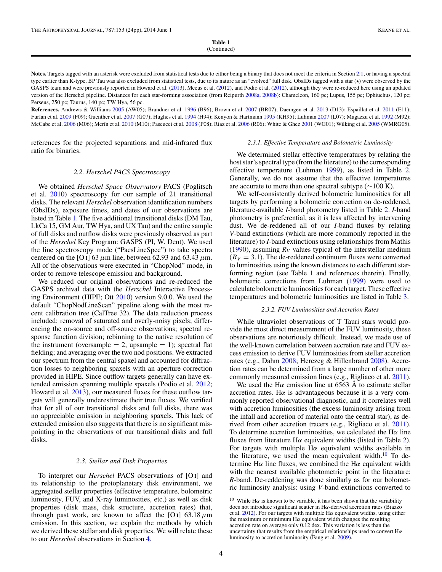**Table 1** (Continued)

<span id="page-3-0"></span>Notes. Targets tagged with an asterisk were excluded from statistical tests due to either being a binary that does not meet the criteria in Section [2.1,](#page-1-0) or having a spectral type earlier than K-type. BP Tau was also excluded from statistical tests, due to its nature as an "evolved" full disk. ObsIDs tagged with a star  $(\star)$  were observed by the GASPS team and were previously reported in Howard et al. [\(2013\)](#page-22-0), Meeus et al. [\(2012\)](#page-22-0), and Podio et al. [\(2012\)](#page-22-0), although they were re-reduced here using an updated version of the Herschel pipeline. Distances for each star-forming association (from Reipurth [2008a,](#page-22-0) [2008b\)](#page-22-0): Chameleon, 160 pc; Lupus, 155 pc; Ophiuchus, 120 pc; Perseus, 250 pc; Taurus, 140 pc; TW Hya, 56 pc.

**References.** Andrews & Williams [2005](#page-22-0) (AW05); Brandner et al. [1996](#page-22-0) (B96); Brown et al. [2007](#page-22-0) (BR07); Daemgen et al. [2013](#page-22-0) (D13); Espaillat et al. [2011](#page-22-0) (E11); Furlan et al. [2009](#page-22-0) (F09); Guenther et al. [2007](#page-22-0) (G07); Hughes et al. [1994](#page-22-0) (H94); Kenyon & Hartmann [1995](#page-22-0) (KH95); Luhman [2007](#page-22-0) (L07); Magazzu et al. [1992](#page-22-0) (M92); McCabe et al. [2006](#page-22-0) (M06); Merín et al. [2010](#page-22-0) (M10); Pascucci et al. [2008](#page-22-0) (P08); Riaz et al. 2006 (R06); White & Ghez [2001](#page-23-0) (WG01); Wilking et al. [2005](#page-23-0) (WMRG05).

references for the projected separations and mid-infrared flux ratio for binaries.

#### *2.2. Herschel PACS Spectroscopy*

We obtained *Herschel Space Observatory* PACS (Poglitsch et al. [2010\)](#page-22-0) spectroscopy for our sample of 21 transitional disks. The relevant *Herschel* observation identification numbers (ObsIDs), exposure times, and dates of our observations are listed in Table [1.](#page-2-0) The five additional transitional disks (DM Tau, LkCa 15, GM Aur, TW Hya, and UX Tau) and the entire sample of full disks and outflow disks were previously observed as part of the *Herschel* Key Program: GASPS (PI, W. Dent). We used the line spectroscopy mode ("PacsLineSpec") to take spectra centered on the [O<sub>I</sub>] 63  $\mu$ m line, between 62.93 and 63.43  $\mu$ m. All of the observations were executed in "ChopNod" mode, in order to remove telescope emission and background.

We reduced our original observations and re-reduced the GASPS archival data with the *Herschel* Interactive Processing Environment (HIPE; Ott [2010\)](#page-22-0) version 9.0.0. We used the default "ChopNodLineScan" pipeline along with the most recent calibration tree (CalTree 32). The data reduction process included: removal of saturated and overly-noisy pixels; differencing the on-source and off-source observations; spectral response function division; rebinning to the native resolution of the instrument (oversample  $= 2$ , upsample  $= 1$ ); spectral flat fielding; and averaging over the two nod positions. We extracted our spectrum from the central spaxel and accounted for diffraction losses to neighboring spaxels with an aperture correction provided in HIPE. Since outflow targets generally can have extended emission spanning multiple spaxels (Podio et al. [2012;](#page-22-0) Howard et al. [2013\)](#page-22-0), our measured fluxes for these outflow targets will generally underestimate their true fluxes. We verified that for all of our transitional disks and full disks, there was no appreciable emission in neighboring spaxels. This lack of extended emission also suggests that there is no significant mispointing in the observations of our transitional disks and full disks.

#### *2.3. Stellar and Disk Properties*

To interpret our *Herschel* PACS observations of [O i] and its relationship to the protoplanetary disk environment, we aggregated stellar properties (effective temperature, bolometric luminosity, FUV, and X-ray luminosities, etc.) as well as disk properties (disk mass, disk structure, accretion rates) that, through past work, are known to affect the [O<sub>I</sub>] 63.18 $\mu$ m emission. In this section, we explain the methods by which we derived these stellar and disk properties. We will relate these to our *Herschel* observations in Section [4.](#page-13-0)

#### *2.3.1. Effective Temperature and Bolometric Luminosity*

We determined stellar effective temperatures by relating the host star's spectral type (from the literature) to the corresponding effective temperature (Luhman [1999\)](#page-22-0), as listed in Table [2.](#page-4-0) Generally, we do not assume that the effective temperatures are accurate to more than one spectral subtype  $(\sim 100 \text{ K})$ .

We self-consistently derived bolometric luminosities for all targets by performing a bolometric correction on de-reddened, literature-available *I*-band photometry listed in Table [2.](#page-4-0) *I*-band photometry is preferential, as it is less affected by intervening dust. We de-reddened all of our *I*-band fluxes by relating *V*-band extinctions (which are more commonly reported in the literature) to *I*-band extinctions using relationships from Mathis [\(1990\)](#page-22-0), assuming  $R_V$  values typical of the interstellar medium  $(R_V = 3.1)$ . The de-reddened continuum fluxes were converted to luminosities using the known distances to each different starforming region (see Table [1](#page-2-0) and references therein). Finally, bolometric corrections from Luhman [\(1999\)](#page-22-0) were used to calculate bolometric luminosities for each target. These effective temperatures and bolometric luminosities are listed in Table [3.](#page-6-0)

#### *2.3.2. FUV Luminosities and Accretion Rates*

While ultraviolet observations of T Tauri stars would provide the most direct measurement of the FUV luminosity, these observations are notoriously difficult. Instead, we made use of the well-known correlation between accretion rate and FUV excess emission to derive FUV luminosities from stellar accretion rates (e.g., Dahm [2008;](#page-22-0) Herczeg & Hillenbrand [2008\)](#page-22-0). Accretion rates can be determined from a large number of other more commonly measured emission lines (e.g., Rigliaco et al. [2011\)](#page-22-0).

We used the H $\alpha$  emission line at 6563 Å to estimate stellar accretion rates. H*α* is advantageous because it is a very commonly reported observational diagnostic, and it correlates well with accretion luminosities (the excess luminosity arising from the infall and accretion of material onto the central star), as derived from other accretion tracers (e.g., Rigliaco et al. [2011\)](#page-22-0). To determine accretion luminosities, we calculated the H*α* line fluxes from literature H*α* equivalent widths (listed in Table [2\)](#page-4-0). For targets with multiple H*α* equivalent widths available in the literature, we used the mean equivalent width. $10$  To determine H*α* line fluxes, we combined the H*α* equivalent width with the nearest available photometric point in the literature: *R*-band. De-reddening was done similarly as for our bolometric luminosity analysis: using *V*-band extinctions converted to

<sup>&</sup>lt;sup>10</sup> While H $\alpha$  is known to be variable, it has been shown that the variability does not introduce significant scatter in H*α*-derived accretion rates (Biazzo et al. [2012\)](#page-22-0). For our targets with multiple H*α* equivalent widths, using either the maximum or minimum H*α* equivalent width changes the resulting accretion rate on average only 0.12 dex. This variation is less than the uncertainty that results from the empirical relationships used to convert H*α* luminosity to accretion luminosity (Fang et al. [2009\)](#page-22-0).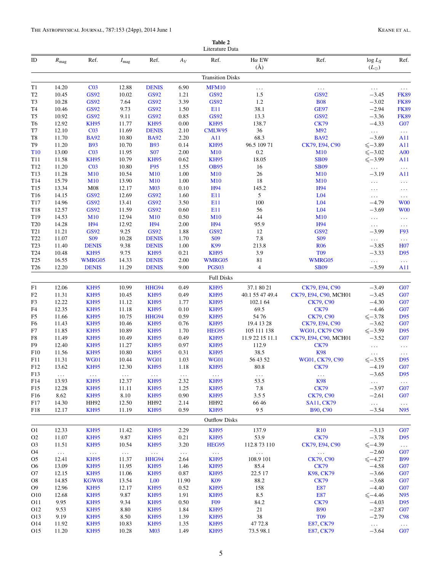<span id="page-4-0"></span>

|                   |                   |                         |                   |                      |                  | Literature Data         |                       |                                   |                            |                        |
|-------------------|-------------------|-------------------------|-------------------|----------------------|------------------|-------------------------|-----------------------|-----------------------------------|----------------------------|------------------------|
| ID                | $R_{\text{mag}}$  | Ref.                    | $I_{\text{mag}}$  | Ref.                 | $A_V$            | Ref.                    | $Hα$ EW<br>$(\AA)$    | Ref.                              | $log L_X$<br>$(L_{\odot})$ | Ref.                   |
|                   |                   |                         |                   |                      |                  | <b>Transition Disks</b> |                       |                                   |                            |                        |
| T1                | 14.20             | CO <sub>3</sub>         | 12.88             | <b>DENIS</b>         | 6.90             | MFM10                   | $\ddotsc$             | $\ldots$                          | $\ldots$                   | $\ldots$               |
| T2                | 10.45             | <b>GS92</b>             | 10.02             | <b>GS92</b>          | 1.21             | <b>GS92</b>             | 1.5                   | <b>GS92</b>                       | $-3.45$                    | <b>FK89</b>            |
| T <sub>3</sub>    | 10.28             | <b>GS92</b>             | 7.64              | <b>GS92</b>          | 3.39             | <b>GS92</b>             | 1.2                   | <b>B08</b>                        | $-3.02$                    | <b>FK89</b>            |
| T4                | 10.46             | <b>GS92</b>             | 9.73              | <b>GS92</b>          | 1.50             | <b>E11</b>              | 38.1                  | <b>GE97</b>                       | $-2.94$                    | <b>FK89</b>            |
| T5                | 10.92             | <b>GS92</b>             | 9.11              | <b>GS92</b>          | 0.85             | <b>GS92</b>             | 13.3                  | <b>GS92</b>                       | $-3.36$                    | <b>FK89</b>            |
| T <sub>6</sub>    | 12.92             | <b>KH95</b>             | 11.77             | <b>KH95</b>          | $0.00\,$         | <b>KH95</b>             | 138.7                 | <b>CK79</b>                       | $-4.33$                    | G07                    |
| T7                | 12.10             | CO <sub>3</sub>         | 11.69             | <b>DENIS</b>         | 2.10             | CMLW95                  | 36                    | M92                               | $\bar{\psi}$ .             | $\ldots$               |
| T <sub>8</sub>    | 11.70             | <b>BA92</b>             | 10.80             | <b>BA92</b>          | 2.20             | A11                     | 68.3                  | <b>BA92</b>                       | $-3.69$                    | A11                    |
| T9                | 11.20             | <b>B93</b>              | 10.70             | <b>B93</b>           | 0.14             | <b>KH95</b>             | 96.5 109 71           | CK79, E94, C90                    | $\leq$ -3.89               | A11                    |
| T <sub>10</sub>   | 13.00             | C <sub>03</sub>         | 11.95             | <b>S07</b>           | 2.00             | <b>M10</b>              | 0.2                   | <b>M10</b>                        | $\leq -3.02$               | <b>A00</b>             |
| T <sub>11</sub>   | 11.58             | <b>KH95</b>             | 10.79             | <b>KH95</b>          | 0.62             | <b>KH95</b>             | 18.05                 | <b>SB09</b>                       | $\leq -3.99$               | A11                    |
| T <sub>12</sub>   | 11.20             | CO <sub>3</sub>         | 10.80             | F95                  | 1.55             | <b>OB95</b>             | 16                    | <b>SB09</b>                       | $\ldots$                   | .                      |
| T13               | 11.28             | <b>M10</b>              | 10.54             | <b>M10</b>           | 1.00             | <b>M10</b>              | 26                    | <b>M10</b>                        | $-3.19$                    | A11                    |
| T14               | 15.79             | <b>M10</b>              | 13.90             | M10                  | 1.00             | <b>M10</b>              | 18                    | <b>M10</b>                        | $\ddotsc$                  | $\ldots$               |
| T <sub>15</sub>   | 13.34             | M <sub>08</sub>         | 12.17             | <b>M03</b>           | 0.10             | H94                     | 145.2                 | H94                               |                            |                        |
| T16               | 14.15             | <b>GS92</b>             | 12.69             | GS92                 | 1.60             | E <sub>11</sub>         | 5                     | L <sub>04</sub>                   | $\ldots$                   | $\ldots$               |
| T17               | 14.96             | <b>GS92</b>             | 13.41             | <b>GS92</b>          | 3.50             | E11                     | 100                   | L <sub>04</sub>                   | $\ldots$<br>$-4.79$        | $\ldots$<br><b>W00</b> |
| T18               | 12.57             |                         | 11.59             |                      | 0.60             | E11                     | 56                    |                                   |                            | <b>W00</b>             |
|                   |                   | <b>GS92</b>             |                   | <b>GS92</b>          |                  |                         | 44                    | L <sub>04</sub>                   | $-3.69$                    |                        |
| T19               | 14.53             | <b>M10</b>              | 12.94             | M10                  | 0.50             | <b>M10</b>              |                       | <b>M10</b>                        | $\ldots$                   | .                      |
| T20               | 14.28             | H94                     | 12.92             | H94                  | 2.00             | H94                     | 95.9                  | H94                               | $\cdots$                   | $\ldots$               |
| T <sub>21</sub>   | 11.21             | <b>GS92</b>             | 9.25              | <b>GS92</b>          | 1.88             | <b>GS92</b>             | 12                    | <b>GS92</b>                       | $-3.99$                    | F93                    |
| T22               | 11.07             | <b>S09</b>              | 10.28             | <b>DENIS</b>         | 1.70             | <b>S09</b>              | $7.8\,$               | <b>S09</b>                        | $\ldots$                   | $\ldots$               |
| T <sub>23</sub>   | 11.40             | <b>DENIS</b>            | 9.38              | <b>DENIS</b>         | 1.00             | K99                     | 213.8                 | <b>R06</b>                        | $-3.85$                    | H <sub>07</sub>        |
| T24               | 10.48             | <b>KH95</b>             | 9.75              | <b>KH95</b>          | 0.21             | <b>KH95</b>             | 3.9                   | <b>T09</b>                        | $-3.33$                    | D95                    |
| T <sub>25</sub>   | 16.55             | WMRG05                  | 14.33             | <b>DENIS</b>         | 2.00             | WMRG05                  | 81                    | WMRG05                            | $\ldots$                   | $\ldots$               |
| T <sub>26</sub>   | 12.20             | <b>DENIS</b>            | 11.29             | <b>DENIS</b>         | 9.00             | <b>PGS03</b>            | $\overline{4}$        | <b>SB09</b>                       | $-3.59$                    | A11                    |
| <b>Full Disks</b> |                   |                         |                   |                      |                  |                         |                       |                                   |                            |                        |
| F1                | 12.06             | <b>KH95</b>             | 10.99             | HHG94                | 0.49             | <b>KH95</b>             | 37.1 80 21            | CK79, E94, C90                    | $-3.49$                    | G07                    |
| F <sub>2</sub>    | 11.31             | <b>KH95</b>             | 10.45             | <b>KH95</b>          | 0.49             | <b>KH95</b>             | 40.1 55 47 49.4       | CK79, E94, C90, MCH01             | $-3.45$                    | G07                    |
| F3                | 12.22             | <b>KH95</b>             | 11.12             | <b>KH95</b>          | 1.77             | <b>KH95</b>             | 102.1 64              | CK79, C90                         | $-4.30$                    | G07                    |
| F4                | 12.35             | <b>KH95</b>             | 11.18             | <b>KH95</b>          | 0.10             | <b>KH95</b>             | 69.5                  | <b>CK79</b>                       | $-4.46$                    | G07                    |
| F5                | 11.66             | <b>KH95</b>             | 10.75             | HHG94                | 0.59             | <b>KH95</b>             | 54 76                 | <b>CK79, C90</b>                  | $\leq -3.78$               | D95                    |
| F6                | 11.43             | <b>KH95</b>             | 10.46             | <b>KH95</b>          | 0.76             | <b>KH95</b>             | 19.4 13 28            | CK79, E94, C90                    | $-3.62$                    | G07                    |
| F7                | 11.85             | <b>KH95</b>             | 10.89             | <b>KH95</b>          | 1.70             | HEG95                   | 105 111 138           | WG01, CK79 C90                    | $\leq$ –3.59               | D95                    |
| F8                | 11.49             | <b>KH95</b>             | 10.49             | <b>KH95</b>          | 0.49             | <b>KH95</b>             | 11.9 22 15 11.1       | CK79, E94, C90, MCH01             | $-3.52$                    | <b>G07</b>             |
| F <sub>9</sub>    | 12.40             | <b>KH95</b>             | 11.27             | <b>KH95</b>          | 0.97             | <b>KH95</b>             | 112.9                 | <b>CK79</b>                       | $\ldots$                   | $\ldots$               |
| F10               | 11.56             | <b>KH95</b>             | 10.80             | <b>KH95</b>          | 0.31             | <b>KH95</b>             | 38.5                  | <b>K98</b>                        | $\ldots$                   | $\ldots$               |
| F11               | 11.31             | <b>WG01</b>             | 10.44             | WG01                 | 1.03             | WG01                    | 56 43 52              | WG01, CK79, C90                   | $\leq -3.55$               | D <sub>95</sub>        |
| F12               | 13.62             | <b>KH95</b>             | 12.30             | <b>KH95</b>          | 1.18             | <b>KH95</b>             | 80.8                  | <b>CK79</b>                       | $-4.19$                    | G07                    |
| F <sub>13</sub>   | $\ldots$          | $\ldots$ .              | $\ldots$          | $\sim$ $\sim$ $\sim$ | $\ldots$         | $\ldots$                | $\sim$ .              | $\ldots$                          | $-3.65$                    | D95                    |
| F14               | 13.93             | <b>KH95</b>             | 12.37             | <b>KH95</b>          | 2.32             | <b>KH95</b>             | 53.5                  | <b>K98</b>                        | $\sim$ $\sim$ $\sim$       | $\ldots$               |
| F15               | 12.28             | <b>KH95</b>             | 11.11             | <b>KH95</b>          | 1.25             | <b>KH95</b>             | 7.8                   | <b>CK79</b>                       | $-3.97$                    | G07                    |
| F <sub>16</sub>   | 8.62              | <b>KH95</b>             | 8.10              | <b>KH95</b>          | 0.90             | <b>KH95</b>             | 3.55                  | CK79, C90                         | $-2.61$                    | G07                    |
| F17               | 14.30             | HH92                    | 12.50             | HH92                 | 2.14             | <b>HH92</b>             | 66 46                 | <b>SA11, CK79</b>                 | $\sim 10$                  | $\ldots$               |
| F18               | 12.17             | <b>KH95</b>             | 11.19             | <b>KH95</b>          | 0.59             | <b>KH95</b>             | 95                    | <b>B90. C90</b>                   | $-3.54$                    | N <sub>95</sub>        |
|                   |                   |                         |                   |                      |                  | <b>Outflow Disks</b>    |                       |                                   |                            |                        |
| O <sub>1</sub>    | 12.33             | <b>KH95</b>             | 11.42             | <b>KH95</b>          | 2.29             | <b>KH95</b>             | 137.9                 | <b>R10</b>                        | $-3.13$                    | G07                    |
| O <sub>2</sub>    | 11.07             | <b>KH95</b>             | 9.87              | <b>KH95</b>          | 0.21             | <b>KH95</b>             | 53.9                  | <b>CK79</b>                       | $-3.78$                    | D <sub>95</sub>        |
| O <sub>3</sub>    | 11.51             | <b>KH95</b>             | 10.54             | <b>KH95</b>          | 3.20             | HEG95                   | 112.8 73 110          | CK79, E94, C90                    | $≤-4.39$                   |                        |
| O <sub>4</sub>    |                   |                         |                   |                      |                  |                         |                       |                                   | $-2.60$                    | $\ldots$<br>G07        |
| O <sub>5</sub>    | $\sim$ .<br>12.41 | $\Box$ .<br><b>KH95</b> | $\ldots$<br>11.37 | $\ldots$<br>HHG94    | $\ldots$<br>2.64 | $\sim$ .<br><b>KH95</b> | $\sim$ .<br>108.9 101 | $\sim$ $\sim$<br><b>CK79, C90</b> | $\leq -4.27$               | <b>B99</b>             |
| O <sub>6</sub>    | 13.09             | <b>KH95</b>             | 11.95             | <b>KH95</b>          | 1.46             | <b>KH95</b>             | 85.4                  | <b>CK79</b>                       | $-4.58$                    | <b>G07</b>             |
|                   |                   | <b>KH95</b>             |                   |                      | 0.87             | <b>KH95</b>             | 22.5 17               | K98, CK79                         |                            | G07                    |
| O <sub>7</sub>    | 12.15             |                         | 11.06             | <b>KH95</b>          |                  |                         |                       |                                   | $-3.66$                    |                        |
| O8                | 14.85             | KGW08                   | 13.54             | L <sub>00</sub>      | 11.90            | <b>K09</b>              | 88.2                  | <b>CK79</b>                       | $-3.68$                    | G07                    |
| O <sub>9</sub>    | 12.96             | <b>KH95</b>             | 12.17             | <b>KH95</b>          | 0.52             | <b>KH95</b>             | 158                   | <b>E87</b>                        | $-4.40$                    | <b>G07</b>             |
| O10               | 12.68             | <b>KH95</b>             | 9.87              | <b>KH95</b>          | 1.91             | <b>KH95</b>             | 8.5                   | <b>E87</b>                        | $≤-4.46$                   | N95                    |
| O11               | 9.95              | <b>KH95</b>             | 9.34              | <b>KH95</b>          | 0.50             | <b>F09</b>              | 84.2                  | <b>CK79</b>                       | $-4.03$                    | D95                    |
| O <sub>12</sub>   | 9.53              | <b>KH95</b>             | 8.80              | <b>KH95</b>          | 1.84             | <b>KH95</b>             | 21                    | <b>B90</b>                        | $-2.87$                    | G07                    |
| O13               | 9.19              | <b>KH95</b>             | 8.50              | <b>KH95</b>          | 1.39             | <b>KH95</b>             | 38                    | <b>T09</b>                        | $-2.79$                    | <b>C98</b>             |
| O <sub>14</sub>   | 11.92             | <b>KH95</b>             | 10.83             | <b>KH95</b>          | 1.35             | <b>KH95</b>             | 47 72.8               | E87, CK79                         | $\sim$ .                   | $\ldots$ .             |
| O15               | 11.20             | <b>KH95</b>             | 10.28             | M <sub>03</sub>      | 1.49             | <b>KH95</b>             | 73.598.1              | E87, CK79                         | $-3.64$                    | G07                    |

**Table 2**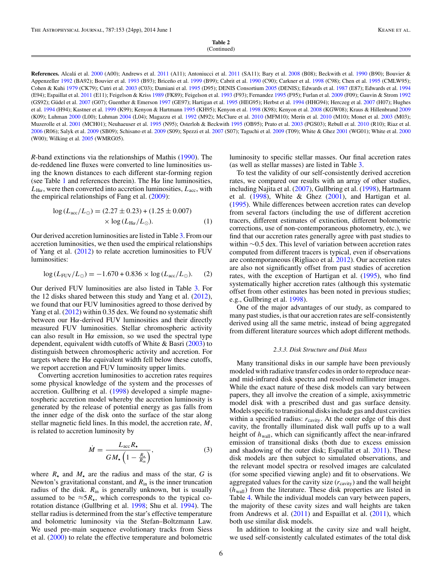**Table 2** (Continued)

<span id="page-5-0"></span>References. Alcalá et al. [2000](#page-21-0) (A00); Andrews et al. [2011](#page-22-0) (A11); Antoniucci et al. 2011 (SA11); Bary et al. [2008](#page-22-0) (B08); Beckwith et al. [1990](#page-22-0) (B90); Bouvier & Appenzeller [1992](#page-22-0) (BA92); Bouvier et al. [1993](#page-22-0) (B93); Briceño et al. [1999](#page-22-0) (B99); Cabrit et al. [1990](#page-22-0) (C90); Carkner et al. [1998](#page-22-0) (C98); Chen et al. [1995](#page-22-0) (CMLW95); Cohen & Kuhi [1979](#page-22-0) (CK79); Cutri et al. [2003](#page-22-0) (C03); Damiani et al. [1995](#page-22-0) (D95); DENIS Consortium [2005](#page-22-0) (DENIS); Edwards et al. [1987](#page-22-0) (E87); Edwards et al. [1994](#page-22-0) (E94); Espaillat et al. [2011](#page-22-0) (E11); Feigelson & Kriss [1989](#page-22-0) (FK89); Feigelson et al. [1993](#page-22-0) (F93); Fernandez [1995](#page-22-0) (F95); Furlan et al. [2009](#page-22-0) (F09); Gauvin & Strom [1992](#page-22-0) (GS92); Güdel et al. [2007](#page-22-0) (G07); Guenther & Emerson [1997](#page-22-0) (GE97); Hartigan et al. [1995](#page-22-0) (HEG95); Herbst et al. [1994](#page-22-0) (HHG94); Herczeg et al. 2007 (H07); Hughes et al. [1994](#page-22-0) (H94); Kastner et al. [1999](#page-22-0) (K99); Kenyon & Hartmann [1995](#page-22-0) (KH95); Kenyon et al. [1998](#page-22-0) (K98); Kenyon et al. [2008](#page-22-0) (KGW08); Kraus & Hillenbrand [2009](#page-22-0) (K09); Luhman [2000](#page-22-0) (L00); Luhman [2004](#page-22-0) (L04); Magazzu et al. [1992](#page-22-0) (M92); McClure et al. [2010](#page-22-0) (MFM10); Merín et al. 2010 (M10); Monet et al. [2003](#page-22-0) (M03); Muzerolle et al. [2001](#page-22-0) (MCH01); Neuhaeuser et al. [1995](#page-22-0) (N95); Osterloh & Beckwith 1995 (OB95); Prato et al. [2003](#page-22-0) (PGS03); Rebull et al. [2010](#page-22-0) (R10); Riaz et al. [2006](#page-22-0) (R06); Salyk et al. [2009](#page-23-0) (SB09); Schisano et al. [2009](#page-23-0) (S09); Spezzi et al. [2007](#page-23-0) (S07); Taguchi et al. [2009](#page-23-0) (T09); White & Ghez [2001](#page-23-0) (WG01); White et al. [2000](#page-23-0) (W00); Wilking et al. [2005](#page-23-0) (WMRG05).

*R*-band extinctions via the relationships of Mathis [\(1990\)](#page-22-0). The de-reddened line fluxes were converted to line luminosities using the known distances to each different star-forming region (see Table [1](#page-2-0) and references therein). The  $H\alpha$  line luminosities,  $L_{\text{H}\alpha}$ , were then converted into accretion luminosities,  $L_{\text{acc}}$ , with the empirical relationships of Fang et al. [\(2009\)](#page-22-0):

$$
\log(L_{\text{acc}}/L_{\odot}) = (2.27 \pm 0.23) + (1.25 \pm 0.007)
$$
  
× log (L<sub>H<sub>α</sub></sub>/L<sub>o</sub>). (1)

Our derived accretion luminosities are listed in Table [3.](#page-6-0) From our accretion luminosities, we then used the empirical relationships of Yang et al. [\(2012\)](#page-23-0) to relate accretion luminosities to FUV luminosities:

$$
\log\,(L_{\rm FUV}/L_{\odot}) = -1.670 + 0.836 \times \log\,(L_{\rm acc}/L_{\odot}).\qquad (2)
$$

Our derived FUV luminosities are also listed in Table [3.](#page-6-0) For the 12 disks shared between this study and Yang et al. [\(2012\)](#page-23-0), we found that our FUV luminosities agreed to those derived by Yang et al. [\(2012\)](#page-23-0) within 0.35 dex. We found no systematic shift between our H*α*-derived FUV luminosities and their directly measured FUV luminosities. Stellar chromospheric activity can also result in H*α* emission, so we used the spectral type dependent, equivalent width cutoffs of White & Basri [\(2003\)](#page-23-0) to distinguish between chromospheric activity and accretion. For targets where the H*α* equivalent width fell below these cutoffs, we report accretion and FUV luminosity upper limits.

Converting accretion luminosities to accretion rates requires some physical knowledge of the system and the processes of accretion. Gullbring et al. [\(1998\)](#page-22-0) developed a simple magnetospheric accretion model whereby the accretion luminosity is generated by the release of potential energy as gas falls from the inner edge of the disk onto the surface of the star along stellar magnetic field lines. In this model, the accretion rate,  $M$ , is related to accretion luminosity by

$$
\dot{M} = \frac{L_{\text{acc}} R_{\star}}{GM_{\star} \left(1 - \frac{R_{\star}}{R_{\text{in}}}\right)},\tag{3}
$$

where  $R_{\star}$  and  $M_{\star}$  are the radius and mass of the star, *G* is Newton's gravitational constant, and  $R_{\text{in}}$  is the inner truncation radius of the disk. *R*in is generally unknown, but is usually assumed to be  $\approx 5R_{\star}$ , which corresponds to the typical corotation distance (Gullbring et al. [1998;](#page-22-0) Shu et al. [1994\)](#page-23-0). The stellar radius is determined from the star's effective temperature and bolometric luminosity via the Stefan–Boltzmann Law. We used pre-main sequence evolutionary tracks from Siess et al. [\(2000\)](#page-23-0) to relate the effective temperature and bolometric

luminosity to specific stellar masses. Our final accretion rates (as well as stellar masses) are listed in Table [3.](#page-6-0)

To test the validity of our self-consistently derived accretion rates, we compared our results with an array of other studies, including Najita et al. [\(2007\)](#page-22-0), Gullbring et al. [\(1998\)](#page-22-0), Hartmann et al.  $(1998)$ , White & Ghez  $(2001)$ , and Hartigan et al. [\(1995\)](#page-22-0). While differences between accretion rates can develop from several factors (including the use of different accretion tracers, different estimates of extinction, different bolometric corrections, use of non-contemporaneous photometry, etc.), we find that our accretion rates generally agree with past studies to within ∼0.5 dex. This level of variation between accretion rates computed from different tracers is typical, even if observations are contemporaneous (Rigliaco et al. [2012\)](#page-22-0). Our accretion rates are also not significantly offset from past studies of accretion rates, with the exception of Hartigan et al. [\(1995\)](#page-22-0), who find systematically higher accretion rates (although this systematic offset from other estimates has been noted in previous studies; e.g., Gullbring et al. [1998\)](#page-22-0).

One of the major advantages of our study, as compared to many past studies, is that our accretion rates are self-consistently derived using all the same metric, instead of being aggregated from different literature sources which adopt different methods.

#### *2.3.3. Disk Structure and Disk Mass*

Many transitional disks in our sample have been previously modeled with radiative transfer codes in order to reproduce nearand mid-infrared disk spectra and resolved millimeter images. While the exact nature of these disk models can vary between papers, they all involve the creation of a simple, axisymmetric model disk with a prescribed dust and gas surface density. Models specific to transitional disks include gas and dust cavities within a specified radius:  $r_{\text{cavity}}$ . At the outer edge of this dust cavity, the frontally illuminated disk wall puffs up to a wall height of  $h_{\text{wall}}$ , which can significantly affect the near-infrared emission of transitional disks (both due to excess emission and shadowing of the outer disk; Espaillat et al. [2011\)](#page-22-0). These disk models are then subject to simulated observations, and the relevant model spectra or resolved images are calculated (for some specified viewing angle) and fit to observations. We aggregated values for the cavity size  $(r_{\text{cavity}})$  and the wall height  $(h_{wall})$  from the literature. These disk properties are listed in Table [4.](#page-7-0) While the individual models can vary between papers, the majority of these cavity sizes and wall heights are taken from Andrews et al.  $(2011)$  and Espaillat et al.  $(2011)$ , which both use similar disk models.

In addition to looking at the cavity size and wall height, we used self-consistently calculated estimates of the total disk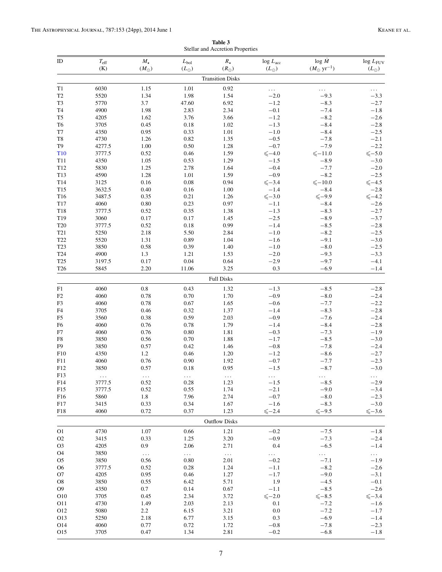**Table 3** Stellar and Accretion Properties

<span id="page-6-0"></span>

| ID                               | $T_{\rm eff}$  | $M_{\star}$      | $L_{bol}$     | $R_{\star}$             | $log L_{acc}$         | log M                         | $log L_{FUV}$         |
|----------------------------------|----------------|------------------|---------------|-------------------------|-----------------------|-------------------------------|-----------------------|
|                                  | (K)            | $(M_{\odot})$    | $(L_{\odot})$ | $(R_{\odot})$           | $(L_{\odot})$         | $(M_{\odot} \text{ yr}^{-1})$ | $(L_{\odot})$         |
|                                  |                |                  |               | <b>Transition Disks</b> |                       |                               |                       |
| T1                               | 6030           | 1.15             | 1.01          | 0.92                    | $\ldots$              | $\ldots$                      | $\cdots$              |
| T2                               | 5520           | 1.34             | 1.98          | 1.54                    | $-2.0$                | $-9.3$                        | $-3.3$                |
| T <sub>3</sub>                   | 5770           | 3.7              | 47.60         | 6.92                    | $-1.2$                | $-8.3$                        | $-2.7$                |
| T <sub>4</sub>                   | 4900           | 1.98             | 2.83          | 2.34                    | $-0.1$                | $-7.4$                        | $-1.8$                |
| T5<br>T <sub>6</sub>             | 4205<br>3705   | 1.62<br>0.45     | 3.76<br>0.18  | 3.66<br>1.02            | $-1.2$<br>$-1.3$      | $-8.2$<br>$-8.4$              | $-2.6$<br>$-2.8$      |
| T7                               | 4350           | 0.95             | 0.33          | 1.01                    | $-1.0$                | $-8.4$                        | $-2.5$                |
| T8                               | 4730           | 1.26             | 0.82          | 1.35                    | $-0.5$                | $-7.8$                        | $-2.1$                |
| T <sub>9</sub>                   | 4277.5         | 1.00             | 0.50          | 1.28                    | $-0.7$                | $-7.9$                        | $-2.2$                |
| T <sub>10</sub>                  | 3777.5         | 0.52             | 0.46          | 1.59                    | $\leqslant -4.0$      | $\leq -11.0$                  | $\leqslant -5.0$      |
| T <sub>11</sub>                  | 4350           | 1.05             | 0.53          | 1.29                    | $-1.5$                | $-8.9$                        | $-3.0$                |
| T12                              | 5830           | 1.25             | 2.78          | 1.64                    | $-0.4$                | $-7.7$                        | $-2.0$                |
| T13                              | 4590           | 1.28             | 1.01          | 1.59                    | $-0.9$                | $-8.2$                        | $-2.5$                |
| T14                              | 3125           | 0.16             | 0.08          | 0.94                    | $\leq -3.4$           | $\leqslant -10.0$             | $\leqslant -4.5$      |
| T <sub>15</sub>                  | 3632.5         | 0.40             | 0.16          | 1.00                    | $-1.4$                | $-8.4$                        | $-2.8$                |
| T <sub>16</sub><br>T17           | 3487.5         | 0.35             | 0.21          | 1.26                    | $\leq -3.0$<br>$-1.1$ | $\leqslant -9.9$<br>$-8.4$    | $\leqslant -4.2$      |
| T18                              | 4060<br>3777.5 | $0.80\,$<br>0.52 | 0.23<br>0.35  | 0.97<br>1.38            | $-1.3$                | $-8.3$                        | $-2.6$<br>$-2.7$      |
| T19                              | 3060           | 0.17             | 0.17          | 1.45                    | $-2.5$                | $-8.9$                        | $-3.7$                |
| T <sub>20</sub>                  | 3777.5         | 0.52             | 0.18          | 0.99                    | $-1.4$                | $-8.5$                        | $-2.8$                |
| T <sub>21</sub>                  | 5250           | 2.18             | 5.50          | 2.84                    | $-1.0$                | $-8.2$                        | $-2.5$                |
| T22                              | 5520           | 1.31             | 0.89          | 1.04                    | $-1.6$                | $-9.1$                        | $-3.0$                |
| T <sub>23</sub>                  | 3850           | 0.58             | 0.39          | 1.40                    | $-1.0$                | $-8.0$                        | $-2.5$                |
| T24                              | 4900           | 1.3              | 1.21          | 1.53                    | $-2.0$                | $-9.3$                        | $-3.3$                |
| T <sub>25</sub>                  | 3197.5         | 0.17             | 0.04          | 0.64                    | $-2.9$                | $-9.7$                        | $-4.1$                |
| T26                              | 5845           | 2.20             | 11.06         | 3.25                    | 0.3                   | $-6.9$                        | $-1.4$                |
|                                  |                |                  |               | <b>Full Disks</b>       |                       |                               |                       |
| F1                               | 4060           | $0.8\,$          | 0.43          | 1.32                    | $-1.3$                | $-8.5$                        | $-2.8$                |
| F2                               | 4060           | 0.78             | 0.70          | 1.70                    | $-0.9$                | $-8.0$                        | $-2.4$                |
| F3                               | 4060           | 0.78             | 0.67          | 1.65                    | $-0.6$                | $-7.7$                        | $-2.2$                |
| F4                               | 3705           | 0.46             | 0.32          | 1.37                    | $-1.4$                | $-8.3$                        | $-2.8$                |
| F <sub>5</sub>                   | 3560           | 0.38             | 0.59          | 2.03                    | $-0.9$                | $-7.6$                        | $-2.4$                |
| F6<br>${\rm F}7$                 | 4060<br>4060   | 0.76<br>0.76     | 0.78<br>0.80  | 1.79<br>1.81            | $-1.4$<br>$-0.3$      | $-8.4$<br>$-7.3$              | $-2.8$<br>$-1.9$      |
| ${\rm F}8$                       | 3850           | 0.56             | 0.70          | 1.88                    | $-1.7$                | $-8.5$                        | $-3.0$                |
| F9                               | 3850           | 0.57             | 0.42          | 1.46                    | $-0.8$                | $-7.8$                        | $-2.4$                |
| F10                              | 4350           | 1.2              | 0.46          | 1.20                    | $-1.2$                | $-8.6$                        | $-2.7$                |
| F11                              | 4060           | 0.76             | 0.90          | 1.92                    | $-0.7$                | $-7.7$                        | $-2.3$                |
| F12                              | 3850           | 0.57             | 0.18          | 0.95                    | $-1.5$                | $-8.7$                        | $-3.0$                |
| F13                              | $\ldots$       | $\ldots$         | $\cdots$      | $\ldots$                | $\ldots$              | $\ldots$                      | .                     |
| F14                              | 3777.5         | 0.52             | 0.28          | 1.23                    | $-1.5$                | $-8.5$                        | $-2.9$                |
| F15                              | 3777.5         | 0.52             | 0.55          | 1.74                    | $-2.1$                | $-9.0$                        | $-3.4$                |
| F <sub>16</sub>                  | 5860<br>3415   | 1.8              | 7.96          | 2.74                    | $-0.7$<br>$-1.6$      | $-8.0$                        | $-2.3$                |
| F17<br>F18                       | 4060           | 0.33<br>0.72     | 0.34<br>0.37  | 1.67<br>1.23            | $\leq -2.4$           | $-8.3$<br>$\leq -9.5$         | $-3.0$<br>$\leq -3.6$ |
|                                  |                |                  |               | <b>Outflow Disks</b>    |                       |                               |                       |
|                                  |                |                  |               |                         |                       |                               |                       |
| O <sub>1</sub><br>O <sub>2</sub> | 4730<br>3415   | 1.07<br>0.33     | 0.66<br>1.25  | 1.21<br>3.20            | $-0.2$<br>$-0.9$      | $-7.5$<br>$-7.3$              | $-1.8$<br>$-2.4$      |
| O <sub>3</sub>                   | 4205           | 0.9              | 2.06          | 2.71                    | 0.4                   | $-6.5$                        | $-1.4$                |
| O <sub>4</sub>                   | 3850           | $\ldots$         | $\ddotsc$     | $\Box$ .                | $\ldots$              | $\ddotsc$                     | $\ldots$              |
| O <sub>5</sub>                   | 3850           | 0.56             | 0.80          | 2.01                    | $-0.2$                | $-7.1$                        | $-1.9$                |
| O6                               | 3777.5         | 0.52             | 0.28          | 1.24                    | $-1.1$                | $-8.2$                        | $-2.6$                |
| O7                               | 4205           | 0.95             | 0.46          | 1.27                    | $-1.7$                | $-9.0$                        | $-3.1$                |
| O8                               | 3850           | 0.55             | 6.42          | 5.71                    | 1.9                   | $-4.5$                        | $-0.1$                |
| O <sub>9</sub>                   | 4350           | $0.7\,$          | 0.14          | 0.67                    | $-1.1$                | $-8.5$                        | $-2.6$                |
| O10                              | 3705           | 0.45             | 2.34          | 3.72                    | $\leqslant -2.0$      | $\leq -8.5$                   | $\leq -3.4$           |
| O11                              | 4730           | 1.49             | 2.03          | 2.13                    | 0.1                   | $-7.2$                        | $-1.6$                |
| O <sub>12</sub><br>O13           | 5080<br>5250   | $2.2\,$<br>2.18  | 6.15<br>6.77  | 3.21<br>3.15            | 0.0<br>0.3            | $-7.2$<br>$-6.9$              | $-1.7$<br>$-1.4$      |
| O14                              | 4060           | 0.77             | 0.72          | 1.72                    | $-0.8$                | $-7.8$                        | $-2.3$                |
| O15                              | 3705           | 0.47             | 1.34          | 2.81                    | $-0.2$                | $-6.8$                        | $-1.8$                |
|                                  |                |                  |               |                         |                       |                               |                       |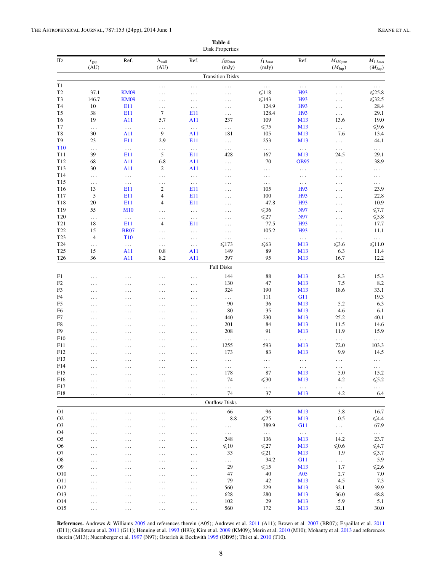#### **Table 4** Disk Properties

<span id="page-7-0"></span>

| ID                                 | $r_{\rm gap}$<br>(AU) | Ref.                 | $h_{\text{wall}}$<br>(AU)     | Ref.                 | $f_{850\mu m}$<br>(mJy) | $f_{1.3mm}$<br>(mJy) | Ref.            | $M_{850\mu m}$<br>$(M_{\text{Jup}})$ | $M_{1.3mm}$<br>$(M_{\text{Jup}})$ |
|------------------------------------|-----------------------|----------------------|-------------------------------|----------------------|-------------------------|----------------------|-----------------|--------------------------------------|-----------------------------------|
|                                    |                       |                      |                               |                      | <b>Transition Disks</b> |                      |                 |                                      |                                   |
| T1                                 |                       |                      | $\ldots$                      | .                    | $\ldots$                | $\ddotsc$            | $\ddotsc$       | $\cdots$                             | $\ddotsc$                         |
| T <sub>2</sub>                     | 37.1                  | <b>KM09</b>          | $\ddotsc$                     | .                    | $\ddotsc$               | $\leq 118$           | H93             | $\ldots$                             | $\leqslant$ 25.8                  |
| T <sub>3</sub>                     | 146.7                 | <b>KM09</b>          | $\ddotsc$                     | .                    | $\ddotsc$               | $\leq 143$           | H93             | $\ldots$                             | $\leqslant$ 32.5                  |
| T <sub>4</sub>                     | 10                    | E11                  | $\ddotsc$                     | $\ldots$             | $\ldots$                | 124.9                | H93             | $\cdots$                             | 28.4                              |
| T <sub>5</sub>                     | 38                    | E11                  | $\tau$                        | E11                  | $\ldots$                | 128.4                | H93             | $\ddotsc$                            | 29.1                              |
| T6                                 | 19                    | A11                  | 5.7                           | A11                  | 237                     | 109                  | M <sub>13</sub> | 13.6                                 | 19.0                              |
| T7                                 | $\ldots$              | $\ldots$             | $\ldots$                      | $\ldots$             | $\ldots$                | $\leqslant$ 75       | M <sub>13</sub> | $\ddotsc$                            | ${\leq}9.6$                       |
| T8                                 | 30                    | A11                  | 9                             | A11                  | 181                     | 105                  | M13             | 7.6                                  | 13.4                              |
| T9                                 | 23                    | E11                  | 2.9                           | E11                  | $\ldots$                | 253                  | M <sub>13</sub> | $\ddotsc$                            | 44.1                              |
| T <sub>10</sub>                    | .                     | $\ldots$             | $\ddotsc$                     | $\sim$ .             | $\ldots$                | $\ldots$             | $\ldots$        | $\ldots$                             | $\ldots$                          |
| T11                                | 39                    | E11                  | 5                             | E11                  | 428                     | 167                  | M13             | 24.5                                 | 29.1                              |
| T <sub>12</sub><br>T <sub>13</sub> | 68<br>30              | A11                  | 6.8<br>$\boldsymbol{2}$       | A11                  | $\ldots$                | 70                   | <b>OB95</b>     | $\ddotsc$                            | 38.9                              |
| T14                                |                       | A11                  |                               | A11                  | $\ddotsc$               | $\ldots$             | $\ldots$        | $\ldots$                             | $\ddotsc$                         |
| T <sub>15</sub>                    | $\ldots$              | $\ddotsc$            | $\ddotsc$                     | $\cdots$             | $\ldots$                | $\cdots$             | $\ldots$        | $\ldots$                             | $\ddotsc$                         |
| T16                                | $\ldots$<br>13        | $\ldots$<br>E11      | $\ddotsc$<br>$\boldsymbol{2}$ | $\ldots$<br>E11      | $\ldots$                | $\cdots$<br>105      | $\ldots$<br>H93 | $\ldots$                             | $\ddotsc$<br>23.9                 |
| T17                                | 5                     | E11                  | $\overline{4}$                | E11                  | $\ddotsc$               | 100                  | H93             | $\ldots$                             | 22.8                              |
| T18                                | 20                    | E11                  | 4                             | E11                  | $\ddotsc$               | 47.8                 | H93             | $\ldots$                             | 10.9                              |
| T <sub>19</sub>                    | 55                    | M10                  |                               |                      | $\ldots$                | $\leqslant$ 36       | N97             | $\ldots$                             | $\leq 7.7$                        |
| T <sub>20</sub>                    |                       |                      | $\ddotsc$                     | $\cdots$             | $\ldots$                | $\leqslant$ 27       | N97             | $\ldots$                             | $\leqslant$ 5.8                   |
| T <sub>21</sub>                    | $\ldots$<br>$18\,$    | $\ldots$<br>E11      | $\ddotsc$<br>4                | $\ldots$<br>E11      | $\ddotsc$               | 77.5                 | H93             | $\ddots$                             | 17.7                              |
| T <sub>22</sub>                    | 15                    | <b>BR07</b>          |                               |                      | $\ddotsc$               | 105.2                | H <sub>93</sub> | $\ddots$                             | 11.1                              |
| T <sub>23</sub>                    | $\overline{4}$        | T <sub>10</sub>      | $\ddotsc$                     | $\ldots$<br>$\cdots$ | $\ddotsc$               | $\ldots$             | $\sim$ .        | $\cdots$                             | $\ddotsc$                         |
| T <sub>24</sub>                    | .                     | $\ldots$             | $\ddotsc$<br>$\ddotsc$        | $\cdots$             | $\ddotsc$<br>$\leq 173$ | $\leq 63$            | M13             | $\ddotsc$<br>$\leq 3.6$              | $\leqslant$ 11.0                  |
| T <sub>25</sub>                    | 15                    | A11                  | 0.8                           | A11                  | 149                     | 89                   | M13             | 6.3                                  | 11.4                              |
| T <sub>26</sub>                    | 36                    | A11                  | 8.2                           | A11                  | 397                     | 95                   | M13             | 16.7                                 | 12.2                              |
|                                    |                       |                      |                               |                      | <b>Full Disks</b>       |                      |                 |                                      |                                   |
|                                    |                       |                      |                               |                      | 144                     | 88                   |                 | 8.3                                  |                                   |
| F1                                 | .                     | $\ddotsc$            | $\cdots$                      | $\ddotsc$            |                         | 47                   | M13             |                                      | 15.3                              |
| F <sub>2</sub><br>F3               | .                     | $\cdots$             | $\ldots$                      | .                    | 130<br>324              | 190                  | M13<br>M13      | 7.5<br>18.6                          | 8.2<br>33.1                       |
| F4                                 | .                     | $\ldots$             | $\ldots$                      | .                    |                         | 111                  | G11             |                                      | 19.3                              |
| F5                                 | .                     | $\ldots$             | $\ldots$                      | .                    | $\ldots$<br>90          | 36                   | M13             | 5.2                                  | 6.3                               |
| F6                                 | .                     | $\ldots$             | $\ldots$                      | .                    | 80                      | 35                   | M <sub>13</sub> | 4.6                                  | 6.1                               |
| F7                                 | .                     | $\cdots$             | $\cdots$                      | .                    | 440                     | 230                  | M <sub>13</sub> | 25.2                                 | 40.1                              |
| F8                                 | .                     | $\cdots$             | $\ldots$                      | .                    | 201                     | 84                   | M13             | 11.5                                 | 14.6                              |
| F9                                 | .                     | $\ldots$             | $\ldots$                      | .                    | 208                     | 91                   | M13             | 11.9                                 | 15.9                              |
| F10                                | .<br>.                | $\ldots$<br>$\ldots$ | $\ldots$<br>$\ldots$          | $\ddotsc$<br>.       | $\ldots$                | $\cdots$             | $\ldots$        | $\ldots$                             | $\ldots$                          |
| F11                                | .                     |                      | $\cdots$                      | .                    | 1255                    | 593                  | M <sub>13</sub> | 72.0                                 | 103.3                             |
| F12                                | .                     | $\ldots$<br>$\cdots$ | $\cdots$                      | .                    | 173                     | 83                   | M <sub>13</sub> | 9.9                                  | 14.5                              |
| F13                                | .                     | .                    | .                             | .                    | $\ldots$                | $\cdots$             | $\ldots$        | $\ddotsc$                            | .                                 |
| F14                                | .                     | $\ldots$             | $\ldots$                      | .                    | $\ldots$                | $\ldots$             | $\ldots$        | $\ldots$                             | $\ldots$                          |
| F15                                | .                     | $\cdots$             | .                             | .                    | 178                     | 87                   | M13             | 5.0                                  | 15.2                              |
| F16                                | .                     | .                    | .                             | .                    | 74                      | $\leqslant$ 30       | M <sub>13</sub> | 4.2                                  | ${\leq}5.2$                       |
| F17                                | .                     | $\cdots$             | $\ddotsc$                     | .                    | .                       | $\ldots$             | $\ldots$        | $\ldots$                             | i i i                             |
| F18                                | .                     | $\cdots$             | $\ldots$                      | .                    | 74                      | 37                   | M13             | 4.2                                  | 6.4                               |
|                                    |                       |                      |                               |                      | <b>Outflow Disks</b>    |                      |                 |                                      |                                   |
| O <sub>1</sub>                     | .                     | $\ldots$             |                               | .                    | 66                      | 96                   | M13             | 3.8                                  | 16.7                              |
| O2                                 |                       |                      | $\ldots$                      |                      | $8.8\,$                 | $\leq 25$            | M13             | 0.5                                  | $\leq 4.4$                        |
| O <sub>3</sub>                     | .<br>.                | .<br>.               | .<br>.                        | .<br>.               | $\ldots$                | 389.9                | G11             | $\ldots$                             | 67.9                              |
| O <sub>4</sub>                     | .                     | .                    | .                             | .                    | $\ldots$                | $\ldots$             | $\sim$ .        | $\ddotsc$                            | $\ldots$                          |
| O5                                 | . .                   | .                    | .                             | .                    | 248                     | 136                  | M13             | 14.2                                 | 23.7                              |
| O6                                 | .                     | .                    | .                             | .                    | $\leqslant$ 10          | $\leqslant$ 27       | M13             | $\leqslant 0.6$                      | $\leqslant$ 4.7                   |
| O <sub>7</sub>                     | .                     | $\cdots$             | .                             | .                    | 33                      | $\leq 21$            | M13             | 1.9                                  | $\leqslant$ 3.7                   |
| O8                                 | .                     | .                    | .                             | .                    | .                       | 34.2                 | G11             | $\ldots$                             | 5.9                               |
| O <sub>9</sub>                     | .                     | .                    | .                             | .                    | 29                      | $\leqslant$ 15       | M13             | 1.7                                  | ${\leq}2.6$                       |
| O10                                | .                     | $\cdots$             | .                             | .                    | 47                      | 40                   | A05             | 2.7                                  | 7.0                               |
| 011                                | .                     | .                    | .                             | .                    | 79                      | 42                   | M13             | 4.5                                  | 7.3                               |
| O12                                | .                     | $\cdots$             | .                             | .                    | 560                     | 229                  | M13             | 32.1                                 | 39.9                              |
| O13                                | .                     | $\cdots$             | .                             | .                    | 628                     | 280                  | M13             | 36.0                                 | 48.8                              |
| O14                                | .                     | $\cdots$             | $\ddotsc$                     | .                    | 102                     | 29                   | M <sub>13</sub> | 5.9                                  | 5.1                               |
| 015                                | .                     | $\ldots$             | $\ldots$                      | .                    | 560                     | 172                  | M13             | 32.1                                 | 30.0                              |

**References.** Andrews & Williams [2005](#page-22-0) and references therein (A05); Andrews et al. [2011](#page-22-0) (A11); Brown et al. [2007](#page-22-0) (BR07); Espaillat et al. [2011](#page-22-0) (E11); Guilloteau et al. [2011](#page-22-0) (G11); Henning et al. [1993](#page-22-0) (H93); Kim et al. [2009](#page-22-0) (KM09); Merín et al. [2010](#page-22-0) (M10); Mohanty et al. [2013](#page-22-0) and references therein (M13); Nuernberger et al. [1997](#page-22-0) (N97); Osterloh & Beckwith [1995](#page-22-0) (OB95); Thi et al. [2010](#page-23-0) (T10).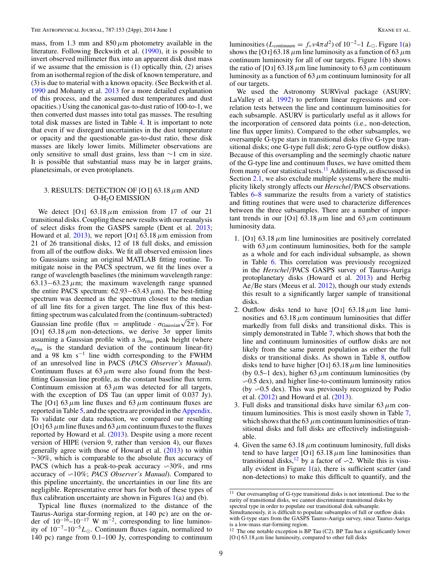<span id="page-8-0"></span>mass, from 1.3 mm and  $850 \mu m$  photometry available in the literature. Following Beckwith et al. [\(1990\)](#page-22-0), it is possible to invert observed millimeter flux into an apparent disk dust mass if we assume that the emission is (1) optically thin, (2) arises from an isothermal region of the disk of known temperature, and (3) is due to material with a known opacity. (See Beckwith et al. [1990](#page-22-0) and Mohanty et al. [2013](#page-22-0) for a more detailed explanation of this process, and the assumed dust temperatures and dust opacities.) Using the canonical gas-to-dust ratio of 100-to-1, we then converted dust masses into total gas masses. The resulting total disk masses are listed in Table [4.](#page-7-0) It is important to note that even if we disregard uncertainties in the dust temperature or opacity and the questionable gas-to-dust ratio, these disk masses are likely lower limits. Millimeter observations are only sensitive to small dust grains, less than ∼1 cm in size. It is possible that substantial mass may be in larger grains, planetesimals, or even protoplanets.

# 3. RESULTS: DETECTION OF [O I] 63.18*μ*m AND O-H2O EMISSION

We detect  $[O<sub>1</sub>]$  63.18  $\mu$ m emission from 17 of our 21 transitional disks. Coupling these new results with our reanalysis of select disks from the GASPS sample (Dent et al. [2013;](#page-22-0) Howard et al.  $2013$ ), we report [O i] 63.18  $\mu$ m emission from 21 of 26 transitional disks, 12 of 18 full disks, and emission from all of the outflow disks. We fit all observed emission lines to Gaussians using an original MATLAB fitting routine. To mitigate noise in the PACS spectrum, we fit the lines over a range of wavelength baselines (the minimum wavelength range:  $63.13-63.23 \mu m$ ; the maximum wavelength range spanned the entire PACS spectrum: 62.93−63.43*μ*m). The best-fitting spectrum was deemed as the spectrum closest to the median of all line fits for a given target. The line flux of this bestfitting spectrum was calculated from the (continuum-subtracted) Gaussian line profile (flux = amplitude ·  $\sigma_{\text{Gaussian}} \sqrt{2\pi}$ ). For [O i] 63.18*μ*m non-detections, we derive 3*σ* upper limits assuming a Gaussian profile with a  $3\sigma_{\rm rms}$  peak height (where *σ*rms is the standard deviation of the continuum linear-fit) and a 98 km s<sup> $-1$ </sup> line width corresponding to the FWHM of an unresolved line in PACS (*PACS Observer's Manual*). Continuum fluxes at  $63 \mu m$  were also found from the bestfitting Gaussian line profile, as the constant baseline flux term. Continuum emission at  $63 \mu m$  was detected for all targets, with the exception of DS Tau (an upper limit of 0.037 Jy). The [O<sub>I</sub>] 63  $\mu$ m line fluxes and 63  $\mu$ m continuum fluxes are reported in Table [5,](#page-9-0) and the spectra are provided in the [Appendix.](#page-21-0) To validate our data reduction, we compared our resulting [O I] 63  $\mu$ m line fluxes and 63  $\mu$ m continuum fluxes to the fluxes reported by Howard et al. [\(2013\)](#page-22-0). Despite using a more recent version of HIPE (version 9, rather than version 4), our fluxes generally agree with those of Howard et al. [\(2013\)](#page-22-0) to within ∼30%, which is comparable to the absolute flux accuracy of PACS (which has a peak-to-peak accuracy  $\sim$ 30%, and rms accuracy of 10%; *PACS Observer's Manual*). Compared to this pipeline uncertainty, the uncertainties in our line fits are negligible. Representative error bars for both of these types of flux calibration uncertainty are shown in Figures  $1(a)$  $1(a)$  and (b).

Typical line fluxes (normalized to the distance of the Taurus-Auriga star-forming region, at 140 pc) are on the order of  $10^{-16}$ – $10^{-17}$  W m<sup>-2</sup>, corresponding to line luminosity of 10−7–10−<sup>5</sup>*L*. Continuum fluxes (again, normalized to 140 pc) range from 0*.*1–100 Jy, corresponding to continuum

luminosities ( $L_{\text{continuum}} = f_\nu v 4\pi d^2$ ) of 10<sup>-2</sup>–1  $L_{\odot}$ . Figure [1\(](#page-11-0)a) shows the [O<sub>I</sub>] 63.18  $\mu$ m line luminosity as a function of 63  $\mu$ m continuum luminosity for all of our targets. Figure [1\(](#page-11-0)b) shows the ratio of [O<sub>I</sub>] 63.18  $\mu$ m line luminosity to 63  $\mu$ m continuum luminosity as a function of 63*μ*m continuum luminosity for all of our targets.

We used the Astronomy SURVival package (ASURV; LaValley et al. [1992\)](#page-22-0) to perform linear regressions and correlation tests between the line and continuum luminosities for each subsample. ASURV is particularly useful as it allows for the incorporation of censored data points (i.e., non-detection, line flux upper limits). Compared to the other subsamples, we oversample G-type stars in transitional disks (five G-type transitional disks; one G-type full disk; zero G-type outflow disks). Because of this oversampling and the seemingly chaotic nature of the G-type line and continuum fluxes, we have omitted them from many of our statistical tests.<sup>11</sup> Additionally, as discussed in Section [2.1,](#page-1-0) we also exclude multiple systems where the multiplicity likely strongly affects our *Herschel/*PACS observations. Tables  $6-8$  $6-8$  summarize the results from a variety of statistics and fitting routines that were used to characterize differences between the three subsamples. There are a number of important trends in our [O<sub>I</sub>] 63.18  $\mu$ m line and 63  $\mu$ m continuum luminosity data.

- 1. [O<sub>I</sub>] 63.18  $\mu$ m line luminosities are positively correlated with 63  $\mu$ m continuum luminosities, both for the sample as a whole and for each individual subsample, as shown in Table [6.](#page-10-0) This correlation was previously recognized in the *Herschel/*PACS GASPS survey of Taurus-Auriga protoplanetary disks (Howard et al. [2013\)](#page-22-0) and Herbig Ae*/*Be stars (Meeus et al. [2012\)](#page-22-0), though our study extends this result to a significantly larger sample of transitional disks.
- 2. Outflow disks tend to have [O i]  $63.18 \mu m$  line luminosities and  $63.18 \mu m$  continuum luminosities that differ markedly from full disks and transitional disks. This is simply demonstrated in Table [7,](#page-12-0) which shows that both the line and continuum luminosities of outflow disks are not likely from the same parent population as either the full disks or transitional disks. As shown in Table [8,](#page-13-0) outflow disks tend to have higher [O <sup>i</sup>] 63.18  $\mu$ m line luminosities (by 0.5–1 dex), higher 63  $\mu$ m continuum luminosities (by  $\sim$ 0.5 dex), and higher line-to-continuum luminosity ratios (by  $\sim 0.5$  dex). This was previously recognized by Podio et al. [\(2012\)](#page-22-0) and Howard et al. [\(2013\)](#page-22-0).
- 3. Full disks and transitional disks have similar 63*μ*m continuum luminosities. This is most easily shown in Table [7,](#page-12-0) which shows that the 63  $\mu$ m continuum luminosities of transitional disks and full disks are effectively indistinguishable.
- 4. Given the same  $63.18 \mu$ m continuum luminosity, full disks tend to have larger [O I]  $63.18 \mu m$  line luminosities than transitional disks,<sup>12</sup> by a factor of  $\sim$ 2. While this is visually evident in Figure  $1(a)$  $1(a)$ , there is sufficient scatter (and non-detections) to make this difficult to quantify, and the

<sup>11</sup> Our oversampling of G-type transitional disks is not intentional. Due to the rarity of transitional disks, we cannot discriminate transitional disks by spectral type in order to populate our transitional disk subsample.

Simultaneously, it is difficult to populate subsamples of full or outflow disks with G-type stars from the GASPS Taurus-Auriga survey, since Taurus-Auriga is a low-mass star-forming region.

<sup>&</sup>lt;sup>12</sup> The one notable exception is BP Tau (C2). BP Tau has a significantly lower [O I] 63.18  $\mu$ m line luminosity, compared to other full disks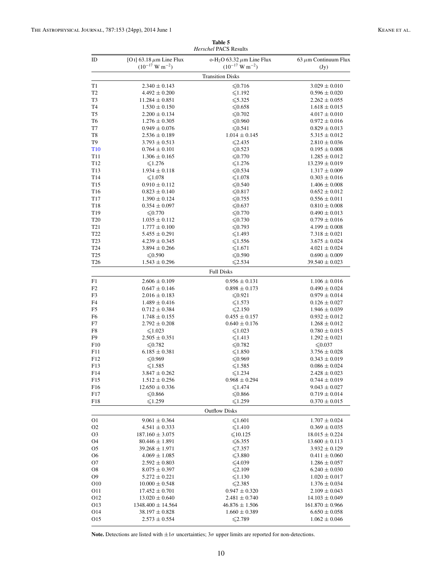<span id="page-9-0"></span>

|                 |                                                                            | Herschel PACS Results                                                       |                                   |
|-----------------|----------------------------------------------------------------------------|-----------------------------------------------------------------------------|-----------------------------------|
| ID              | [O <sub>I</sub> ] 63.18 $\mu$ m Line Flux<br>$(10^{-17} \text{ W m}^{-2})$ | o-H <sub>2</sub> O 63.32 $\mu$ m Line Flux<br>$(10^{-17} \text{ W m}^{-2})$ | 63 $\mu$ m Continuum Flux<br>(Jy) |
|                 |                                                                            | <b>Transition Disks</b>                                                     |                                   |
| T1              | $2.340 \pm 0.143$                                                          | $\leq 0.716$                                                                | $3.029 \pm 0.010$                 |
| T2              | $4.492 \pm 0.200$                                                          | $\leqslant$ 1.192                                                           | $0.596 \pm 0.020$                 |
| T3              | $11.284 \pm 0.851$                                                         | $\leq 5.325$                                                                | $2.262 \pm 0.055$                 |
| T4              | $1.530 \pm 0.150$                                                          | $\leqslant 0.658$                                                           | $1.618 \pm 0.015$                 |
| T5              | $2.200 \pm 0.134$                                                          | $\leq 0.702$                                                                | $4.017 \pm 0.010$                 |
| T6              | $1.276 \pm 0.305$                                                          | $\leq 0.960$                                                                | $0.972 \pm 0.016$                 |
| T7              | $0.949 \pm 0.076$                                                          | $\leq 0.541$                                                                | $0.829 \pm 0.013$                 |
| T8              | $2.536 \pm 0.189$                                                          | $1.014 \pm 0.145$                                                           | $5.315 \pm 0.012$                 |
| T9              | $3.793 \pm 0.513$                                                          | $\leqslant$ 2.435                                                           | $2.810 \pm 0.036$                 |
| <b>T10</b>      | $0.764 \pm 0.101$                                                          | $\leq 0.523$                                                                | $0.195 \pm 0.008$                 |
| T11             | $1.306 \pm 0.165$                                                          |                                                                             | $1.285 \pm 0.012$                 |
| T <sub>12</sub> |                                                                            | $\leq 0.770$                                                                |                                   |
|                 | $\leqslant$ 1.276                                                          | $\leqslant$ 1.276                                                           | $13.239 \pm 0.019$                |
| T <sub>13</sub> | $1.934 \pm 0.118$                                                          | $\leq 0.534$                                                                | $1.317 \pm 0.009$                 |
| T14             | $\leqslant$ 1.078                                                          | $\leq 1.078$                                                                | $0.303 \pm 0.016$                 |
| T15             | $0.910 \pm 0.112$                                                          | ≤ 0.540                                                                     | $1.406 \pm 0.008$                 |
| T16             | $0.823 \pm 0.140$                                                          | $\leq 0.817$                                                                | $0.652 \pm 0.012$                 |
| T17             | $1.390 \pm 0.124$                                                          | $\leq 0.755$                                                                | $0.556 \pm 0.011$                 |
| T18             | $0.354 \pm 0.097$                                                          | $\leq 0.637$                                                                | $0.810 \pm 0.008$                 |
| T19             | $\leqslant 0.770$                                                          | $\leq 0.770$                                                                | $0.490 \pm 0.013$                 |
| T <sub>20</sub> | $1.035 \pm 0.112$                                                          | $\leqslant$ 0.730                                                           | $0.779 \pm 0.016$                 |
| T <sub>21</sub> | $1.777 \pm 0.100$                                                          | $\leq 0.793$                                                                | $4.199 \pm 0.008$                 |
| T22             | $5.455 \pm 0.291$                                                          | $\leq 1.493$                                                                | $7.318 \pm 0.021$                 |
| T <sub>23</sub> | $4.239 \pm 0.345$                                                          | $\leqslant$ 1.556                                                           | $3.675 \pm 0.024$                 |
| T <sub>24</sub> | $3.894 \pm 0.266$                                                          | $\leq 1.671$                                                                | $4.021 \pm 0.024$                 |
| T <sub>25</sub> | ${\leqslant}0.590$                                                         | $\leqslant 0.590$                                                           | $0.690 \pm 0.009$                 |
| T26             | $1.543 \pm 0.296$                                                          | $\leqslant$ 2.534                                                           | $39.540 \pm 0.023$                |
|                 |                                                                            | <b>Full Disks</b>                                                           |                                   |
| F1              | $2.606 \pm 0.109$                                                          | $0.956 \pm 0.131$                                                           | $1.106 \pm 0.016$                 |
| F <sub>2</sub>  | $0.647 \pm 0.146$                                                          | $0.898 \pm 0.173$                                                           | $0.490 \pm 0.024$                 |
| F3              | $2.016 \pm 0.183$                                                          | $\leqslant 0.921$                                                           | $0.979 \pm 0.014$                 |
| F4              | $1.489 \pm 0.416$                                                          | $\leqslant$ 1.573                                                           | $0.126 \pm 0.027$                 |
| F5              | $0.712 \pm 0.384$                                                          | $≤2.150$                                                                    | $1.946 \pm 0.039$                 |
| F6              | $1.748 \pm 0.155$                                                          | $0.455 \pm 0.157$                                                           | $0.932 \pm 0.012$                 |
| F7              | $2.792 \pm 0.208$                                                          | $0.640 \pm 0.176$                                                           | $1.268 \pm 0.012$                 |
| F8              | $\leq 1.023$                                                               | $\leqslant$ 1.023                                                           | $0.780 \pm 0.015$                 |
| F9              | $2.505 \pm 0.351$                                                          | $\leq 1.413$                                                                | $1.292 \pm 0.021$                 |
| F10             | $\leq 0.782$                                                               | $\leqslant$ 0.782                                                           | $\leq 0.037$                      |
| F11             | $6.185 \pm 0.381$                                                          | $\leq 1.850$                                                                | $3.756 \pm 0.028$                 |
| F <sub>12</sub> | ≤0.969                                                                     |                                                                             | $0.343 \pm 0.019$                 |
|                 |                                                                            | $\leqslant$ 0.969                                                           |                                   |
| F13             | $\leqslant$ 1.585                                                          | $\leqslant$ 1.585                                                           | $0.086 \pm 0.024$                 |
| F14             | $3.847 \pm 0.262$                                                          | $\leqslant$ 1.234                                                           | $2.428 \pm 0.023$                 |
| F15             | $1.512 \pm 0.256$                                                          | $0.968\pm0.294$                                                             | $0.744 \pm 0.019$                 |
| F16             | $12.650 \pm 0.336$                                                         | $≤1.474$                                                                    | $9.043 \pm 0.027$                 |
| F17             | $\leqslant$ 0.866                                                          | $≤0.866$                                                                    | $0.719 \pm 0.014$                 |
| F18             | $\leqslant$ 1.259                                                          | $\leqslant$ 1.259                                                           | $0.370 \pm 0.015$                 |
|                 |                                                                            | <b>Outflow Disks</b>                                                        |                                   |
| O1              | $9.061 \pm 0.364$                                                          | $\leq 1.601$                                                                | $1.707 \pm 0.024$                 |
| O <sub>2</sub>  | $4.541 \pm 0.333$                                                          | $\leq 1.410$                                                                | $0.369 \pm 0.035$                 |
| O3              | $187.160 \pm 3.075$                                                        | $\leq 10.125$                                                               | $18.015 \pm 0.224$                |
| O4              | $80.446 \pm 1.891$                                                         | $≤ 6.355$                                                                   | $13.600 \pm 0.113$                |
| O5              | $39.268 \pm 1.971$                                                         | $\leq 7.357$                                                                | $3.932 \pm 0.129$                 |
| O6              | $4.069 \pm 1.085$                                                          | ≤3.880                                                                      | $0.411 \pm 0.060$                 |
| O7              | $2.592 \pm 0.803$                                                          | ≤4.039                                                                      | $1.286 \pm 0.057$                 |
| O8              | $8.075 \pm 0.397$                                                          | $\leq 2.109$                                                                | $6.240 \pm 0.030$                 |
| O <sub>9</sub>  | $5.272 \pm 0.221$                                                          | $\leq 1.130$                                                                | $1.020 \pm 0.017$                 |
| O <sub>10</sub> | $10.000 \pm 0.548$                                                         | $≤2.385$                                                                    | $1.376 \pm 0.034$                 |
| 011             | $17.452 \pm 0.701$                                                         | $0.947 \pm 0.320$                                                           | $2.109 \pm 0.043$                 |
| 012             | $13.020 \pm 0.640$                                                         | $2.481 \pm 0.740$                                                           | $14.103 \pm 0.049$                |
| O <sub>13</sub> | $1348.400 \pm 14.564$                                                      | $46.876 \pm 1.506$                                                          | $161.870 \pm 0.966$               |
| 014             | $38.197 \pm 0.828$                                                         | $1.660 \pm 0.389$                                                           | $6.650 \pm 0.058$                 |
| O15             | $2.573 \pm 0.554$                                                          | $\leq 2.789$                                                                | $1.062 \pm 0.046$                 |
|                 |                                                                            |                                                                             |                                   |

# **Table 5**

Note. Detections are listed with  $\pm 1\sigma$  uncertainties;  $3\sigma$  upper limits are reported for non-detections.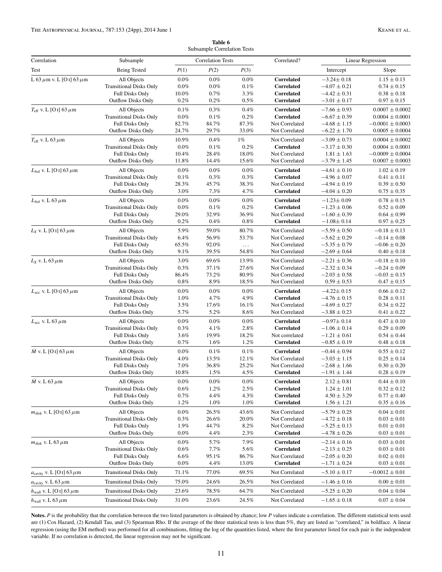<span id="page-10-0"></span>

|                                                           |                                                     |                  | Dubsampic Correlation rests |                |                                  |                                      |                                             |
|-----------------------------------------------------------|-----------------------------------------------------|------------------|-----------------------------|----------------|----------------------------------|--------------------------------------|---------------------------------------------|
| Correlation                                               | Subsample                                           |                  | <b>Correlation Tests</b>    |                | Correlated?                      |                                      | <b>Linear Regression</b>                    |
| Test                                                      | <b>Being Tested</b>                                 | P(1)             | P(2)                        | P(3)           |                                  | Intercept                            | Slope                                       |
| L 63 $\mu$ m v. L [O <sub>I</sub> ] 63 $\mu$ m            | All Objects                                         | $0.0\%$          | $0.0\%$                     | $0.0\%$        | Correlated                       | $-3.24 \pm 0.18$                     | $1.15 \pm 0.13$                             |
|                                                           | <b>Transitional Disks Only</b>                      | $0.0\%$          | $0.0\%$                     | 0.1%           | Correlated                       | $-4.07 \pm 0.21$                     | $0.74 \pm 0.15$                             |
|                                                           | <b>Full Disks Only</b>                              | 10.0%            | 0.7%                        | 3.3%           | Correlated                       | $-4.42 \pm 0.31$                     | $0.38 \pm 0.18$                             |
|                                                           | <b>Outflow Disks Only</b>                           | 0.2%             | 0.2%                        | 0.5%           | Correlated                       | $-3.01 \pm 0.17$                     | $0.97\pm0.15$                               |
| $T_{\rm eff}$ v. L [O <sub>I</sub> ] 63 $\mu$ m           | All Objects                                         | 0.1%             | 0.3%                        | 0.4%           | Correlated                       | $-7.66 \pm 0.93$                     | $0.0007 \pm 0.0002$                         |
|                                                           | <b>Transitional Disks Only</b>                      | $0.0\%$          | 0.1%                        | 0.2%           | Correlated                       | $-6.67 \pm 0.39$                     | $0.0004 \pm 0.0001$                         |
|                                                           | <b>Full Disks Only</b><br><b>Outflow Disks Only</b> | 82.7%<br>24.7%   | 84.7%<br>29.7%              | 87.3%<br>33.0% | Not Correlated<br>Not Correlated | $-4.68 \pm 1.15$<br>$-6.22 \pm 1.70$ | $-0.0001 \pm 0.0003$<br>$0.0005 \pm 0.0004$ |
|                                                           |                                                     |                  |                             |                |                                  |                                      |                                             |
| $T_{\rm eff}$ v. L 63 $\mu$ m                             | All Objects<br><b>Transitional Disks Only</b>       | 10.9%<br>$0.0\%$ | 0.4%<br>0.1%                | $1\%$<br>0.2%  | Not Correlated<br>Correlated     | $-3.09 \pm 0.73$<br>$-3.17 \pm 0.30$ | $0.0004 \pm 0.0002$<br>$0.0004 \pm 0.0001$  |
|                                                           | <b>Full Disks Only</b>                              | 10.4%            | 28.4%                       | 18.0%          | Not Correlated                   | $1.81 \pm 1.63$                      | $-0.0009 \pm 0.0004$                        |
|                                                           | <b>Outflow Disks Only</b>                           | 11.8%            | 14.4%                       | 15.6%          | Not Correlated                   | $-3.79 \pm 1.45$                     | $0.0007 \pm 0.0003$                         |
| $L_{bol}$ v. L [O <sub>I</sub> ] 63 $\mu$ m               | All Objects                                         | $0.0\%$          | $0.0\%$                     | $0.0\%$        | Correlated                       | $-4.61 \pm 0.10$                     | $1.02 \pm 0.19$                             |
|                                                           | <b>Transitional Disks Only</b>                      | $0.1\%$          | 0.3%                        | 0.3%           | Correlated                       | $-4.96 \pm 0.07$                     | $0.41 \pm 0.11$                             |
|                                                           | <b>Full Disks Only</b>                              | 28.3%            | 45.7%                       | 38.3%          | Not Correlated                   | $-4.94 \pm 0.19$                     | $0.39 \pm 0.50$                             |
|                                                           | <b>Outflow Disks Only</b>                           | 3.0%             | 7.3%                        | 4.7%           | Correlated                       | $-4.04\pm0.20$                       | $0.75\pm0.35$                               |
| $L_{\rm bol}$ v. L 63 $\mu$ m                             | All Objects                                         | $0.0\%$          | $0.0\%$                     | $0.0\%$        | Correlated                       | $-1.23 \pm 0.09$                     | $0.78 \pm 0.15$                             |
|                                                           | <b>Transitional Disks Only</b>                      | $0.0\%$          | 0.1%                        | 0.2%           | Correlated                       | $-1.23 \pm 0.06$                     | $0.52 \pm 0.09$                             |
|                                                           | <b>Full Disks Only</b>                              | 29.0%            | 32.9%                       | 36.9%          | Not Correlated                   | $-1.60 \pm 0.39$                     | $0.64 \pm 0.99$                             |
|                                                           | <b>Outflow Disks Only</b>                           | $0.2\%$          | 0.4%                        | $0.8\%$        | Correlated                       | $-1.08 \pm 0.14$                     | $0.97 \pm 0.25$                             |
| $L_X$ v. L [O <sub>I</sub> ] 63 $\mu$ m                   | All Objects                                         | 5.9%             | 59.0%                       | 80.7%          | Not Correlated                   | $-5.59 \pm 0.50$                     | $-0.18 \pm 0.13$                            |
|                                                           | <b>Transitional Disks Only</b>                      | $6.4\%$          | 56.9%                       | 53.7%          | Not Correlated                   | $-5.62 \pm 0.29$                     | $-0.14 \pm 0.08$                            |
|                                                           | <b>Full Disks Only</b>                              | 65.5%            | 92.0%                       | $\ldots$       | Not Correlated                   | $-5.35 \pm 0.79$                     | $-0.06 \pm 0.20$                            |
|                                                           | <b>Outflow Disks Only</b>                           | 9.1%             | 39.5%                       | 54.8%          | Not Correlated                   | $-2.69 \pm 0.64$                     | $0.40 \pm 0.18$                             |
| $L_X$ v. L 63 $\mu$ m                                     | All Objects                                         | 3.0%             | 69.6%                       | 13.9%          | Not Correlated                   | $-2.21 \pm 0.36$                     | $-0.18 \pm 0.10$                            |
|                                                           | <b>Transitional Disks Only</b>                      | $0.3\%$          | 37.1%                       | 27.6%          | Not Correlated                   | $-2.32 \pm 0.34$                     | $-0.24 \pm 0.09$                            |
|                                                           | <b>Full Disks Only</b>                              | 86.4%            | 73.2%                       | 80.9%          | Not Correlated                   | $-2.03 \pm 0.58$                     | $-0.03 \pm 0.15$                            |
|                                                           | <b>Outflow Disks Only</b>                           | $0.8\%$          | 8.9%                        | 18.5%          | Not Correlated                   | $0.59\pm0.53$                        | $0.47 \pm 0.15$                             |
| $L_{\text{acc}}$ v. L [O <sub>I</sub> ] 63 $\mu$ m        | All Objects                                         | $0.0\%$          | 0.0%                        | 0.0%           | Correlated                       | $-4.22 \pm 0.15$                     | $0.66 \pm 0.12$                             |
|                                                           | <b>Transitional Disks Only</b>                      | 1.0%             | 4.7%                        | 4.9%           | Correlated                       | $-4.76 \pm 0.15$                     | $0.28 \pm 0.11$                             |
|                                                           | <b>Full Disks Only</b>                              | 3.5%             | 17.6%                       | 16.1%          | Not Correlated                   | $-4.69 \pm 0.27$                     | $0.34 \pm 0.22$                             |
|                                                           | <b>Outflow Disks Only</b>                           | 5.7%             | 5.2%                        | 8.6%           | Not Correlated                   | $-3.88 \pm 0.23$                     | $0.41 \pm 0.22$                             |
| $L_{\rm acc}$ v. L 63 $\mu$ m                             | All Objects                                         | $0.0\%$          | $0.0\%$                     | 0.0%           | Correlated                       | $-0.97 \pm 0.14$                     | $0.47 \pm 0.10$                             |
|                                                           | <b>Transitional Disks Only</b>                      | $0.3\%$<br>3.6%  | 4.1%                        | 2.8%           | Correlated<br>Not correlated     | $-1.06 \pm 0.14$<br>$-1.21 \pm 0.61$ | $0.29 \pm 0.09$                             |
|                                                           | <b>Full Disks Only</b><br><b>Outflow Disks Only</b> | 0.7%             | 19.9%<br>1.6%               | 18.2%<br>1.2%  | Correlated                       | $-0.85 \pm 0.19$                     | $0.54 \pm 0.44$<br>$0.48 \pm 0.18$          |
|                                                           |                                                     |                  |                             |                |                                  | $-0.44 \pm 0.94$                     |                                             |
| M v. L [O <sub>I</sub> ] 63 $\mu$ m                       | All Objects<br><b>Transitional Disks Only</b>       | $0.0\%$<br>4.0%  | 0.1%<br>13.5%               | 0.1%<br>12.1%  | Correlated<br>Not Correlated     | $-3.03 \pm 1.15$                     | $0.55 \pm 0.12$<br>$0.25 \pm 0.14$          |
|                                                           | <b>Full Disks Only</b>                              | 7.0%             | 36.8%                       | 25.2%          | Not Correlated                   | $-2.68 \pm 1.66$                     | $0.30 \pm 0.20$                             |
|                                                           | <b>Outflow Disks Only</b>                           | 10.8%            | $1.5\%$                     | 4.5%           | Correlated                       | $-1.91 \pm 1.44$                     | $0.28 \pm 0.19$                             |
| $\dot{M}$ v. L 63 $\mu$ m                                 | All Objects                                         | $0.0\%$          | $0.0\%$                     | 0.0%           | Correlated                       | $2.12 \pm 0.81$                      | $0.44 \pm 0.10$                             |
|                                                           | <b>Transitional Disks Only</b>                      | $0.6\%$          | 1.2%                        | 2.5%           | <b>Correlated</b>                | $1.24 \pm 1.01$                      | $0.32 \pm 0.12$                             |
|                                                           | <b>Full Disks Only</b>                              | $0.7\%$          | 4.4%                        | 4.3%           | <b>Correlated</b>                | $4.50 \pm 3.29$                      | $0.77 \pm 0.40$                             |
|                                                           | <b>Outflow Disks Only</b>                           | 1.2%             | 1.0%                        | 1.0%           | Correlated                       | $1.56 \pm 1.21$                      | $0.35 \pm 0.16$                             |
| $m_{\rm disk}$ v. L $\left[ \text{O}\,{}$ I] 63 $\mu{}$ m | All Objects                                         | $0.0\%$          | 26.5%                       | 43.6%          | Not Correlated                   | $-5.79 \pm 0.25$                     | $0.04 \pm 0.01$                             |
|                                                           | <b>Transitional Disks Only</b>                      | 0.3%             | 26.6%                       | 20.0%          | Not Correlated                   | $-4.72 \pm 0.18$                     | $0.03 \pm 0.01$                             |
|                                                           | <b>Full Disks Only</b>                              | 1.9%             | 44.7%                       | 8.2%           | Not Correlated                   | $-5.25 \pm 0.13$                     | $0.01 \pm 0.01$                             |
|                                                           | <b>Outflow Disks Only</b>                           | $0.0\%$          | 4.4%                        | 2.3%           | Correlated                       | $-4.78 \pm 0.26$                     | $0.03 \pm 0.01$                             |
| $m_{\rm disk}$ v. L 63 $\mu$ m                            | All Objects                                         | $0.0\%$          | 5.7%                        | 7.9%           | Correlated                       | $-2.14 \pm 0.16$                     | $0.03 \pm 0.01$                             |
|                                                           | <b>Transitional Disks Only</b>                      | $0.6\%$          | 7.7%                        | 5.6%           | Correlated                       | $-2.13 \pm 0.25$                     | $0.03 \pm 0.01$                             |
|                                                           | <b>Full Disks Only</b>                              | $6.6\%$          | 95.1%                       | 86.7%          | Not Correlated                   | $-2.05 \pm 0.20$                     | $0.02 \pm 0.01$                             |
|                                                           | <b>Outflow Disks Only</b>                           | $0.0\%$          | 4.4%                        | 13.0%          | Correlated                       | $-1.71 \pm 0.24$                     | $0.03 \pm 0.01$                             |
| $a_{\text{cavity}}$ v. L [O <sub>I</sub> ] 63 $\mu$ m     | <b>Transitional Disks Only</b>                      | 71.1%            | 77.0%                       | 69.5%          | Not Correlated                   | $-5.10\pm0.17$                       | $-0.0012 \pm 0.01$                          |
| $a_{\rm cavity}$ v. L 63 $\mu$ m                          | <b>Transitional Disks Only</b>                      | 75.0%            | 24.6%                       | 26.5%          | Not Correlated                   | $-1.46 \pm 0.16$                     | $0.00 \pm 0.01$                             |
| $h_{\text{wall}}$ v. L [O <sub>I</sub> ] 63 $\mu$ m       | <b>Transitional Disks Only</b>                      | 23.6%            | 78.5%                       | 64.7%          | Not Correlated                   | $-5.25 \pm 0.20$                     | $0.04 \pm 0.04$                             |
| $h_{\rm wall}$ v. L $63\,\mu{\rm m}$                      | <b>Transitional Disks Only</b>                      | 31.0%            | 23.6%                       | 24.5%          | Not Correlated                   | $-1.65 \pm 0.18$                     | $0.07 \pm 0.04$                             |
|                                                           |                                                     |                  |                             |                |                                  |                                      |                                             |

**Table 6** Subsample Correlation Tests

Notes. P is the probability that the correlation between the two listed parameters is obtained by chance; low P values indicate a correlation. The different statistical tests used are (1) Cox Hazard, (2) Kendall Tau, and (3) Spearman Rho. If the average of the three statistical tests is less than 5%, they are listed as "correlated," in boldface. A linear regression (using the EM method) was performed for all combinations, fitting the log of the quantities listed, where the first parameter listed for each pair is the independent variable. If no correlation is detected, the linear regression may not be significant.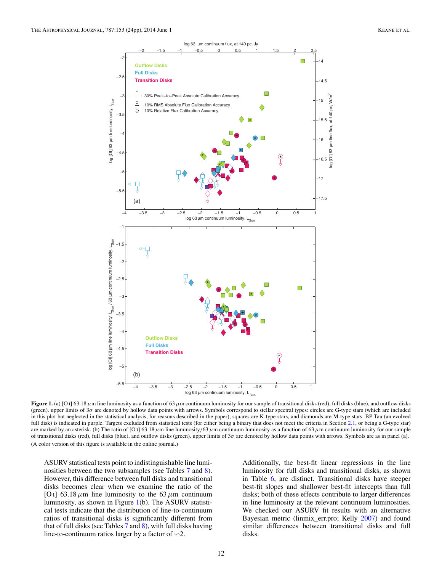<span id="page-11-0"></span>

**Figure 1.** (a) [O i] 63.18*μ*m line luminosity as a function of 63*μ*m continuum luminosity for our sample of transitional disks (red), full disks (blue), and outflow disks (green). upper limits of 3*σ* are denoted by hollow data points with arrows. Symbols correspond to stellar spectral types: circles are G-type stars (which are included in this plot but neglected in the statistical analysis, for reasons described in the paper), squares are K-type stars, and diamonds are M-type stars. BP Tau (an evolved full disk) is indicated in purple. Targets excluded from statistical tests (for either being a binary that does not meet the criteria in Section [2.1,](#page-1-0) or being a G-type star) are marked by an asterisk. (b) The ratio of [O<sub>1</sub>] 63.18  $\mu$ m line luminosity/63  $\mu$ m continuum luminosity as a function of 63  $\mu$ m continuum luminosity for our sample of transitional disks (red), full disks (blue), and outflow disks (green). upper limits of 3*σ* are denoted by hollow data points with arrows. Symbols are as in panel (a). (A color version of this figure is available in the online journal.)

ASURV statistical tests point to indistinguishable line luminosities between the two subsamples (see Tables [7](#page-12-0) and [8\)](#page-13-0). However, this difference between full disks and transitional disks becomes clear when we examine the ratio of the [O i] 63.18  $\mu$ m line luminosity to the 63  $\mu$ m continuum luminosity, as shown in Figure 1(b). The ASURV statistical tests indicate that the distribution of line-to-continuum ratios of transitional disks is significantly different from that of full disks (see Tables [7](#page-12-0) and [8\)](#page-13-0), with full disks having line-to-continuum ratios larger by a factor of  $\sim$ 2.

Additionally, the best-fit linear regressions in the line luminosity for full disks and transitional disks, as shown in Table [6,](#page-10-0) are distinct. Transitional disks have steeper best-fit slopes and shallower best-fit intercepts than full disks; both of these effects contribute to larger differences in line luminosity at the relevant continuum luminosities. We checked our ASURV fit results with an alternative Bayesian metric (linmix\_err.pro; Kelly [2007\)](#page-22-0) and found similar differences between transitional disks and full disks.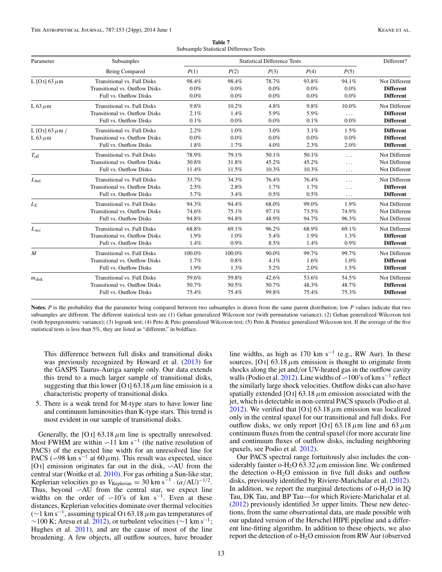<span id="page-12-0"></span>

| Parameter                        | Subsamples                            |         | <b>Statistical Difference Tests</b> |         |         |          |                  |  |
|----------------------------------|---------------------------------------|---------|-------------------------------------|---------|---------|----------|------------------|--|
|                                  | <b>Being Compared</b>                 | P(1)    | P(2)                                | P(3)    | P(4)    | P(5)     |                  |  |
| L [O <sub>I</sub> ] 63 $\mu$ m   | <b>Transitional vs. Full Disks</b>    | 98.4%   | 98.4%                               | 78.7%   | 93.8%   | 94.1%    | Not Different    |  |
|                                  | <b>Transitional vs. Outflow Disks</b> | 0.0%    | $0.0\%$                             | $0.0\%$ | $0.0\%$ | $0.0\%$  | <b>Different</b> |  |
|                                  | <b>Full vs. Outflow Disks</b>         | 0.0%    | $0.0\%$                             | 0.0%    | $0.0\%$ | 0.0%     | <b>Different</b> |  |
| L 63 $\mu$ m                     | <b>Transitional vs. Full Disks</b>    | 9.8%    | 10.2%                               | 4.8%    | 9.8%    | 10.0%    | Not Different    |  |
|                                  | <b>Transitional vs. Outflow Disks</b> | 2.1%    | 1.4%                                | 5.9%    | 5.9%    | $\ldots$ | <b>Different</b> |  |
|                                  | <b>Full vs. Outflow Disks</b>         | 0.1%    | 0.0%                                | $0.0\%$ | 0.1%    | $0.0\%$  | <b>Different</b> |  |
| L [O <sub>I</sub> ] 63 $\mu$ m / | <b>Transitional vs. Full Disks</b>    | 2.2%    | 1.0%                                | 3.0%    | 3.1%    | 1.5%     | <b>Different</b> |  |
| L 63 $\mu$ m                     | <b>Transitional vs. Outflow Disks</b> | $0.0\%$ | $0.0\%$                             | 0.0%    | $0.0\%$ | 0.0%     | <b>Different</b> |  |
|                                  | <b>Full vs. Outflow Disks</b>         | 1.8%    | 1.7%                                | 4.0%    | 2.3%    | 2.0%     | <b>Different</b> |  |
| $T_{\rm eff}$                    | <b>Transitional vs. Full Disks</b>    | 78.9%   | 79.1%                               | 50.1%   | 50.1%   | $\ldots$ | Not Different    |  |
|                                  | <b>Transitional vs. Outflow Disks</b> | 30.8%   | 31.8%                               | 45.2%   | 45.2%   | $\cdots$ | Not Different    |  |
|                                  | <b>Full vs. Outflow Disks</b>         | 11.4%   | 11.5%                               | 10.3%   | 10.3%   | $\cdots$ | Not Different    |  |
| $L_{bol}$                        | <b>Transitional vs. Full Disks</b>    | 33.7%   | 34.3%                               | 76.4%   | 76.4%   | $\cdots$ | Not Different    |  |
|                                  | <b>Transitional vs. Outflow Disks</b> | 2.5%    | 2.8%                                | 1.7%    | 1.7%    | $\cdots$ | <b>Different</b> |  |
|                                  | <b>Full vs. Outflow Disks</b>         | 3.7%    | 3.4%                                | 0.5%    | 0.5%    | $\cdots$ | <b>Different</b> |  |
| $L_X$                            | <b>Transitional vs. Full Disks</b>    | 94.3%   | 94.4%                               | 68.0%   | 99.0%   | 1.9%     | Not Different    |  |
|                                  | <b>Transitional vs. Outflow Disks</b> | 74.6%   | 75.1%                               | 97.1%   | 73.5%   | 74.9%    | Not Different    |  |
|                                  | <b>Full vs. Outflow Disks</b>         | 94.8%   | 94.8%                               | 48.9%   | 94.7%   | 96.3%    | Not Different    |  |
| L <sub>acc</sub>                 | <b>Transitional vs. Full Disks</b>    | 68.8%   | 69.1%                               | 96.2%   | 68.9%   | 69.1%    | Not Different    |  |
|                                  | <b>Transitional vs. Outflow Disks</b> | 1.9%    | 1.0%                                | 5.4%    | 1.9%    | 1.3%     | <b>Different</b> |  |
|                                  | <b>Full vs. Outflow Disks</b>         | 1.4%    | 0.9%                                | 8.5%    | 1.4%    | 0.9%     | <b>Different</b> |  |
| $\dot{M}$                        | <b>Transitional vs. Full Disks</b>    | 100.0%  | 100.0%                              | 90.0%   | 99.7%   | 99.7%    | Not Different    |  |
|                                  | <b>Transitional vs. Outflow Disks</b> | 1.7%    | $0.8\%$                             | 4.1%    | 1.6%    | 1.0%     | <b>Different</b> |  |
|                                  | <b>Full vs. Outflow Disks</b>         | 1.9%    | 1.3%                                | 5.2%    | 2.0%    | 1.5%     | <b>Different</b> |  |
| $m_{\rm disk}$                   | <b>Transitional vs. Full Disks</b>    | 59.6%   | 59.8%                               | 42.6%   | 53.6%   | 54.5%    | Not Different    |  |
|                                  | <b>Transitional vs. Outflow Disks</b> | 50.7%   | 50.5%                               | 50.7%   | 48.3%   | 48.7%    | <b>Different</b> |  |
|                                  | <b>Full vs. Outflow Disks</b>         | 75.4%   | 75.4%                               | 99.8%   | 75.4%   | 75.3%    | <b>Different</b> |  |

**Table 7** Subsample Statistical Difference Tests

**Notes.** *P* is the probability that the parameter being compared between two subsamples is drawn from the same parent distribution; low *P* values indicate that two subsamples are different. The different statistical tests are (1) Gehan generalized Wilcoxon test (with permutation variance); (2) Gehan generalized Wilcoxon test (with hypergeometric variance); (3) logrank test; (4) Peto & Peto generalized Wilcoxon test; (5) Peto & Prentice generalized Wilcoxon test. If the average of the five statistical tests is less than 5%, they are listed as "different," in boldface.

This difference between full disks and transitional disks was previously recognized by Howard et al. [\(2013\)](#page-22-0) for the GASPS Taurus-Auriga sample only. Our data extends this trend to a much larger sample of transitional disks, suggesting that this lower [O i]  $63.18 \mu$ m line emission is a characteristic property of transitional disks.

5. There is a weak trend for M-type stars to have lower line and continuum luminosities than K-type stars. This trend is most evident in our sample of transitional disks.

Generally, the  $[O I]$  63.18  $\mu$ m line is spectrally unresolved. Most FWHM are within  $\sim$ 11 km s<sup>-1</sup> (the native resolution of PACS) of the expected line width for an unresolved line for PACS ( $\sim$ 98 km s<sup>-1</sup> at 60  $\mu$ m). This result was expected, since [O I] emission originates far out in the disk,  $\sim$ AU from the central star (Woitke et al. [2010\)](#page-23-0). For gas orbiting a Sun-like star, Keplerian velocities go as  $V_{\text{Keplerian}} = 30 \text{ km s}^{-1} \cdot (a/\text{AU})^{-1/2}$ . Thus, beyond  $\sim$ AU from the central star, we expect line widths on the order of  $\sim 10'$ s of km s<sup>-1</sup>. Even at these distances, Keplerian velocities dominate over thermal velocities (∼1 km s−1, assuming typical O <sup>i</sup> 63.18*μ*m gas temperatures of  $\sim$ 100 K; Aresu et al. [2012\)](#page-22-0), or turbulent velocities ( $\sim$ 1 km s<sup>-1</sup>; Hughes et al. [2011\)](#page-22-0), and are the cause of most of the line broadening. A few objects, all outflow sources, have broader line widths, as high as 170 km s<sup>-1</sup> (e.g., RW Aur). In these sources, [O<sub>I</sub>] 63.18  $\mu$ m emission is thought to originate from shocks along the jet and*/*or UV-heated gas in the outflow cavity walls (Podio et al. [2012\)](#page-22-0). Line widths of  $\sim$ 100's of km s<sup>-1</sup> reflect the similarly large shock velocities. Outflow disks can also have spatially extended [O i]  $63.18 \mu$ m emission associated with the jet, which is detectable in non-central PACS spaxels (Podio et al. [2012\)](#page-22-0). We verified that [O i] 63.18  $\mu$ m emission was localized only in the central spaxel for our transitional and full disks. For outflow disks, we only report [O<sub>I</sub>] 63.18  $\mu$ m line and 63  $\mu$ m continuum fluxes from the central spaxel (for more accurate line and continuum fluxes of outflow disks, including neighboring spaxels, see Podio et al. [2012\)](#page-22-0).

Our PACS spectral range fortuitously also includes the considerably fainter o-H<sub>2</sub>O 63.32  $\mu$ m emission line. We confirmed the detection  $o-H_2O$  emission in five full disks and outflow disks, previously identified by Riviere-Marichalar et al. [\(2012\)](#page-22-0). In addition, we report the marginal detections of  $o-H_2O$  in IQ Tau, DK Tau, and BP Tau—for which Riviere-Marichalar et al. [\(2012\)](#page-22-0) previously identified  $3\sigma$  upper limits. These new detections, from the same observational data, are made possible with our updated version of the Herschel HIPE pipeline and a different line-fitting algorithm. In addition to these objects, we also report the detection of  $o-H_2O$  emission from RW Aur (observed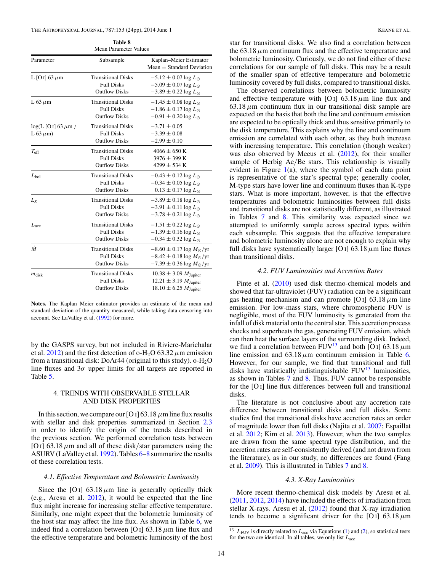<span id="page-13-0"></span>

| <b>Table 8</b><br><b>Mean Parameter Values</b> |                                                                        |                                                                                                                       |  |  |  |  |
|------------------------------------------------|------------------------------------------------------------------------|-----------------------------------------------------------------------------------------------------------------------|--|--|--|--|
| Parameter                                      | Subsample                                                              | Kaplan-Meier Estimator<br>Mean $\pm$ Standard Deviation                                                               |  |  |  |  |
| L [O <sub>I</sub> ] 63 $\mu$ m                 | <b>Transitional Disks</b><br><b>Full Disks</b><br><b>Outflow Disks</b> | $-5.12 \pm 0.07 \log L_{\odot}$<br>$-5.09 \pm 0.07 \log L_{\odot}$<br>$-3.89 \pm 0.22 \log L_{\odot}$                 |  |  |  |  |
| L 63 $\mu$ m                                   | <b>Transitional Disks</b><br><b>Full Disks</b><br><b>Outflow Disks</b> | $-1.45 \pm 0.08 \log L_{\odot}$<br>$-1.86 \pm 0.17 \log L_{\odot}$<br>$-0.91 \pm 0.20 \log L_{\odot}$                 |  |  |  |  |
| $log(L [O I] 63 \mu m)$<br>L 63 $\mu$ m)       | <b>Transitional Disks</b><br><b>Full Disks</b><br><b>Outflow Disks</b> | $-3.71 \pm 0.05$<br>$-3.39 \pm 0.08$<br>$-2.99 \pm 0.10$                                                              |  |  |  |  |
| $T_{\rm eff}$                                  | <b>Transitional Disks</b><br><b>Full Disks</b><br><b>Outflow Disks</b> | $4066 \pm 650$ K<br>$3976 \pm 399$ K<br>$4299 \pm 534$ K                                                              |  |  |  |  |
| $L_{bol}$                                      | <b>Transitional Disks</b><br><b>Full Disks</b><br><b>Outflow Disks</b> | $-0.43 \pm 0.12 \log L_{\odot}$<br>$-0.34 \pm 0.05 \log L_{\odot}$<br>$0.13 \pm 0.17 \log L_{\odot}$                  |  |  |  |  |
| $L_X$                                          | <b>Transitional Disks</b><br><b>Full Disks</b><br><b>Outflow Disks</b> | $-3.89 \pm 0.18 \log L_{\odot}$<br>$-3.91 \pm 0.11 \log L_{\odot}$<br>$-3.78 \pm 0.21 \log L_{\odot}$                 |  |  |  |  |
| L <sub>acc</sub>                               | <b>Transitional Disks</b><br><b>Full Disks</b><br><b>Outflow Disks</b> | $-1.51 \pm 0.22 \log L_{\odot}$<br>$-1.39 \pm 0.16 \log L_{\odot}$<br>$-0.34 \pm 0.32 \log L_{\odot}$                 |  |  |  |  |
| $\dot{M}$                                      | <b>Transitional Disks</b><br><b>Full Disks</b><br><b>Outflow Disks</b> | $-8.60 \pm 0.17 \log M_{\odot}/yr$<br>$-8.42 \pm 0.18 \log M_{\odot}/\text{yr}$<br>$-7.39 \pm 0.36 \log M_{\odot}/yr$ |  |  |  |  |
| $m_{\rm disk}$                                 | <b>Transitional Disks</b><br><b>Full Disks</b><br><b>Outflow Disks</b> | $10.38 \pm 3.09$ <i>M</i> Jupiter<br>$12.21 \pm 3.19 \ M_{\text{Jupiter}}$<br>$18.10 \pm 6.25$ <i>M</i> Jupiter       |  |  |  |  |

**Notes.** The Kaplan–Meier estimator provides an estimate of the mean and standard deviation of the quantity measured, while taking data censoring into account. See LaValley et al. [\(1992\)](#page-22-0) for more.

by the GASPS survey, but not included in Riviere-Marichalar et al.  $2012$ ) and the first detection of o-H<sub>2</sub>O 63.32  $\mu$ m emission from a transitional disk: DoAr44 (original to this study). o-H2O line fluxes and  $3\sigma$  upper limits for all targets are reported in Table [5.](#page-9-0)

# 4. TRENDS WITH OBSERVABLE STELLAR AND DISK PROPERTIES

In this section, we compare our [O I] 63.18  $\mu$ m line flux results with stellar and disk properties summarized in Section [2.3](#page-3-0) in order to identify the origin of the trends described in the previous section. We performed correlation tests between [O i] 63.18*μ*m and all of these disk*/*star parameters using the ASURV (LaValley et al. [1992\)](#page-22-0). Tables [6–](#page-10-0)8 summarize the results of these correlation tests.

## *4.1. Effective Temperature and Bolometric Luminosity*

Since the [O<sub>I</sub>] 63.18  $\mu$ m line is generally optically thick (e.g., Aresu et al. [2012\)](#page-22-0), it would be expected that the line flux might increase for increasing stellar effective temperature. Similarly, one might expect that the bolometric luminosity of the host star may affect the line flux. As shown in Table  $6$ , we indeed find a correlation between [O i] 63.18*μ*m line flux and the effective temperature and bolometric luminosity of the host

star for transitional disks. We also find a correlation between the  $63.18 \mu$ m continuum flux and the effective temperature and bolometric luminosity. Curiously, we do not find either of these correlations for our sample of full disks. This may be a result of the smaller span of effective temperature and bolometric luminosity covered by full disks, compared to transitional disks.

The observed correlations between bolometric luminosity and effective temperature with [O<sub>I</sub>] 63.18  $\mu$ m line flux and 63.18*μ*m continuum flux in our transitional disk sample are expected on the basis that both the line and continuum emission are expected to be optically thick and thus sensitive primarily to the disk temperature. This explains why the line and continuum emission are correlated with each other, as they both increase with increasing temperature. This correlation (though weaker) was also observed by Meeus et al. [\(2012\)](#page-22-0), for their smaller sample of Herbig Ae*/*Be stars. This relationship is visually evident in Figure  $1(a)$  $1(a)$ , where the symbol of each data point is representative of the star's spectral type; generally cooler, M-type stars have lower line and continuum fluxes than K-type stars. What is more important, however, is that the effective temperatures and bolometric luminosities between full disks and transitional disks are not statistically different, as illustrated in Tables [7](#page-12-0) and 8. This similarity was expected since we attempted to uniformly sample across spectral types within each subsample. This suggests that the effective temperature and bolometric luminosity alone are not enough to explain why full disks have systematically larger [O  $I$ ] 63.18  $\mu$ m line fluxes than transitional disks.

## *4.2. FUV Luminosities and Accretion Rates*

Pinte et al. [\(2010\)](#page-22-0) used disk thermo-chemical models and showed that far-ultraviolet (FUV) radiation can be a significant gas heating mechanism and can promote [O i]  $63.18 \mu m$  line emission. For low-mass stars, where chromospheric FUV is negligible, most of the FUV luminosity is generated from the infall of disk material onto the central star. This accretion process shocks and superheats the gas, generating FUV emission, which can then heat the surface layers of the surrounding disk. Indeed, we find a correlation between FUV<sup>13</sup> and both [O i] 63.18  $\mu$ m line emission and  $63.18 \mu m$  continuum emission in Table [6.](#page-10-0) However, for our sample, we find that transitional and full disks have statistically indistinguishable  $FUV^{13}$  luminosities, as shown in Tables [7](#page-12-0) and 8. Thus, FUV cannot be responsible for the [O i] line flux differences between full and transitional disks.

The literature is not conclusive about any accretion rate difference between transitional disks and full disks. Some studies find that transitional disks have accretion rates an order of magnitude lower than full disks (Najita et al. [2007;](#page-22-0) Espaillat et al. [2012;](#page-22-0) Kim et al. [2013\)](#page-22-0). However, when the two samples are drawn from the same spectral type distribution, and the accretion rates are self-consistently derived (and not drawn from the literature), as in our study, no differences are found (Fang et al. [2009\)](#page-22-0). This is illustrated in Tables [7](#page-12-0) and 8.

#### *4.3. X-Ray Luminosities*

More recent thermo-chemical disk models by Aresu et al. [\(2011,](#page-22-0) [2012,](#page-22-0) [2014\)](#page-22-0) have included the effects of irradiation from stellar X-rays. Aresu et al.  $(2012)$  found that X-ray irradiation tends to become a significant driver for the [O<sub>I</sub>] 63.18 $\mu$ m

<sup>&</sup>lt;sup>13</sup>  $L_{\text{FUV}}$  is directly related to  $L_{\text{acc}}$  via Equations [\(1\)](#page-5-0) and [\(2\)](#page-5-0), so statistical tests for the two are identical. In all tables, we only list  $L_{\text{acc}}$ .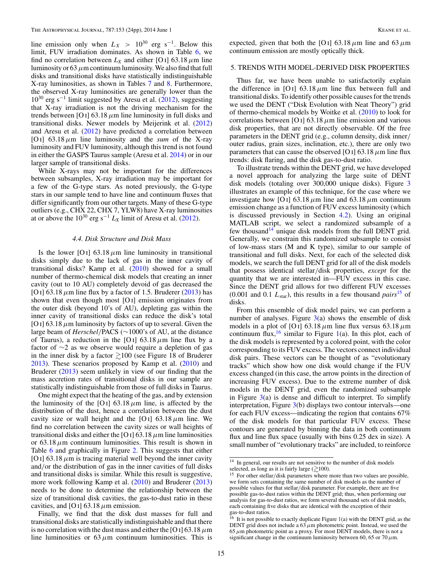<span id="page-14-0"></span>line emission only when  $L_X > 10^{30}$  erg s<sup>-1</sup>. Below this limit, FUV irradiation dominates. As shown in Table [6,](#page-10-0) we find no correlation between  $L_X$  and either [O<sub>I</sub>] 63.18  $\mu$ m line luminosity or 63*μ*m continuum luminosity. We also find that full disks and transitional disks have statistically indistinguishable X-ray luminosities, as shown in Tables [7](#page-12-0) and [8.](#page-13-0) Furthermore, the observed X-ray luminosities are generally lower than the 1030 erg s−<sup>1</sup> limit suggested by Aresu et al. [\(2012\)](#page-22-0), suggesting that X-ray irradiation is not the driving mechanism for the trends between [O i]  $63.18 \mu m$  line luminosity in full disks and transitional disks. Newer models by Meijerink et al. [\(2012\)](#page-22-0) and Aresu et al. [\(2012\)](#page-22-0) have predicted a correlation between [O i] 63.18*μ*m line luminosity and the *sum* of the X-ray luminosity and FUV luminosity, although this trend is not found in either the GASPS Taurus sample (Aresu et al. [2014\)](#page-22-0) or in our larger sample of transitional disks.

While X-rays may not be important for the differences between subsamples, X-ray irradiation may be important for a few of the G-type stars. As noted previously, the G-type stars in our sample tend to have line and continuum fluxes that differ significantly from our other targets. Many of these G-type outliers (e.g., CHX 22, CHX 7, YLW8) have X-ray luminosities at or above the  $10^{30}$  erg s<sup>-1</sup>  $L_X$  limit of Aresu et al. [\(2012\)](#page-22-0).

## *4.4. Disk Structure and Disk Mass*

Is the lower [O<sub>I</sub>] 63.18 $\mu$ m line luminosity in transitional disks simply due to the lack of gas in the inner cavity of transitional disks? Kamp et al. [\(2010\)](#page-22-0) showed for a small number of thermo-chemical disk models that creating an inner cavity (out to 10 AU) completely devoid of gas decreased the [O I] 63.18  $\mu$ m line flux by a factor of 1.5. Bruderer [\(2013\)](#page-22-0) has shown that even though most [O i] emission originates from the outer disk (beyond 10's of AU), depleting gas within the inner cavity of transitional disks can reduce the disk's total [O i] 63.18*μ*m luminosity by factors of up to several. Given the large beam of *Herschel/*PACS (∼1000's of AU, at the distance of Taurus), a reduction in the [O<sub>I</sub>] 63.18  $\mu$ m line flux by a factor of ∼2 as we observe would require a depletion of gas in the inner disk by a factor  $\geq 100$  (see Figure 18 of Bruderer [2013\)](#page-22-0). These scenarios proposed by Kamp et al. [\(2010\)](#page-22-0) and Bruderer [\(2013\)](#page-22-0) seem unlikely in view of our finding that the mass accretion rates of transitional disks in our sample are statistically indistinguishable from those of full disks in Taurus.

One might expect that the heating of the gas, and by extension the luminosity of the [O<sub>I</sub>] 63.18  $\mu$ m line, is affected by the distribution of the dust, hence a correlation between the dust cavity size or wall height and the [O<sub>I</sub>] 63.18 $\mu$ m line. We find no correlation between the cavity sizes or wall heights of transitional disks and either the [O  $I$ ] 63.18  $\mu$ m line luminosities or  $63.18 \mu m$  continuum luminosities. This result is shown in Table [6](#page-10-0) and graphically in Figure [2.](#page-15-0) This suggests that either [O i]  $63.18 \mu$ m is tracing material well beyond the inner cavity and*/*or the distribution of gas in the inner cavities of full disks and transitional disks is similar. While this result is suggestive, more work following Kamp et al. [\(2010\)](#page-22-0) and Bruderer [\(2013\)](#page-22-0) needs to be done to determine the relationship between the size of transitional disk cavities, the gas-to-dust ratio in these cavities, and [O<sub>I</sub>] 63.18  $\mu$ m emission.

expected, given that both the [O<sub>I</sub>] 63.18  $\mu$ m line and 63  $\mu$ m continuum emission are mostly optically thick.

#### 5. TRENDS WITH MODEL-DERIVED DISK PROPERTIES

Thus far, we have been unable to satisfactorily explain the difference in [O<sub>I</sub>] 63.18  $\mu$ m line flux between full and transitional disks. To identify other possible causes for the trends we used the DENT ("Disk Evolution with Neat Theory") grid of thermo-chemical models by Woitke et al. [\(2010\)](#page-23-0) to look for correlations between [O i] 63.18  $\mu$ m line emission and various disk properties, that are not directly observable. Of the free parameters in the DENT grid (e.g., column density, disk inner*/* outer radius, grain sizes, inclination, etc.), there are only two parameters that can cause the observed [O i]  $63.18 \mu$ m line flux trends: disk flaring, and the disk gas-to-dust ratio.

To illustrate trends within the DENT grid, we have developed a novel approach for analyzing the large suite of DENT disk models (totaling over 300,000 unique disks). Figure [3](#page-16-0) illustrates an example of this technique, for the case where we investigate how [O<sub>I</sub>] 63.18  $\mu$ m line and 63.18  $\mu$ m continuum emission change as a function of FUV excess luminosity (which is discussed previously in Section [4.2\)](#page-13-0). Using an original MATLAB script, we select a randomized subsample of a few thousand<sup>14</sup> unique disk models from the full DENT grid. Generally, we constrain this randomized subsample to consist of low-mass stars (M and K type), similar to our sample of transitional and full disks. Next, for each of the selected disk models, we search the full DENT grid for all of the disk models that possess identical stellar*/*disk properties, *except* for the quantity that we are interested in—FUV excess in this case. Since the DENT grid allows for two different FUV excesses  $(0.001$  and  $0.1$   $L_{star}$ ), this results in a few thousand *pairs*<sup>15</sup> of disks.

From this ensemble of disk model pairs, we can perform a number of analyses. Figure  $3(a)$  $3(a)$  shows the ensemble of disk models in a plot of [O i] 63.18*μ*m line flux versus 63.18*μ*m continuum flux,<sup>16</sup> similar to Figure [1\(](#page-11-0)a). In this plot, each of the disk models is represented by a colored point, with the color corresponding to its FUV excess. The vectors connect individual disk pairs. These vectors can be thought of as "evolutionary tracks" which show how one disk would change if the FUV excess changed (in this case, the arrow points in the direction of increasing FUV excess). Due to the extreme number of disk models in the DENT grid, even the randomized subsample in Figure  $3(a)$  $3(a)$  is dense and difficult to interpret. To simplify interpretation, Figure  $3(b)$  $3(b)$  displays two contour intervals—one for each FUV excess—indicating the region that contains 67% of the disk models for that particular FUV excess. These contours are generated by binning the data in both continuum flux and line flux space (usually with bins 0.25 dex in size). A small number of "evolutionary tracks" are included, to reinforce

Finally, we find that the disk dust masses for full and transitional disks are statistically indistinguishable and that there is no correlation with the dust mass and either the [O I] 63.18  $\mu$ m line luminosities or  $63 \mu m$  continuum luminosities. This is

<sup>&</sup>lt;sup>14</sup> In general, our results are not sensitive to the number of disk models selected, as long as it is fairly large ( $\gtrsim$ 100).

<sup>&</sup>lt;sup>15</sup> For other stellar/disk parameters where more than two values are possible, we form sets containing the same number of disk models as the number of possible values for that stellar*/*disk parameter. For example, there are five possible gas-to-dust ratios within the DENT grid; thus, when performing our analysis for gas-to-dust ratios, we form several thousand sets of disk models, each containing five disks that are identical with the exception of their gas-to-dust ratios.

<sup>&</sup>lt;sup>16</sup> It is not possible to exactly duplicate Figure  $1(a)$  $1(a)$  with the DENT grid, as the DENT grid does not include a 63*μ*m photometric point. Instead, we used the 65  $\mu$ m photometric point as a proxy. For most DENT models, there is not a significant change in the continuum luminosity between 60, 65 or 70  $\mu$ m.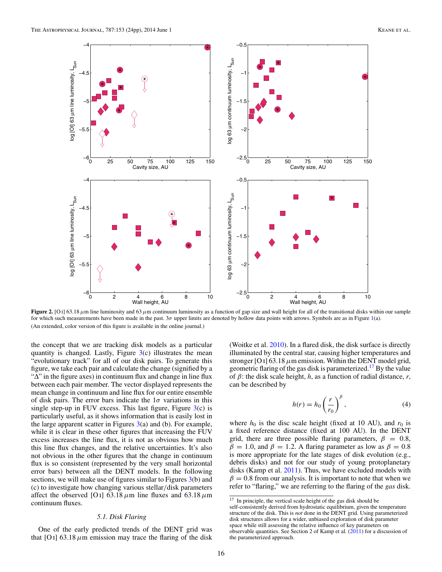<span id="page-15-0"></span>

**Figure 2.** [O<sub>I</sub>] 63.18  $\mu$ m line luminosity and 63  $\mu$ m continuum luminosity as a function of gap size and wall height for all of the transitional disks within our sample for which such measurements have been made in the past. 3*σ* upper limits are denoted by hollow data points with arrows. Symbols are as in Figure [1\(](#page-11-0)a). (An extended, color version of this figure is available in the online journal.)

the concept that we are tracking disk models as a particular quantity is changed. Lastly, Figure  $3(c)$  $3(c)$  illustrates the mean "evolutionary track" for all of our disk pairs. To generate this figure, we take each pair and calculate the change (signified by a "Δ" in the figure axes) in continuum flux and change in line flux between each pair member. The vector displayed represents the mean change in continuum and line flux for our entire ensemble of disk pairs. The error bars indicate the 1*σ* variations in this single step-up in FUV excess. This last figure, Figure  $3(c)$  $3(c)$  is particularly useful, as it shows information that is easily lost in the large apparent scatter in Figures  $3(a)$  $3(a)$  and (b). For example, while it is clear in these other figures that increasing the FUV excess increases the line flux, it is not as obvious how much this line flux changes, and the relative uncertainties. It's also not obvious in the other figures that the change in continuum flux is so consistent (represented by the very small horizontal error bars) between all the DENT models. In the following sections, we will make use of figures similar to Figures [3\(](#page-16-0)b) and (c) to investigate how changing various stellar*/*disk parameters affect the observed [O<sub>I</sub>] 63.18 $\mu$ m line fluxes and 63.18 $\mu$ m continuum fluxes.

#### *5.1. Disk Flaring*

One of the early predicted trends of the DENT grid was that  $[O<sub>I</sub>]$  63.18  $\mu$ m emission may trace the flaring of the disk

(Woitke et al. [2010\)](#page-23-0). In a flared disk, the disk surface is directly illuminated by the central star, causing higher temperatures and stronger [O I] 63.18  $\mu$ m emission. Within the DENT model grid, geometric flaring of the gas disk is parameterized.<sup>17</sup> By the value of *β*: the disk scale height, *h*, as a function of radial distance, *r*, can be described by

$$
h(r) = h_0 \left(\frac{r}{r_0}\right)^{\beta},\tag{4}
$$

where  $h_0$  is the disc scale height (fixed at 10 AU), and  $r_0$  is a fixed reference distance (fixed at 100 AU). In the DENT grid, there are three possible flaring parameters,  $\beta = 0.8$ ,  $\beta = 1.0$ , and  $\beta = 1.2$ . A flaring parameter as low as  $\beta = 0.8$ is more appropriate for the late stages of disk evolution (e.g., debris disks) and not for our study of young protoplanetary disks (Kamp et al. [2011\)](#page-22-0). Thus, we have excluded models with  $\beta = 0.8$  from our analysis. It is important to note that when we refer to "flaring," we are referring to the flaring of the *gas* disk.

<sup>&</sup>lt;sup>17</sup> In principle, the vertical scale height of the gas disk should be self-consistently derived from hydrostatic equilibrium, given the temperature structure of the disk. This is *not* done in the DENT grid. Using parameterized disk structures allows for a wider, unbiased exploration of disk parameter space while still assessing the relative influence of key parameters on observable quantities. See Section 2 of Kamp et al.  $(2011)$  for a discussion of the parameterized approach.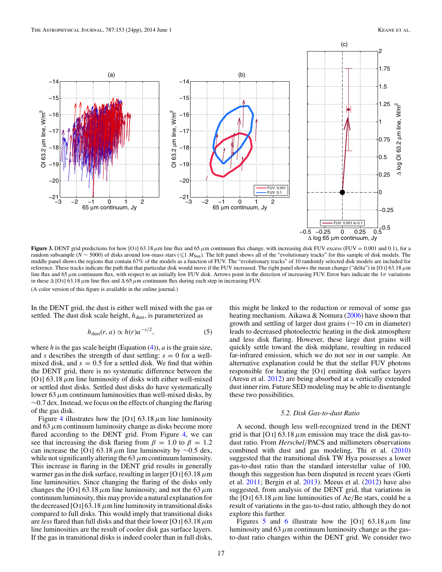<span id="page-16-0"></span>

**Figure 3.** DENT grid predictions for how [O i] 63.18  $\mu$ m line flux and 65  $\mu$ m continuum flux change, with increasing disk FUV excess (FUV = 0.001 and 0.1), for a random subsample (*N* ∼ 5000) of disks around low-mass stars ( $\leq 1$  *M*<sub>Sun</sub>). The left panel shows all of the "evolutionary tracks" for this sample of disk models. The middle panel shows the regions that contain 67% of the models as a function of FUV. The "evolutionary tracks" of 10 randomly selected disk models are included for reference. These tracks indicate the path that that particular disk would move if the FUV increased. The right panel shows the mean change ("delta") in [O i] 63.18*μ*m line flux and 65  $\mu$ m continuum flux, with respect to an initially low FUV disk. Arrows point in the direction of increasing FUV. Error bars indicate the 1*σ* variations in these Δ [O i] 63.18*μ*m line flux and Δ 65*μ*m continuum flux during each step in increasing FUV.

In the DENT grid, the dust is either well mixed with the gas or settled. The dust disk scale height,  $h_{\text{dust}}$ , is parameterized as

$$
h_{\text{dust}}(r, a) \propto h(r) a^{-s/2},\tag{5}
$$

where  $h$  is the gas scale height (Equation  $(4)$ ),  $a$  is the grain size, and *s* describes the strength of dust settling:  $s = 0$  for a wellmixed disk, and  $s = 0.5$  for a settled disk. We find that within the DENT grid, there is no systematic difference between the [O i]  $63.18 \mu$ m line luminosity of disks with either well-mixed or settled dust disks. Settled dust disks do have systematically lower 63  $\mu$ m continuum luminosities than well-mixed disks, by ∼0*.*7 dex. Instead, we focus on the effects of changing the flaring of the gas disk.

Figure [4](#page-17-0) illustrates how the [O<sub>I</sub>] 63.18  $\mu$ m line luminosity and  $63 \mu$ m continuum luminosity change as disks become more flared according to the DENT grid. From Figure [4,](#page-17-0) we can see that increasing the disk flaring from  $\beta = 1.0$  to  $\beta = 1.2$ can increase the [O i] 63.18*μ*m line luminosity by ∼0*.*5 dex, while not significantly altering the  $63 \mu$ m continuum luminosity. This increase in flaring in the DENT grid results in generally warmer gas in the disk surface, resulting in larger [O i]  $63.18 \mu$ m line luminosities. Since changing the flaring of the disks only changes the [O<sub>I</sub>] 63.18  $\mu$ m line luminosity, and not the 63  $\mu$ m continuum luminosity, this may provide a natural explanation for the decreased [O<sub>I</sub>] 63.18  $\mu$ m line luminosity in transitional disks compared to full disks. This would imply that transitional disks are *less* flared than full disks and that their lower [O i] 63.18*μ*m line luminosities are the result of cooler disk gas surface layers. If the gas in transitional disks is indeed cooler than in full disks,

this might be linked to the reduction or removal of some gas heating mechanism. Aikawa  $&$  Nomura [\(2006\)](#page-21-0) have shown that growth and settling of larger dust grains (∼10 cm in diameter) leads to decreased photoelectric heating in the disk atmosphere and less disk flaring. However, these large dust grains will quickly settle toward the disk midplane, resulting in reduced far-infrared emission, which we do not see in our sample. An alternative explanation could be that the stellar FUV photons responsible for heating the [O i] emitting disk surface layers (Aresu et al. [2012\)](#page-22-0) are being absorbed at a vertically extended dust inner rim. Future SED modeling may be able to disentangle these two possibilities.

#### *5.2. Disk Gas-to-dust Ratio*

A second, though less well-recognized trend in the DENT grid is that  $[O \, I]$  63.18  $\mu$ m emission may trace the disk gas-todust ratio. From *Herschel/*PACS and millimeters observations combined with dust and gas modeling, Thi et al. [\(2010\)](#page-23-0) suggested that the transitional disk TW Hya possesses a lower gas-to-dust ratio than the standard interstellar value of 100, though this suggestion has been disputed in recent years (Gorti et al. [2011;](#page-22-0) Bergin et al. [2013\)](#page-22-0). Meeus et al. [\(2012\)](#page-22-0) have also suggested, from analysis of the DENT grid, that variations in the [O i] 63.18  $\mu$ m line luminosities of Ae/Be stars, could be a result of variations in the gas-to-dust ratio, although they do not explore this further.

Figures [5](#page-18-0) and [6](#page-19-0) illustrate how the [O i]  $63.18 \mu m$  line luminosity and 63  $\mu$ m continuum luminosity change as the gasto-dust ratio changes within the DENT grid. We consider two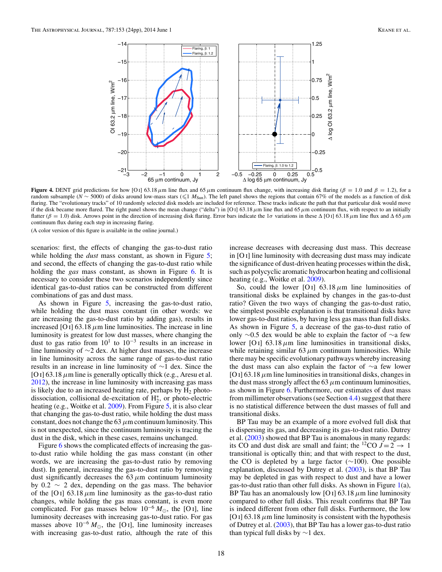<span id="page-17-0"></span>

**Figure 4.** DENT grid predictions for how [O1] 63.18  $\mu$ m line flux and 65  $\mu$ m continuum flux change, with increasing disk flaring ( $\beta = 1.0$  and  $\beta = 1.2$ ), for a random subsample (*N* ∼ 5000) of disks around low-mass stars ( $\leq 1$  *M*<sub>Sun</sub>). The left panel shows the regions that contain 67% of the models as a function of disk flaring. The "evolutionary tracks" of 10 randomly selected disk models are included for reference. These tracks indicate the path that that particular disk would move if the disk became more flared. The right panel shows the mean change ("delta") in [O<sub>I</sub>] 63.18 $\mu$ m line flux and 65 $\mu$ m continuum flux, with respect to an initially flatter (*β* = 1*.*0) disk. Arrows point in the direction of increasing disk flaring. Error bars indicate the 1*σ* variations in these Δ [O i] 63.18*μ*m line flux and Δ 65*μ*m continuum flux during each step in increasing flaring.

scenarios: first, the effects of changing the gas-to-dust ratio while holding the *dust* mass constant, as shown in Figure [5;](#page-18-0) and second, the effects of changing the gas-to-dust ratio while holding the *gas* mass constant, as shown in Figure [6.](#page-19-0) It is necessary to consider these two scenarios independently since identical gas-to-dust ratios can be constructed from different combinations of gas and dust mass.

As shown in Figure [5,](#page-18-0) increasing the gas-to-dust ratio, while holding the dust mass constant (in other words: we are increasing the gas-to-dust ratio by adding gas), results in increased [O I]  $63.18 \mu m$  line luminosities. The increase in line luminosity is greatest for low dust masses, where changing the dust to gas ratio from  $10<sup>1</sup>$  to  $10<sup>-3</sup>$  results in an increase in line luminosity of ∼2 dex. At higher dust masses, the increase in line luminosity across the same range of gas-to-dust ratio results in an increase in line luminosity of ∼1 dex. Since the [O i]  $63.18 \mu$ m line is generally optically thick (e.g., Aresu et al. [2012\)](#page-22-0), the increase in line luminosity with increasing gas mass is likely due to an increased heating rate, perhaps by  $H_2$  photodissociation, collisional de-excitation of H<sup>∗</sup> <sup>2</sup>, or photo-electric heating (e.g., Woitke et al. [2009\)](#page-23-0). From Figure [5,](#page-18-0) it is also clear that changing the gas-to-dust ratio, while holding the dust mass constant, does not change the 63 *μ*m continuum luminosity. This is not unexpected, since the continuum luminosity is tracing the dust in the disk, which in these cases, remains unchanged.

Figure [6](#page-19-0) shows the complicated effects of increasing the gasto-dust ratio while holding the gas mass constant (in other words, we are increasing the gas-to-dust ratio by removing dust). In general, increasing the gas-to-dust ratio by removing dust significantly decreases the 63*μ*m continuum luminosity by  $0.2 \sim 2$  dex, depending on the gas mass. The behavior of the [O<sub>I</sub>] 63.18  $\mu$ m line luminosity as the gas-to-dust ratio changes, while holding the gas mass constant, is even more complicated. For gas masses below  $10^{-6} M_{\odot}$ , the [O i], line luminosity decreases with increasing gas-to-dust ratio. For gas masses above  $10^{-6} M_{\odot}$ , the [O i], line luminosity increases with increasing gas-to-dust ratio, although the rate of this

increase decreases with decreasing dust mass. This decrease in  $[O I]$  line luminosity with decreasing dust mass may indicate the significance of dust-driven heating processes within the disk, such as polycyclic aromatic hydrocarbon heating and collisional heating (e.g., Woitke et al. [2009\)](#page-23-0).

So, could the lower [O<sub>I</sub>] 63.18  $\mu$ m line luminosities of transitional disks be explained by changes in the gas-to-dust ratio? Given the two ways of changing the gas-to-dust ratio, the simplest possible explanation is that transitional disks have lower gas-to-dust ratios, by having less gas mass than full disks. As shown in Figure [5,](#page-18-0) a decrease of the gas-to-dust ratio of only ∼0.5 dex would be able to explain the factor of ∼a few lower [O<sub>I</sub>] 63.18  $\mu$ m line luminosities in transitional disks, while retaining similar  $63 \mu m$  continuum luminosities. While there may be specific evolutionary pathways whereby increasing the dust mass can also explain the factor of ∼a few lower  $[O I] 63.18 \mu m$  line luminosities in transitional disks, changes in the dust mass strongly affect the  $63 \mu$ m continuum luminosities, as shown in Figure [6.](#page-19-0) Furthermore, our estimates of dust mass from millimeter observations (see Section [4.4\)](#page-14-0) suggest that there is no statistical difference between the dust masses of full and transitional disks.

BP Tau may be an example of a more evolved full disk that is dispersing its gas, and decreasing its gas-to-dust ratio. Dutrey et al. [\(2003\)](#page-22-0) showed that BP Tau is anomalous in many regards: its CO and dust disk are small and faint; the <sup>12</sup>CO  $J = 2 \rightarrow 1$ transitional is optically thin; and that with respect to the dust, the CO is depleted by a large factor (∼100). One possible explanation, discussed by Dutrey et al. [\(2003\)](#page-22-0), is that BP Tau may be depleted in gas with respect to dust and have a lower gas-to-dust ratio than other full disks. As shown in Figure  $1(a)$  $1(a)$ , BP Tau has an anomalously low [O I]  $63.18 \mu$ m line luminosity compared to other full disks. This result confirms that BP Tau is indeed different from other full disks. Furthermore, the low [O I] 63.18  $\mu$ m line luminosity is consistent with the hypothesis of Dutrey et al. [\(2003\)](#page-22-0), that BP Tau has a lower gas-to-dust ratio than typical full disks by  $\sim$ 1 dex.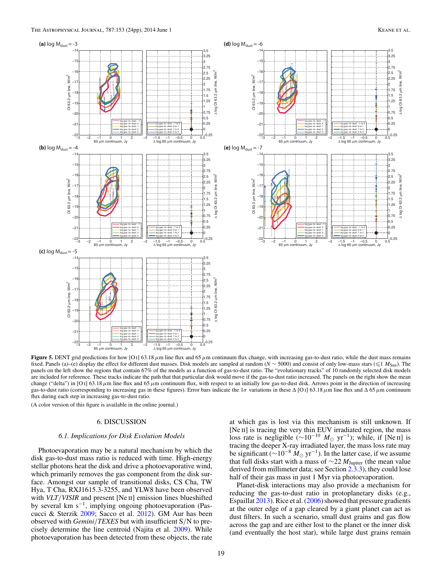<span id="page-18-0"></span>

**Figure 5.** DENT grid predictions for how [O i] 63.18*μ*m line flux and 65*μ*m continuum flux change, with increasing gas-to-dust ratio, while the dust mass remains fixed. Panels (a)–(e) display the effect for different dust masses. Disk models are sampled at random ( $N \sim 5000$ ) and consist of only low-mass stars (≤1  $M_{\text{Sun}}$ ). The panels on the left show the regions that contain 67% of the models as a function of gas-to-dust ratio. The "evolutionary tracks" of 10 randomly selected disk models are included for reference. These tracks indicate the path that that particular disk would move if the gas-to-dust ratio increased. The panels on the right show the mean change ("delta") in [O<sub>I</sub>] 63.18  $\mu$ m line flux and 65  $\mu$ m continuum flux, with respect to an initially low gas-to-dust disk. Arrows point in the direction of increasing gas-to-dust ratio (corresponding to increasing gas in these figures). Error bars indicate the 1*σ* variations in these  $\Delta$  [O I] 63.18  $\mu$ m line flux and  $\Delta$  65  $\mu$ m continuum flux during each step in increasing gas-to-dust ratio.

## 6. DISCUSSION

#### *6.1. Implications for Disk Evolution Models*

Photoevaporation may be a natural mechanism by which the disk gas-to-dust mass ratio is reduced with time. High-energy stellar photons heat the disk and drive a photoevaporative wind, which primarily removes the gas component from the disk surface. Amongst our sample of transitional disks, CS Cha, TW Hya, T Cha, RXJ1615.3-3255, and YLW8 have been observed with *VLT/VISIR* and present [Ne ii] emission lines blueshifted by several km s−1, implying ongoing photoevaporation (Pascucci & Sterzik [2009;](#page-22-0) Sacco et al. [2012\)](#page-23-0). GM Aur has been observed with *Gemini/TEXES* but with insufficient S*/*N to precisely determine the line centroid (Najita et al. [2009\)](#page-22-0). While photoevaporation has been detected from these objects, the rate

at which gas is lost via this mechanism is still unknown. If [Ne II] is tracing the very thin EUV irradiated region, the mass loss rate is negligible ( $\sim 10^{-10}$  *M*<sub> $\odot$ </sub> yr<sup>-1</sup>); while, if [Ne II] is tracing the deeper X-ray irradiated layer, the mass loss rate may be significant ( $\sim$ 10<sup>-8</sup>  $\dot{M}_{\odot}$  yr<sup>-1</sup>). In the latter case, if we assume that full disks start with a mass of ∼22 *M*Jupiter (the mean value derived from millimeter data; see Section [2.3.3\)](#page-5-0), they could lose half of their gas mass in just 1 Myr via photoevaporation.

Planet-disk interactions may also provide a mechanism for reducing the gas-to-dust ratio in protoplanetary disks (e.g., Espaillat [2013\)](#page-22-0). Rice et al. [\(2006\)](#page-22-0) showed that pressure gradients at the outer edge of a gap cleared by a giant planet can act as dust filters. In such a scenario, small dust grains and gas flow across the gap and are either lost to the planet or the inner disk (and eventually the host star), while large dust grains remain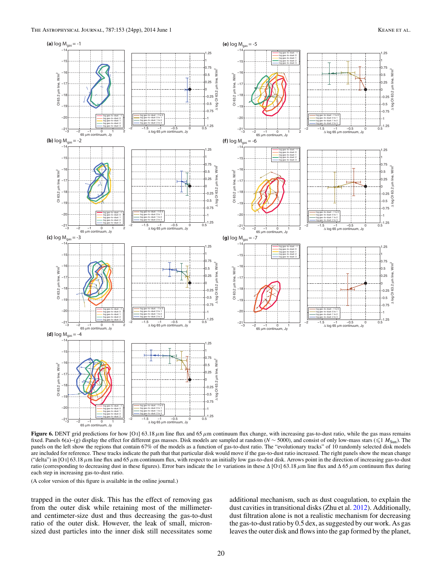<span id="page-19-0"></span>

**Figure 6.** DENT grid predictions for how [O1] 63.18  $\mu$ m line flux and 65  $\mu$ m continuum flux change, with increasing gas-to-dust ratio, while the gas mass remains fixed. Panels 6(a)–(g) display the effect for different gas masses. Disk models are sampled at random (*N* ∼ 5000), and consist of only low-mass stars (≤1  $M_{\text{Sun}}$ ). The panels on the left show the regions that contain 67% of the models as a function of gas-to-dust ratio. The "evolutionary tracks" of 10 randomly selected disk models are included for reference. These tracks indicate the path that that particular disk would move if the gas-to-dust ratio increased. The right panels show the mean change ("delta") in [O i] 63.18 μm line flux and 65 μm continuum flux, with respect to an initially low gas-to-dust disk. Arrows point in the direction of increasing gas-to-dust ratio (corresponding to decreasing dust in these figures). Error bars indicate the 1*σ* variations in these Δ [O i] 63.18*μ*m line flux and Δ 65*μ*m continuum flux during each step in increasing gas-to-dust ratio.

trapped in the outer disk. This has the effect of removing gas from the outer disk while retaining most of the millimeterand centimeter-size dust and thus decreasing the gas-to-dust ratio of the outer disk. However, the leak of small, micronsized dust particles into the inner disk still necessitates some

additional mechanism, such as dust coagulation, to explain the dust cavities in transitional disks (Zhu et al. [2012\)](#page-23-0). Additionally, dust filtration alone is not a realistic mechanism for decreasing the gas-to-dust ratio by 0.5 dex, as suggested by our work. As gas leaves the outer disk and flows into the gap formed by the planet,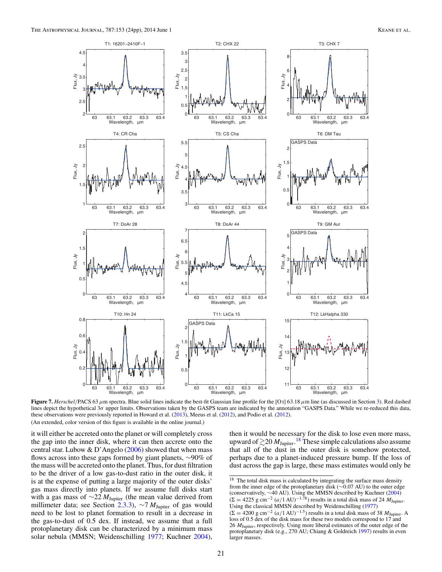<span id="page-20-0"></span>

**Figure 7.** *Herschel/*PACS 63*μ*m spectra. Blue solid lines indicate the best-fit Gaussian line profile for the [O i] 63.18*μ*m line (as discussed in Section [3\)](#page-8-0). Red dashed lines depict the hypothetical 3*σ* upper limits. Observations taken by the GASPS team are indicated by the annotation "GASPS Data." While we re-reduced this data, these observations were previously reported in Howard et al. [\(2013\)](#page-22-0), Meeus et al. [\(2012\)](#page-22-0), and Podio et al. [\(2012\)](#page-22-0). (An extended, color version of this figure is available in the online journal.)

it will either be accreted onto the planet or will completely cross the gap into the inner disk, where it can then accrete onto the central star. Lubow & D'Angelo  $(2006)$  showed that when mass flows across into these gaps formed by giant planets, ∼90% of the mass will be accreted onto the planet. Thus, for dust filtration to be the driver of a low gas-to-dust ratio in the outer disk, it is at the expense of putting a large majority of the outer disks' gas mass directly into planets. If we assume full disks start with a gas mass of  $\sim$ 22  $M_{\text{Jupiter}}$  (the mean value derived from millimeter data; see Section [2.3.3\)](#page-5-0), ∼7 *M*Jupiter of gas would need to be lost to planet formation to result in a decrease in the gas-to-dust of 0.5 dex. If instead, we assume that a full protoplanetary disk can be characterized by a minimum mass solar nebula (MMSN; Weidenschilling [1977;](#page-23-0) Kuchner [2004\)](#page-22-0), then it would be necessary for the disk to lose even more mass, upward of  $\gtrsim$  20  $M_{\text{Jupiter}}$ .<sup>18</sup> These simple calculations also assume that all of the dust in the outer disk is somehow protected, perhaps due to a planet-induced pressure bump. If the loss of dust across the gap is large, these mass estimates would only be

 $18$  The total disk mass is calculated by integrating the surface mass density from the inner edge of the protoplanetary disk (∼0*.*07 AU) to the outer edge (conservatively, ∼40 AU). Using the MMSN described by Kuchner [\(2004\)](#page-22-0)  $(\Sigma = 4225 \text{ g cm}^{-2} (a/1 \text{ AU})^{-1.78})$  results in a total disk mass of 24 *M*J<sub>upiter</sub>. Using the classical MMSN described by Weidenschilling [\(1977\)](#page-23-0)  $(\Sigma = 4200 \text{ g cm}^{-2} (a/1 \text{ AU})^{-1.5})$  results in a total disk mass of 38 *M*J<sub>upiter</sub>. A loss of 0.5 dex of the disk mass for these two models correspond to 17 and 26 *M*Jupiter, respectively. Using more liberal estimates of the outer edge of the protoplanetary disk (e.g., 270 AU; Chiang & Goldreich [1997\)](#page-22-0) results in even larger masses.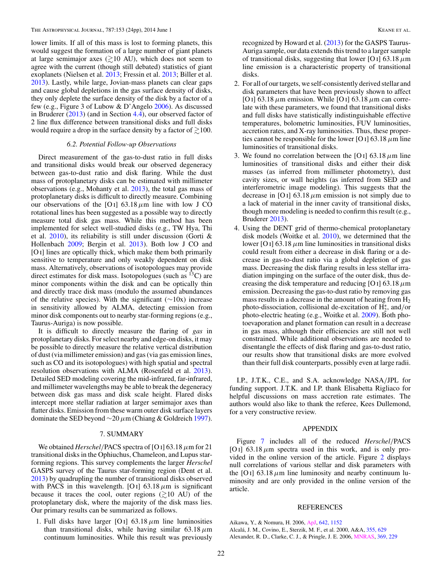<span id="page-21-0"></span>lower limits. If all of this mass is lost to forming planets, this would suggest the formation of a large number of giant planets at large semimajor axes  $\left(\geq 10 \text{ AU}\right)$ , which does not seem to agree with the current (though still debated) statistics of giant exoplanets (Nielsen et al. [2013;](#page-22-0) Fressin et al. [2013;](#page-22-0) Biller et al. [2013\)](#page-22-0). Lastly, while large, Jovian-mass planets can clear gaps and cause global depletions in the gas surface density of disks, they only deplete the surface density of the disk by a factor of a few (e.g., Figure 3 of Lubow & D'Angelo [2006\)](#page-22-0). As discussed in Bruderer [\(2013\)](#page-22-0) (and in Section [4.4\)](#page-14-0), our observed factor of 2 line flux difference between transitional disks and full disks would require a drop in the surface density by a factor of  $\geq 100$ .

#### *6.2. Potential Follow-up Observations*

Direct measurement of the gas-to-dust ratio in full disks and transitional disks would break our observed degeneracy between gas-to-dust ratio and disk flaring. While the dust mass of protoplanetary disks can be estimated with millimeter observations (e.g., Mohanty et al. [2013\)](#page-22-0), the total gas mass of protoplanetary disks is difficult to directly measure. Combining our observations of the [O<sub>I</sub>] 63.18 $\mu$ m line with low J CO rotational lines has been suggested as a possible way to directly measure total disk gas mass. While this method has been implemented for select well-studied disks (e.g., TW Hya, Thi et al. [2010\)](#page-23-0), its reliability is still under discussion (Gorti & Hollenbach [2009;](#page-22-0) Bergin et al. [2013\)](#page-22-0). Both low J CO and [O i] lines are optically thick, which make them both primarily sensitive to temperature and only weakly dependent on disk mass. Alternatively, observations of isotopologues may provide direct estimates for disk mass. Isotopologues (such as  ${}^{13}$ C) are minor components within the disk and can be optically thin and directly trace disk mass (modulo the assumed abundances of the relative species). With the significant ( $\sim$ 10x) increase in sensitivity allowed by ALMA, detecting emission from minor disk components out to nearby star-forming regions (e.g., Taurus-Auriga) is now possible.

It is difficult to directly measure the flaring of *gas* in protoplanetary disks. For select nearby and edge-on disks, it may be possible to directly measure the relative vertical distribution of dust (via millimeter emission) and gas (via gas emission lines, such as CO and its isotopologues) with high spatial and spectral resolution observations with ALMA (Rosenfeld et al. [2013\)](#page-22-0). Detailed SED modeling covering the mid-infrared, far-infrared, and millimeter wavelengths may be able to break the degeneracy between disk gas mass and disk scale height. Flared disks intercept more stellar radiation at larger semimajor axes than flatter disks. Emission from these warm outer disk surface layers dominate the SED beyond ∼20*μ*m (Chiang & Goldreich [1997\)](#page-22-0).

#### 7. SUMMARY

We obtained *Herschel/*PACS spectra of [O i] 63.18*μ*m for 21 transitional disks in the Ophiuchus, Chameleon, and Lupus starforming regions. This survey complements the larger *Herschel* GASPS survey of the Taurus star-forming region (Dent et al. [2013\)](#page-22-0) by quadrupling the number of transitional disks observed with PACS in this wavelength. [O<sub>I</sub>] 63.18 $\mu$ m is significant because it traces the cool, outer regions ( $\gtrsim$ 10 AU) of the protoplanetary disk, where the majority of the disk mass lies. Our primary results can be summarized as follows.

1. Full disks have larger [O i] 63.18*μ*m line luminosities than transitional disks, while having similar 63.18*μ*m continuum luminosities. While this result was previously

recognized by Howard et al. [\(2013\)](#page-22-0) for the GASPS Taurus-Auriga sample, our data extends this trend to a larger sample of transitional disks, suggesting that lower [O i] 63.18*μ*m line emission is a characteristic property of transitional disks.

- 2. For all of our targets, we self-consistently derived stellar and disk parameters that have been previously shown to affect [O i] 63.18*μ*m emission. While [O i] 63.18*μ*m can correlate with these parameters, we found that transitional disks and full disks have statistically indistinguishable effective temperatures, bolometric luminosities, FUV luminosities, accretion rates, and X-ray luminosities. Thus, these properties cannot be responsible for the lower [O i] 63.18*μ*m line luminosities of transitional disks.
- 3. We found no correlation between the [O i] 63.18*μ*m line luminosities of transitional disks and either their disk masses (as inferred from millimeter photometry), dust cavity sizes, or wall heights (as inferred from SED and interferometric image modeling). This suggests that the decrease in [O<sub>I</sub>] 63.18  $\mu$ m emission is not simply due to a lack of material in the inner cavity of transitional disks, though more modeling is needed to confirm this result (e.g., Bruderer [2013\)](#page-22-0).
- 4. Using the DENT grid of thermo-chemical protoplanetary disk models (Woitke et al. [2010\)](#page-23-0), we determined that the lower [O i]  $63.18 \mu m$  line luminosities in transitional disks could result from either a decrease in disk flaring or a decrease in gas-to-dust ratio via a global depletion of gas mass. Decreasing the disk flaring results in less stellar irradiation impinging on the surface of the outer disk, thus decreasing the disk temperature and reducing [O i] 63.18*μ*m emission. Decreasing the gas-to-dust ratio by removing gas mass results in a decrease in the amount of heating from  $H_2$ photo-dissociation, collisional de-excitation of H<sup>∗</sup> <sup>2</sup>, and*/*or photo-electric heating (e.g., Woitke et al. [2009\)](#page-23-0). Both photoevaporation and planet formation can result in a decrease in gas mass, although their efficiencies are still not well constrained. While additional observations are needed to disentangle the effects of disk flaring and gas-to-dust ratio, our results show that transitional disks are more evolved than their full disk counterparts, possibly even at large radii.

I.P., J.T.K., C.E., and S.A. acknowledge NASA*/*JPL for funding support. J.T.K. and I.P. thank Elisabetta Rigliaco for helpful discussions on mass accretion rate estimates. The authors would also like to thank the referee, Kees Dullemond, for a very constructive review.

## APPENDIX

Figure [7](#page-20-0) includes all of the reduced *Herschel/*PACS [O i] 63.18  $\mu$ m spectra used in this work, and is only provided in the online version of the article. Figure [2](#page-15-0) displays null correlations of various stellar and disk parameters with the [O<sub>I</sub>] 63.18  $\mu$ m line luminosity and nearby continuum luminosity and are only provided in the online version of the article.

#### REFERENCES

Aikawa, Y., & Nomura, H. 2006, [ApJ,](http://dx.doi.org/10.1086/501114) [642, 1152](http://adsabs.harvard.edu/abs/2006ApJ...642.1152A) Alcalá, J. M., Covino, E., Sterzik, M. F., et al. 2000, A&A, [355, 629](http://adsabs.harvard.edu/abs/2000A&A...355..629A) Alexander, R. D., Clarke, C. J., & Pringle, J. E. 2006, [MNRAS,](http://dx.doi.org/10.1111/j.1365-2966.2006.10294.x) [369, 229](http://adsabs.harvard.edu/abs/2006MNRAS.369..229A)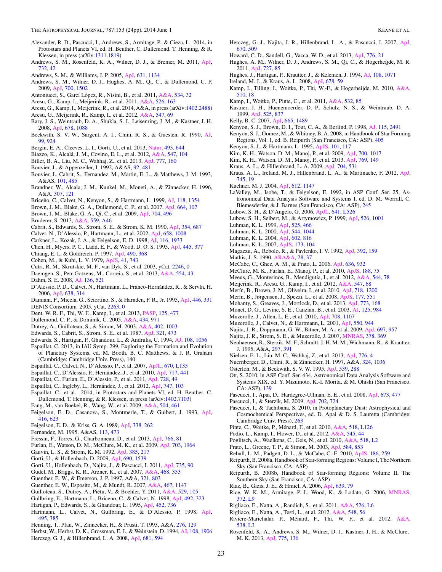- <span id="page-22-0"></span>Alexander, R. D., Pascucci, I., Andrews, S., Armitage, P., & Cieza, L. 2014, in Protostars and Planets VI, ed. H. Beuther, C. Dullemond, T. Henning, & R. Klessen, in press (arXiv[:1311.1819\)](http://www.arxiv.org/abs/1311.1819)
- Andrews, S. M., Rosenfeld, K. A., Wilner, D. J., & Bremer, M. 2011, [ApJ,](http://dx.doi.org/10.1088/0004-637X/732/1/42) [732, 42](http://adsabs.harvard.edu/abs/2011ApJ...732...42A)
- Andrews, S. M., & Williams, J. P. 2005, [ApJ,](http://dx.doi.org/10.1086/432712) [631, 1134](http://adsabs.harvard.edu/abs/2005ApJ...631.1134A)
- Andrews, S. M., Wilner, D. J., Hughes, A. M., Qi, C., & Dullemond, C. P. 2009, [ApJ,](http://dx.doi.org/10.1088/0004-637X/700/2/1502) [700, 1502](http://adsabs.harvard.edu/abs/2009ApJ...700.1502A)
- Antoniucci, S., Garcí López, R., Nisini, B., et al. 2011, [A&A,](http://dx.doi.org/10.1051/0004-6361/201117454) [534, 32](http://adsabs.harvard.edu/abs/2011A&A...534A..32A)
- Aresu, G., Kamp, I., Meijerink, R., et al. 2011, [A&A,](http://dx.doi.org/10.1051/0004-6361/201015449) [526, 163](http://adsabs.harvard.edu/abs/2011A&A...526A.163A)
- Aresu, G., Kamp, I., Meijerink, R., et al. 2014, A&A, in press (arXiv[:1402.2488\)](http://www.arxiv.org/abs/1402.2488)
- Aresu, G., Meijerink, R., Kamp, I., et al. 2012, [A&A,](http://dx.doi.org/10.1051/0004-6361/201219864) [547, 69](http://adsabs.harvard.edu/abs/2012A&A...547A..69A)
- Bary, J. S., Weintraub, D. A., Shukla, S. J., Leisenring, J. M., & Kastner, J. H. 2008, [ApJ,](http://dx.doi.org/10.1086/529517) [678, 1088](http://adsabs.harvard.edu/abs/2008ApJ...678.1088B)
- Beckwith, S. V. W., Sargent, A. I., Chini, R. S., & Guesten, R. 1990, [AJ,](http://dx.doi.org/10.1086/115385) [99, 924](http://adsabs.harvard.edu/abs/1990AJ.....99..924B)
- Bergin, E. A., Cleeves, L. I., Gorti, U., et al. 2013, [Natur,](http://dx.doi.org/10.1038/nature11805) [493, 644](http://adsabs.harvard.edu/abs/2013Natur.493..644B)
- Biazzo, K., Alcalá, J. M., Covino, E. L., et al. 2012, [A&A,](http://dx.doi.org/10.1051/0004-6361/201219680) [547, 104](http://adsabs.harvard.edu/abs/2012A&A...547A.104B)
- Biller, B. A., Liu, M. C., Wahhaj, Z., et al. 2013, [ApJ,](http://dx.doi.org/10.1088/0004-637X/777/2/160) [777, 160](http://adsabs.harvard.edu/abs/2013ApJ...777..160B)
- Bouvier, J., & Appenzeller, I. 1992, A&AS, [92, 481](http://adsabs.harvard.edu/abs/1992A&AS...92..481B)
- Bouvier, J., Cabrit, S., Fernandez, M., Martin, E. L., & Matthews, J. M. 1993, A&AS, [101, 485](http://adsabs.harvard.edu/abs/1993A&AS..101..485B)
- Brandner, W., Alcala, J. M., Kunkel, M., Moneti, A., & Zinnecker, H. 1996, A&A, [307, 121](http://adsabs.harvard.edu/abs/1996A&A...307..121B)
- Briceño, C., Calvet, N., Kenyon, S., & Hartmann, L. 1999, [AJ,](http://dx.doi.org/10.1086/300997) [118, 1354](http://adsabs.harvard.edu/abs/1999AJ....118.1354B)
- Brown, J. M., Blake, G. A., Dullemond, C. P., et al. 2007, [ApJ,](http://dx.doi.org/10.1086/520808) [664, 107](http://adsabs.harvard.edu/abs/2007ApJ...664L.107B)
- Brown, J. M., Blake, G. A., Qi, C., et al. 2009, [ApJ,](http://dx.doi.org/10.1088/0004-637X/704/1/496) [704, 496](http://adsabs.harvard.edu/abs/2009ApJ...704..496B)
- Bruderer, S. 2013, [A&A,](http://dx.doi.org/10.1051/0004-6361/201321171) [559, A46](http://adsabs.harvard.edu/abs/2013A&A...559A..46B)
- Cabrit, S., Edwards, S., Strom, S. E., & Strom, K. M. 1990, [ApJ,](http://dx.doi.org/10.1086/168725) [354, 687](http://adsabs.harvard.edu/abs/1990ApJ...354..687C)
- Calvet, N., D'Alessio, P., Hartmann, L., et al. 2002, [ApJ,](http://dx.doi.org/10.1086/339061) [658, 1008](http://adsabs.harvard.edu/abs/2002ApJ...568.1008C)
- Carkner, L., Kozak, J. A., & Feigelson, E. D. 1998, [AJ,](http://dx.doi.org/10.1086/300535) [116, 1933](http://adsabs.harvard.edu/abs/1998AJ....116.1933C)
- Chen, H., Myers, P. C., Ladd, E. F., & Wood, D. O. S. 1995, [ApJ,](http://dx.doi.org/10.1086/175703) [445, 377](http://adsabs.harvard.edu/abs/1995ApJ...445..377C)
- Chiang, E. I., & Goldreich, P. 1997, [ApJ,](http://dx.doi.org/10.1086/304869) [490, 368](http://adsabs.harvard.edu/abs/1997ApJ...490..368C)
- Cohen, M., & Kuhi, L. V. 1979, [ApJS,](http://dx.doi.org/10.1086/190641) [41, 743](http://adsabs.harvard.edu/abs/1979ApJS...41..743C)
- Cutri, R. M., Skrutskie, M. F., van Dyk, S., et al. 2003, yCat, [2246, 0](http://adsabs.harvard.edu/abs/2003yCat.2246....0C)
- Daemgen, S., Petr-Gotzens, M., Correia, S., et al. 2013, [A&A,](http://dx.doi.org/10.1051/0004-6361/201321220) [554, 43](http://adsabs.harvard.edu/abs/2013A&A...554A..43D) Dahm, S. E. 2008, [AJ,](http://dx.doi.org/10.1088/0004-6256/136/2/521) [136, 521](http://adsabs.harvard.edu/abs/2008AJ....136..521D)
- D'Alessio, P. D., Calvet, N., Hartmann, L., Franco-Hernández, R., & Servín, H. 2006, [ApJ,](http://dx.doi.org/10.1086/498861) [638, 314](http://adsabs.harvard.edu/abs/2006ApJ...638..314D)
- Damiani, F., Micela, G., Sciortino, S., & Harnden, F. R., Jr. 1995, [ApJ,](http://dx.doi.org/10.1086/175791) [446, 331](http://adsabs.harvard.edu/abs/1995ApJ...446..331D)
- DENIS Consortium 2005, yCat, [2263, 0](http://adsabs.harvard.edu/abs/2005yCat.2263....0D)
- Dent, W. R. F., Thi, W. F., Kamp, I., et al. 2013, [PASP,](http://dx.doi.org/10.1086/670826) [125, 477](http://adsabs.harvard.edu/abs/2013PASP..125..477D)
- Dullemond, C. P., & Dominik, C. 2005, [A&A,](http://dx.doi.org/10.1051/0004-6361:20042080) [434, 971](http://adsabs.harvard.edu/abs/2005A&A...434..971D)
- Dutrey, A., Guilloteau, S., & Simon, M. 2003, [A&A,](http://dx.doi.org/10.1051/0004-6361:20030317) [402, 1003](http://adsabs.harvard.edu/abs/2003A&A...402.1003D)
- Edwards, S., Cabrit, S., Strom, S. E., et al. 1987, [ApJ,](http://dx.doi.org/10.1086/165646) [321, 473](http://adsabs.harvard.edu/abs/1987ApJ...321..473E)
- Edwards, S., Hartigan, P., Ghandour, L., & Andrulis, C. 1994, [AJ,](http://dx.doi.org/10.1086/117134) [108, 1056](http://adsabs.harvard.edu/abs/1994AJ....108.1056E)
- Espaillat, C. 2013, in IAU Symp. 299, Exploring the Formation and Evolution of Planetary Systems, ed. M. Booth, B. C. Matthews, & J. R. Graham (Cambridge: Cambridge Univ. Press), 140
- Espaillat, C., Calvet, N., D'Alessio, P., et al. 2007, [ApJL,](http://dx.doi.org/10.1086/524360) [670, L135](http://adsabs.harvard.edu/abs/2007ApJ...670L.135E)
- Espaillat, C., D'Alessio, P., Hernández, J., et al. 2010, [ApJ,](http://dx.doi.org/10.1088/0004-637X/717/1/441) [717, 441](http://adsabs.harvard.edu/abs/2010ApJ...717..441E)
- Espaillat, C., Furlan, E., D'Alessio, P., et al. 2011, [ApJ,](http://dx.doi.org/10.1088/0004-637X/728/1/49) [728, 49](http://adsabs.harvard.edu/abs/2011ApJ...728...49E)
- Espaillat, C., Ingleby, L., Hernández, J., et al. 2012, [ApJ,](http://dx.doi.org/10.1088/0004-637X/747/2/103) [747, 103](http://adsabs.harvard.edu/abs/2012ApJ...747..103E)
- Espaillat, C., et al. 2014, in Protostars and Planets VI, ed. H. Beuther, C. Dullemond, T. Henning, & R. Klessen, in press (arXiv[:1402.7103\)](http://www.arxiv.org/abs/1402.7103)
- Fang, M., van Boekel, R., Wang, W., et al. 2009, [A&A,](http://dx.doi.org/10.1051/0004-6361/200912468) [504, 461](http://adsabs.harvard.edu/abs/2009A&A...504..461F)
- Feigelson, E. D., Casanova, S., Montmerle, T., & Guibert, J. 1993, [ApJ,](http://dx.doi.org/10.1086/173264) [416, 623](http://adsabs.harvard.edu/abs/1993ApJ...416..623F)
- Feigelson, E. D., & Kriss, G. A. 1989, [ApJ,](http://dx.doi.org/10.1086/167196) [338, 262](http://adsabs.harvard.edu/abs/1989ApJ...338..262F)
- Fernandez, M. 1995, A&AS, [113, 473](http://adsabs.harvard.edu/abs/1995A&AS..113..473F)
- Fressin, F., Torres, G., Charbonneau, D., et al. 2013, [ApJ,](http://dx.doi.org/10.1088/0004-637X/766/2/81) [766, 81](http://adsabs.harvard.edu/abs/2013ApJ...766...81F)
- Furlan, E., Watson, D. M., McClure, M. K., et al. 2009, [ApJ,](http://dx.doi.org/10.1088/0004-637X/703/2/1964) [703, 1964](http://adsabs.harvard.edu/abs/2009ApJ...703.1964F)
- Gauvin, L. S., & Strom, K. M. 1992, [ApJ,](http://dx.doi.org/10.1086/170929) [385, 217](http://adsabs.harvard.edu/abs/1992ApJ...385..217G)
- Gorti, U., & Hollenbach, D. 2009, [ApJ,](http://dx.doi.org/10.1088/0004-637X/690/2/1539) [690, 1539](http://adsabs.harvard.edu/abs/2009ApJ...690.1539G)
- Gorti, U., Hollenbach, D., Najita, J., & Pascucci, I. 2011, [ApJ,](http://dx.doi.org/10.1088/0004-637X/735/2/90) [735, 90](http://adsabs.harvard.edu/abs/2011ApJ...735...90G)
- Güdel, M., Briggs, K. R., Arzner, K., et al. 2007, [A&A,](http://dx.doi.org/10.1051/0004-6361:20065724) [468, 353](http://adsabs.harvard.edu/abs/2007A&A...468..353G)
- Guenther, E. W., & Emerson, J. P. 1997, A&A, [321, 803](http://adsabs.harvard.edu/abs/1997A&A...321..803G)
- Guenther, E. W., Esposito, M., & Mundt, R. 2007, [A&A,](http://dx.doi.org/10.1051/0004-6361:20065686) [467, 1147](http://adsabs.harvard.edu/abs/2007A&A...467.1147G)
- Guilloteau, S., Dutrey, A., Piétu, V., & Boehler, Y. 2011, [A&A,](http://dx.doi.org/10.1051/0004-6361/201015209) [529, 105](http://adsabs.harvard.edu/abs/2011A&A...529A.105G)
- Gullbring, E., Hartmann, L., Briceno, C., & Calvet, N. 1998, [ApJ,](http://dx.doi.org/10.1086/305032) [492, 323](http://adsabs.harvard.edu/abs/1998ApJ...492..323G)
- Hartigan, P., Edwards, S., & Ghandour, L. 1995, [ApJ,](http://dx.doi.org/10.1086/176344) [452, 736](http://adsabs.harvard.edu/abs/1995ApJ...452..736H)
- Hartmann, L., Calvet, N., Gullbring, E., & D'Alessio, P. 1998, [ApJ,](http://dx.doi.org/10.1086/305277) [495, 385](http://adsabs.harvard.edu/abs/1998ApJ...495..385H)
- Henning, T., Pfau, W., Zinnecker, H., & Prusti, T. 1993, A&A, [276, 129](http://adsabs.harvard.edu/abs/1993A&A...276..129H)
- Herbst, W., Herbst, D. K., Grossman, E. J., & Weinstein, D. 1994, [AJ,](http://dx.doi.org/10.1086/117204) [108, 1906](http://adsabs.harvard.edu/abs/1994AJ....108.1906H) Herczeg, G. J., & Hillenbrand, L. A. 2008, [ApJ,](http://dx.doi.org/10.1086/586728) [681, 594](http://adsabs.harvard.edu/abs/2008ApJ...681..594H)
- Herczeg, G. J., Najita, J. R., Hillenbrand, L. A., & Pascucci, I. 2007, [ApJ,](http://dx.doi.org/10.1086/521545) [670, 509](http://adsabs.harvard.edu/abs/2007ApJ...670..509H)
- Howard, C. D., Sandell, G., Vacca, W. D., et al. 2013, [ApJ,](http://dx.doi.org/10.1088/0004-637X/776/1/21) [776, 21](http://adsabs.harvard.edu/abs/2013ApJ...776...21H)
- Hughes, A. M., Wilner, D. J., Andrews, S. M., Qi, C., & Hogerheijde, M. R. 2011, [ApJ,](http://dx.doi.org/10.1088/0004-637X/727/2/85) [727, 85](http://adsabs.harvard.edu/abs/2011ApJ...727...85H)
- Hughes, J., Hartigan, P., Krautter, J., & Kelemen, J. 1994, [AJ,](http://dx.doi.org/10.1086/117135) [108, 1071](http://adsabs.harvard.edu/abs/1994AJ....108.1071H)
- Ireland, M. J., & Kraus, A. L. 2008, [ApJ,](http://dx.doi.org/10.1086/588216) [678, 59](http://adsabs.harvard.edu/abs/2008ApJ...678L..59I)
- Kamp, I., Tilling, I., Woitke, P., Thi, W.-F., & Hogerheijde, M. 2010, [A&A,](http://dx.doi.org/10.1051/0004-6361/200913076) [510, 18](http://adsabs.harvard.edu/abs/2010A&A...510A..18K)
- Kamp, I., Woitke, P., Pinte, C., et al. 2011, [A&A,](http://dx.doi.org/10.1051/0004-6361/201016399) [532, 85](http://adsabs.harvard.edu/abs/2011A&A...532A..85K)
- Kastner, J. H., Huenemoerder, D. P., Schulz, N. S., & Weintraub, D. A. 1999, [ApJ,](http://dx.doi.org/10.1086/307946) [525, 837](http://adsabs.harvard.edu/abs/1999ApJ...525..837K)
- Kelly, B. C. 2007, [ApJ,](http://dx.doi.org/10.1086/519947) [665, 1489](http://adsabs.harvard.edu/abs/2007ApJ...665.1489K)
- Kenyon, S. J., Brown, D. I., Tout, C. A., & Berlind, P. 1998, [AJ,](http://dx.doi.org/10.1086/300368) [115, 2491](http://adsabs.harvard.edu/abs/1998AJ....115.2491K)
- Kenyon, S. J., Gomez, M., & Whitney, B. A. 2008, in Handbook of Star Forming Regions, Vol. 1, ed. B. Reipurth (San Francisco, CA: ASP), [405](http://adsabs.harvard.edu/abs/2008hsf1.book..405K)
- Kenyon, S. J., & Hartmann, L. 1995, [ApJS,](http://dx.doi.org/10.1086/192235) [101, 117](http://adsabs.harvard.edu/abs/1995ApJS..101..117K)
- Kim, K. H., Watson, D. M., Manoj, P., et al. 2009, [ApJ,](http://dx.doi.org/10.1088/0004-637X/700/2/1017) [700, 1017](http://adsabs.harvard.edu/abs/2009ApJ...700.1017K)
- Kim, K. H., Watson, D. M., Manoj, P., et al. 2013, [ApJ,](http://dx.doi.org/10.1088/0004-637X/769/2/149) [769, 149](http://adsabs.harvard.edu/abs/2013ApJ...769..149K)
- Kraus, A. L., & Hillenbrand, L. A. 2009, [ApJ,](http://dx.doi.org/10.1088/0004-637X/704/1/531) [704, 531](http://adsabs.harvard.edu/abs/2009ApJ...704..531K)
- Kraus, A. L., Ireland, M. J., Hillenbrand, L. A., & Martinache, F. 2012, [ApJ,](http://dx.doi.org/10.1088/0004-637X/745/1/19) [745, 19](http://adsabs.harvard.edu/abs/2012ApJ...745...19K)
- Kuchner, M. J. 2004, [ApJ,](http://dx.doi.org/10.1086/422577) [612, 1147](http://adsabs.harvard.edu/abs/2004ApJ...612.1147K)
- LaValley, M., Isobe, T., & Feigelson, E. 1992, in ASP Conf. Ser. 25, Astronomical Data Analysis Software and Systems I, ed. D. M. Worrall, C. Biemesderfer, & J. Barnes (San Francisco, CA: ASP), [245](http://adsabs.harvard.edu/abs/1992ASPC...25..245L)
- Lubow, S. H., & D'Angelo, G. 2006, [ApJL,](http://dx.doi.org/10.1086/500356) [641, L526](http://adsabs.harvard.edu/abs/2006ApJ...641..526L)
- Lubow, S. H., Seibert, M., & Artymowicz, P. 1999, [ApJ,](http://dx.doi.org/10.1086/308045) [526, 1001](http://adsabs.harvard.edu/abs/1999ApJ...526.1001L)
- Luhman, K. L. 1999, [ApJ,](http://dx.doi.org/10.1086/307902) [525, 466](http://adsabs.harvard.edu/abs/1999ApJ...525..466L)
- Luhman, K. L. 2000, [ApJ,](http://dx.doi.org/10.1086/317232) [544, 1044](http://adsabs.harvard.edu/abs/2000ApJ...544.1044L)
- Luhman, K. L. 2004, [ApJ,](http://dx.doi.org/10.1086/381146) [602, 816](http://adsabs.harvard.edu/abs/2004ApJ...602..816L)
- Luhman, K. L. 2007, [ApJS,](http://dx.doi.org/10.1086/520114) [173, 104](http://adsabs.harvard.edu/abs/2007ApJS..173..104L)

J. 1995, A&A, [297, 391](http://adsabs.harvard.edu/abs/1995A&A...297..391N)

CA: ASP), [139](http://adsabs.harvard.edu/abs/2010ASPC..434..139O)

[372, L9](http://adsabs.harvard.edu/abs/2006MNRAS.372L...9R)

[538, L3](http://adsabs.harvard.edu/abs/2012A&A...538L...3R)

23

- Magazzu, A., Rebolo, R., & Pavlenko, I. V. 1992, [ApJ,](http://dx.doi.org/10.1086/171414) [392, 159](http://adsabs.harvard.edu/abs/1992ApJ...392..159M)
- Mathis, J. S. 1990, [ARA&A,](http://dx.doi.org/10.1146/annurev.aa.28.090190.000345) [28, 37](http://adsabs.harvard.edu/abs/1990ARA&A..28...37M)
- McCabe, C., Ghez, A. M., & Prato, L. 2006, [ApJ,](http://dx.doi.org/10.1086/498207) [636, 932](http://adsabs.harvard.edu/abs/2006ApJ...636..932M)
- McClure, M. K., Furlan, E., Manoj, P., et al. 2010, [ApJS,](http://dx.doi.org/10.1088/0067-0049/188/1/75) [188, 75](http://adsabs.harvard.edu/abs/2010ApJS..188...75M)
- Meeus, G., Montesinos, B., Mendigutía, I., et al. 2012, [A&A,](http://dx.doi.org/10.1051/0004-6361/201219225) [544, 78](http://adsabs.harvard.edu/abs/2012A&A...544A..78M)
- Meijerink, R., Aresu, G., Kamp, I., et al. 2012, [A&A,](http://dx.doi.org/10.1051/0004-6361/201219863) [547, 68](http://adsabs.harvard.edu/abs/2012A&A...547A..68M)
- Merín, B., Brown, J. M., Oliveira, I., et al. 2010, [ApJ,](http://dx.doi.org/10.1088/0004-637X/718/2/1200) [718, 1200](http://adsabs.harvard.edu/abs/2010ApJ...718.1200M)
- Merín, B., Jørgensen, J., Spezzi, L., et al. 2008, [ApJS,](http://dx.doi.org/10.1086/588042) [177, 551](http://adsabs.harvard.edu/abs/2008ApJS..177..551M)
- Mohanty, S., Greaves, J., Mortlock, D., et al. 2013, [ApJ,](http://dx.doi.org/10.1088/0004-637X/773/2/168) [773, 168](http://adsabs.harvard.edu/abs/2013ApJ...773..168M)
- Monet, D. G., Levine, S. E., Canzian, B., et al. 2003, [AJ,](http://dx.doi.org/10.1086/345888) [125, 984](http://adsabs.harvard.edu/abs/2003AJ....125..984M)
- Muzerolle, J., Allen, L. E., et al. 2010, [ApJ,](http://dx.doi.org/10.1088/0004-637X/708/2/1107) [708, 1107](http://adsabs.harvard.edu/abs/2010ApJ...708.1107M)
- Muzerolle, J., Calvet, N., & Hartmann, L. 2001, [ApJ,](http://dx.doi.org/10.1086/319779) [550, 944](http://adsabs.harvard.edu/abs/2001ApJ...550..944M)
- Najita, J. R., Doppmann, G. W., Bitner, M. A., et al. 2009, [ApJ,](http://dx.doi.org/10.1088/0004-637X/697/1/957) [697, 957](http://adsabs.harvard.edu/abs/2009ApJ...697..957N)

Neuhaeuser, R., Sterzik, M. F., Schmitt, J. H. M. M., Wichmann, R., & Krautter,

Ott, S. 2010, in ASP Conf. Ser. 434, Astronomical Data Analysis Software and Systems XIX, ed. Y. Mizumoto, K.-I. Morita, & M. Ohishi (San Francisco,

Pascucci, I., & Tachibana, S. 2010, in Protoplanetary Dust: Astrophysical and Cosmochemical Perspectives, ed. D. Apai & D. S. Lauretta (Cambridge:

Reipurth, B. 2008b, Handbook of Star-forming Regions: Volume II, The

Rice, W. K. M., Armitage, P. J., Wood, K., & Lodato, G. 2006, [MNRAS,](http://dx.doi.org/10.1111/j.1745-3933.2006.00215.x)

Riviere-Marichalar, P., Ménard, F., Thi, W. F., et al. 2012, [A&A,](http://dx.doi.org/10.1051/0004-6361/201118448)

Rosenfeld, K. A., Andrews, S. M., Wilner, D. J., Kastner, J. H., & McClure,

Pascucci, I., Apai, D., Hardegree-Ullman, E. E., et al. 2008, [ApJ,](http://dx.doi.org/10.1086/524100) [673, 477](http://adsabs.harvard.edu/abs/2008ApJ...673..477P)

Najita, J. R., Strom, S. E., & Muzerolle, J. 2007, [MNRAS,](http://dx.doi.org/10.1111/j.1365-2966.2007.11793.x) [378, 369](http://adsabs.harvard.edu/abs/2007MNRAS.378..369N)

Nielsen, E. L., Liu, M. C., Wahhaj, Z., et al. 2013, [ApJ,](http://dx.doi.org/10.1088/0004-637X/776/1/4) [776, 4](http://adsabs.harvard.edu/abs/2013ApJ...776....4N) Nuernberger, D., Chini, R., & Zinnecker, H. 1997, A&A, [324, 1036](http://adsabs.harvard.edu/abs/1997A&A...324.1036N)

Pinte, C., Woitke, P., Ménard, F., et al. 2010, [A&A,](http://dx.doi.org/10.1051/0004-6361/201014591) [518, L126](http://adsabs.harvard.edu/abs/2010A&A...518L.126P) Podio, L., Kamp, I., Flower, D., et al. 2012, [A&A,](http://dx.doi.org/10.1051/0004-6361/201219475) [545, 44](http://adsabs.harvard.edu/abs/2012A&A...545A..44P) Poglitsch, A., Waelkens, C., Geis, N., et al. 2010, [A&A,](http://dx.doi.org/10.1051/0004-6361/201014535) [518, L2](http://adsabs.harvard.edu/abs/2010A&A...518L...2P) Prato, L., Greene, T. P., & Simon, M. 2003, [ApJ,](http://dx.doi.org/10.1086/345828) [584, 853](http://adsabs.harvard.edu/abs/2003ApJ...584..853P)

Rigliaco, E., Natta, A., Randich, S., et al. 2011, [A&A,](http://dx.doi.org/10.1051/0004-6361/201016002) [526, L6](http://adsabs.harvard.edu/abs/2011A&A...526L...6R) Rigliaco, E., Natta, A., Testi, L., et al. 2012, [A&A,](http://dx.doi.org/10.1051/0004-6361/201219832) [548, 56](http://adsabs.harvard.edu/abs/2012A&A...548A..56R)

Rebull, L. M., Padgett, D. L., & McCabe, C.-E. 2010, [ApJS,](http://dx.doi.org/10.1088/0067-0049/186/2/259) [186, 259](http://adsabs.harvard.edu/abs/2010ApJS..186..259R) Reipurth, B. 2008a, Handbook of Star-forming Regions: Volume I, The Northern

Osterloh, M., & Beckwith, S. V. W. 1995, [ApJ,](http://dx.doi.org/10.1086/175172) [539, 288](http://adsabs.harvard.edu/abs/1995ApJ...439..288O)

Pascucci, I., & Sterzik, M. 2009, [ApJ,](http://dx.doi.org/10.1088/0004-637X/702/1/724) [702, 724](http://adsabs.harvard.edu/abs/2009ApJ...702..724P)

Cambridge Univ. Press), [263](http://adsabs.harvard.edu/abs/2010pdac.book..263P)

Sky (San Francisco, CA: ASP)

M. K. 2013, [ApJ,](http://dx.doi.org/10.1088/0004-637X/775/2/136) [775, 136](http://adsabs.harvard.edu/abs/2013ApJ...775..136R)

Southern Sky (San Francisco, CA: ASP) Riaz, B., Gizis, J. E., & Hmiel, A. 2006, [ApJ,](http://dx.doi.org/10.1086/502647) [639, 79](http://adsabs.harvard.edu/abs/2006ApJ...639L..79R)